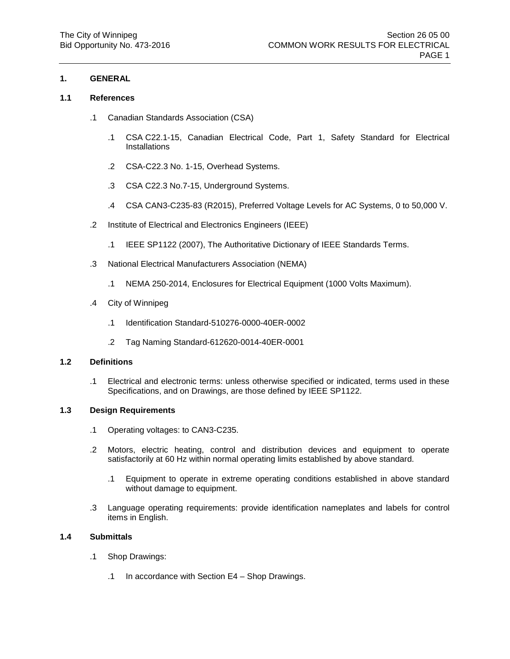## **1.1 References**

- .1 Canadian Standards Association (CSA)
	- .1 CSA C22.1-15, Canadian Electrical Code, Part 1, Safety Standard for Electrical Installations
	- .2 CSA-C22.3 No. 1-15, Overhead Systems.
	- .3 CSA C22.3 No.7-15, Underground Systems.
	- .4 CSA CAN3-C235-83 (R2015), Preferred Voltage Levels for AC Systems, 0 to 50,000 V.
- .2 Institute of Electrical and Electronics Engineers (IEEE)
	- .1 IEEE SP1122 (2007), The Authoritative Dictionary of IEEE Standards Terms.
- .3 National Electrical Manufacturers Association (NEMA)
	- .1 NEMA 250-2014, Enclosures for Electrical Equipment (1000 Volts Maximum).
- .4 City of Winnipeg
	- .1 Identification Standard-510276-0000-40ER-0002
	- .2 Tag Naming Standard-612620-0014-40ER-0001

# **1.2 Definitions**

.1 Electrical and electronic terms: unless otherwise specified or indicated, terms used in these Specifications, and on Drawings, are those defined by IEEE SP1122.

## **1.3 Design Requirements**

- .1 Operating voltages: to CAN3-C235.
- .2 Motors, electric heating, control and distribution devices and equipment to operate satisfactorily at 60 Hz within normal operating limits established by above standard.
	- .1 Equipment to operate in extreme operating conditions established in above standard without damage to equipment.
- .3 Language operating requirements: provide identification nameplates and labels for control items in English.

# **1.4 Submittals**

- .1 Shop Drawings:
	- .1 In accordance with Section E4 Shop Drawings.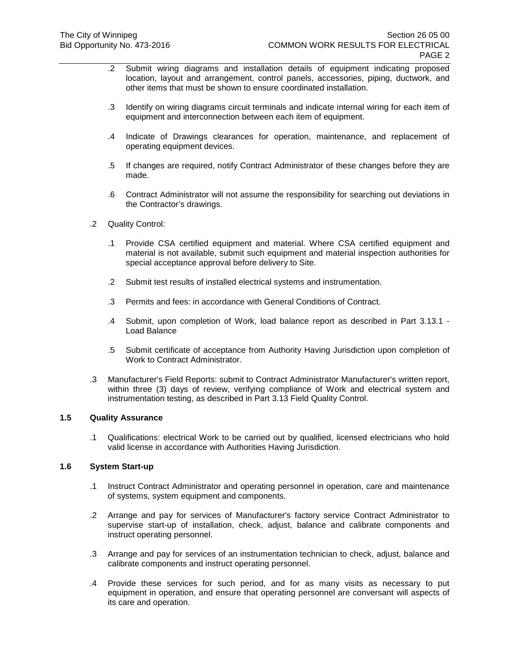- .2 Submit wiring diagrams and installation details of equipment indicating proposed location, layout and arrangement, control panels, accessories, piping, ductwork, and other items that must be shown to ensure coordinated installation.
- .3 Identify on wiring diagrams circuit terminals and indicate internal wiring for each item of equipment and interconnection between each item of equipment.
- .4 Indicate of Drawings clearances for operation, maintenance, and replacement of operating equipment devices.
- .5 If changes are required, notify Contract Administrator of these changes before they are made.
- .6 Contract Administrator will not assume the responsibility for searching out deviations in the Contractor's drawings.
- .2 Quality Control:
	- .1 Provide CSA certified equipment and material. Where CSA certified equipment and material is not available, submit such equipment and material inspection authorities for special acceptance approval before delivery to Site.
	- .2 Submit test results of installed electrical systems and instrumentation.
	- .3 Permits and fees: in accordance with General Conditions of Contract.
	- .4 Submit, upon completion of Work, load balance report as described in Part [3.13.1](#page-6-0) [Load Balance](#page-6-0)
	- .5 Submit certificate of acceptance from Authority Having Jurisdiction upon completion of Work to Contract Administrator.
- .3 Manufacturer's Field Reports: submit to Contract Administrator Manufacturer's written report, within three (3) days of review, verifying compliance of Work and electrical system and instrumentation testing, as described in Part [3.13](#page-6-1) [Field Quality Control.](#page-6-1)

## <span id="page-1-0"></span>**1.5 Quality Assurance**

.1 Qualifications: electrical Work to be carried out by qualified, licensed electricians who hold valid license in accordance with Authorities Having Jurisdiction.

# **1.6 System Start-up**

- .1 Instruct Contract Administrator and operating personnel in operation, care and maintenance of systems, system equipment and components.
- .2 Arrange and pay for services of Manufacturer's factory service Contract Administrator to supervise start-up of installation, check, adjust, balance and calibrate components and instruct operating personnel.
- .3 Arrange and pay for services of an instrumentation technician to check, adjust, balance and calibrate components and instruct operating personnel.
- .4 Provide these services for such period, and for as many visits as necessary to put equipment in operation, and ensure that operating personnel are conversant will aspects of its care and operation.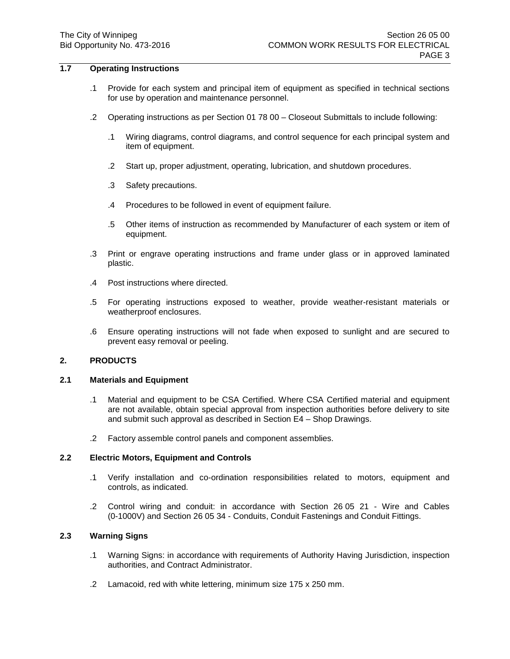# **1.7 Operating Instructions**

- .1 Provide for each system and principal item of equipment as specified in technical sections for use by operation and maintenance personnel.
- .2 Operating instructions as per Section 01 78 00 Closeout Submittals to include following:
	- .1 Wiring diagrams, control diagrams, and control sequence for each principal system and item of equipment.
	- .2 Start up, proper adjustment, operating, lubrication, and shutdown procedures.
	- .3 Safety precautions.
	- .4 Procedures to be followed in event of equipment failure.
	- .5 Other items of instruction as recommended by Manufacturer of each system or item of equipment.
- .3 Print or engrave operating instructions and frame under glass or in approved laminated plastic.
- .4 Post instructions where directed.
- .5 For operating instructions exposed to weather, provide weather-resistant materials or weatherproof enclosures.
- .6 Ensure operating instructions will not fade when exposed to sunlight and are secured to prevent easy removal or peeling.

## **2. PRODUCTS**

# **2.1 Materials and Equipment**

- .1 Material and equipment to be CSA Certified. Where CSA Certified material and equipment are not available, obtain special approval from inspection authorities before delivery to site and submit such approval as described in Section E4 – Shop Drawings.
- .2 Factory assemble control panels and component assemblies.

# **2.2 Electric Motors, Equipment and Controls**

- .1 Verify installation and co-ordination responsibilities related to motors, equipment and controls, as indicated.
- .2 Control wiring and conduit: in accordance with Section 26 05 21 Wire and Cables (0-1000V) and Section 26 05 34 - Conduits, Conduit Fastenings and Conduit Fittings.

# **2.3 Warning Signs**

- .1 Warning Signs: in accordance with requirements of Authority Having Jurisdiction, inspection authorities, and Contract Administrator.
- .2 Lamacoid, red with white lettering, minimum size 175 x 250 mm.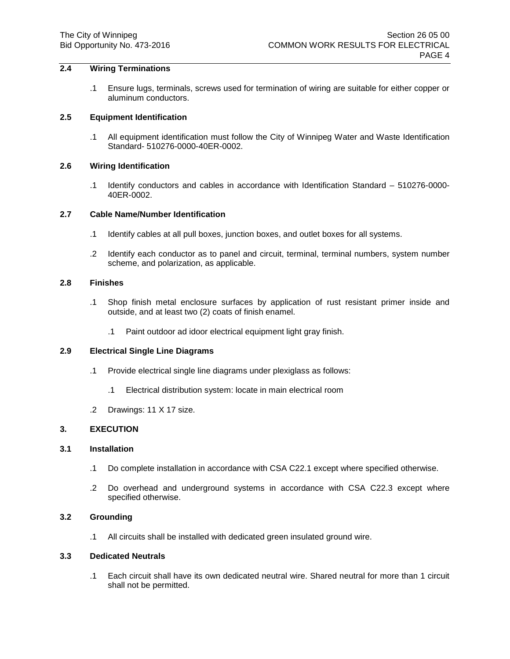# **2.4 Wiring Terminations**

.1 Ensure lugs, terminals, screws used for termination of wiring are suitable for either copper or aluminum conductors.

### **2.5 Equipment Identification**

.1 All equipment identification must follow the City of Winnipeg Water and Waste Identification Standard- 510276-0000-40ER-0002.

## **2.6 Wiring Identification**

.1 Identify conductors and cables in accordance with Identification Standard – 510276-0000- 40ER-0002.

#### **2.7 Cable Name/Number Identification**

- .1 Identify cables at all pull boxes, junction boxes, and outlet boxes for all systems.
- .2 Identify each conductor as to panel and circuit, terminal, terminal numbers, system number scheme, and polarization, as applicable.

### **2.8 Finishes**

- .1 Shop finish metal enclosure surfaces by application of rust resistant primer inside and outside, and at least two (2) coats of finish enamel.
	- .1 Paint outdoor ad idoor electrical equipment light gray finish.

## **2.9 Electrical Single Line Diagrams**

- .1 Provide electrical single line diagrams under plexiglass as follows:
	- .1 Electrical distribution system: locate in main electrical room
- .2 Drawings: 11 X 17 size.

# **3. EXECUTION**

## **3.1 Installation**

- .1 Do complete installation in accordance with CSA C22.1 except where specified otherwise.
- .2 Do overhead and underground systems in accordance with CSA C22.3 except where specified otherwise.

# **3.2 Grounding**

.1 All circuits shall be installed with dedicated green insulated ground wire.

#### **3.3 Dedicated Neutrals**

.1 Each circuit shall have its own dedicated neutral wire. Shared neutral for more than 1 circuit shall not be permitted.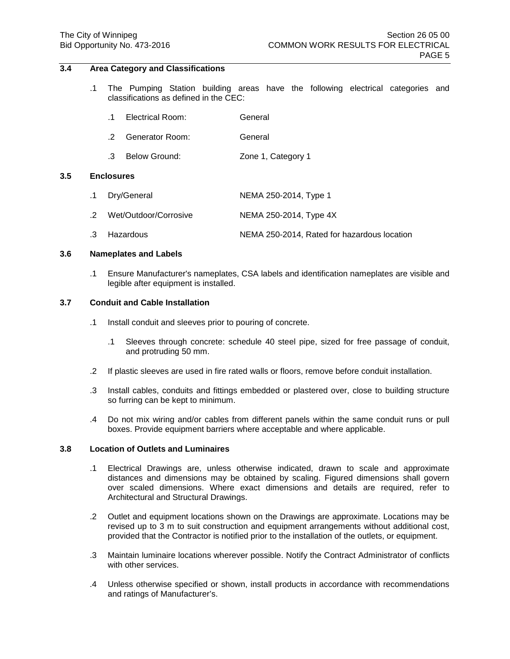# **3.4 Area Category and Classifications**

.1 The Pumping Station building areas have the following electrical categories and classifications as defined in the CEC:

|     |                   | $\cdot$ 1 | Electrical Room:       | General                                     |  |
|-----|-------------------|-----------|------------------------|---------------------------------------------|--|
|     |                   | .2        | <b>Generator Room:</b> | General                                     |  |
|     |                   | .3        | Below Ground:          | Zone 1, Category 1                          |  |
| 3.5 | <b>Enclosures</b> |           |                        |                                             |  |
|     | .1                |           | Dry/General            | NEMA 250-2014, Type 1                       |  |
|     | $\cdot$ 2         |           | Wet/Outdoor/Corrosive  | NEMA 250-2014, Type 4X                      |  |
|     | .3                |           | Hazardous              | NEMA 250-2014, Rated for hazardous location |  |

#### **3.6 Nameplates and Labels**

.1 Ensure Manufacturer's nameplates, CSA labels and identification nameplates are visible and legible after equipment is installed.

### **3.7 Conduit and Cable Installation**

- .1 Install conduit and sleeves prior to pouring of concrete.
	- .1 Sleeves through concrete: schedule 40 steel pipe, sized for free passage of conduit, and protruding 50 mm.
- .2 If plastic sleeves are used in fire rated walls or floors, remove before conduit installation.
- .3 Install cables, conduits and fittings embedded or plastered over, close to building structure so furring can be kept to minimum.
- .4 Do not mix wiring and/or cables from different panels within the same conduit runs or pull boxes. Provide equipment barriers where acceptable and where applicable.

# **3.8 Location of Outlets and Luminaires**

- .1 Electrical Drawings are, unless otherwise indicated, drawn to scale and approximate distances and dimensions may be obtained by scaling. Figured dimensions shall govern over scaled dimensions. Where exact dimensions and details are required, refer to Architectural and Structural Drawings.
- .2 Outlet and equipment locations shown on the Drawings are approximate. Locations may be revised up to 3 m to suit construction and equipment arrangements without additional cost, provided that the Contractor is notified prior to the installation of the outlets, or equipment.
- .3 Maintain luminaire locations wherever possible. Notify the Contract Administrator of conflicts with other services.
- .4 Unless otherwise specified or shown, install products in accordance with recommendations and ratings of Manufacturer's.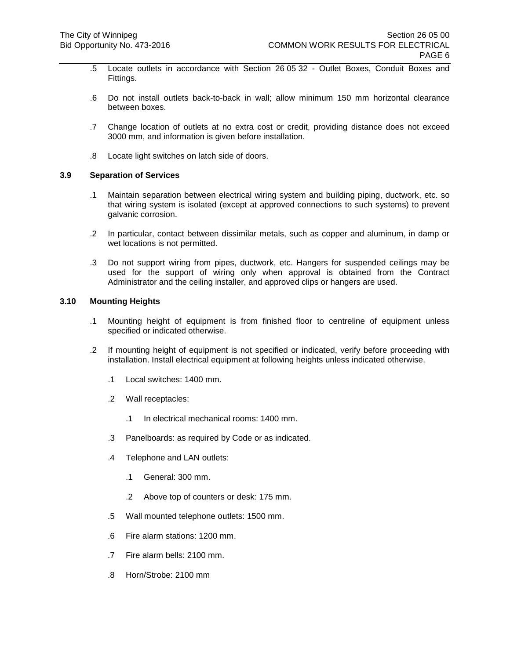- .5 Locate outlets in accordance with Section 26 05 32 Outlet Boxes, Conduit Boxes and Fittings.
- .6 Do not install outlets back-to-back in wall; allow minimum 150 mm horizontal clearance between boxes.
- .7 Change location of outlets at no extra cost or credit, providing distance does not exceed 3000 mm, and information is given before installation.
- .8 Locate light switches on latch side of doors.

#### **3.9 Separation of Services**

- .1 Maintain separation between electrical wiring system and building piping, ductwork, etc. so that wiring system is isolated (except at approved connections to such systems) to prevent galvanic corrosion.
- .2 In particular, contact between dissimilar metals, such as copper and aluminum, in damp or wet locations is not permitted.
- .3 Do not support wiring from pipes, ductwork, etc. Hangers for suspended ceilings may be used for the support of wiring only when approval is obtained from the Contract Administrator and the ceiling installer, and approved clips or hangers are used.

# **3.10 Mounting Heights**

- .1 Mounting height of equipment is from finished floor to centreline of equipment unless specified or indicated otherwise.
- .2 If mounting height of equipment is not specified or indicated, verify before proceeding with installation. Install electrical equipment at following heights unless indicated otherwise.
	- .1 Local switches: 1400 mm.
	- .2 Wall receptacles:
		- .1 In electrical mechanical rooms: 1400 mm.
	- .3 Panelboards: as required by Code or as indicated.
	- .4 Telephone and LAN outlets:
		- .1 General: 300 mm.
		- .2 Above top of counters or desk: 175 mm.
	- .5 Wall mounted telephone outlets: 1500 mm.
	- .6 Fire alarm stations: 1200 mm.
	- .7 Fire alarm bells: 2100 mm.
	- .8 Horn/Strobe: 2100 mm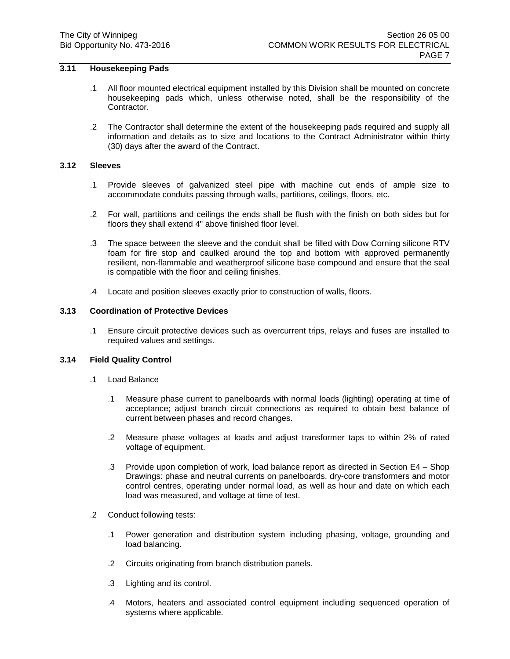# **3.11 Housekeeping Pads**

- .1 All floor mounted electrical equipment installed by this Division shall be mounted on concrete housekeeping pads which, unless otherwise noted, shall be the responsibility of the Contractor.
- .2 The Contractor shall determine the extent of the housekeeping pads required and supply all information and details as to size and locations to the Contract Administrator within thirty (30) days after the award of the Contract.

# **3.12 Sleeves**

- .1 Provide sleeves of galvanized steel pipe with machine cut ends of ample size to accommodate conduits passing through walls, partitions, ceilings, floors, etc.
- .2 For wall, partitions and ceilings the ends shall be flush with the finish on both sides but for floors they shall extend 4" above finished floor level.
- .3 The space between the sleeve and the conduit shall be filled with Dow Corning silicone RTV foam for fire stop and caulked around the top and bottom with approved permanently resilient, non-flammable and weatherproof silicone base compound and ensure that the seal is compatible with the floor and ceiling finishes.
- .4 Locate and position sleeves exactly prior to construction of walls, floors.

# **3.13 Coordination of Protective Devices**

.1 Ensure circuit protective devices such as overcurrent trips, relays and fuses are installed to required values and settings.

## <span id="page-6-1"></span><span id="page-6-0"></span>**3.14 Field Quality Control**

- .1 Load Balance
	- .1 Measure phase current to panelboards with normal loads (lighting) operating at time of acceptance; adjust branch circuit connections as required to obtain best balance of current between phases and record changes.
	- .2 Measure phase voltages at loads and adjust transformer taps to within 2% of rated voltage of equipment.
	- .3 Provide upon completion of work, load balance report as directed in Section E4 Shop Drawings: phase and neutral currents on panelboards, dry-core transformers and motor control centres, operating under normal load, as well as hour and date on which each load was measured, and voltage at time of test.
- .2 Conduct following tests:
	- .1 Power generation and distribution system including phasing, voltage, grounding and load balancing.
	- .2 Circuits originating from branch distribution panels.
	- .3 Lighting and its control.
	- .4 Motors, heaters and associated control equipment including sequenced operation of systems where applicable.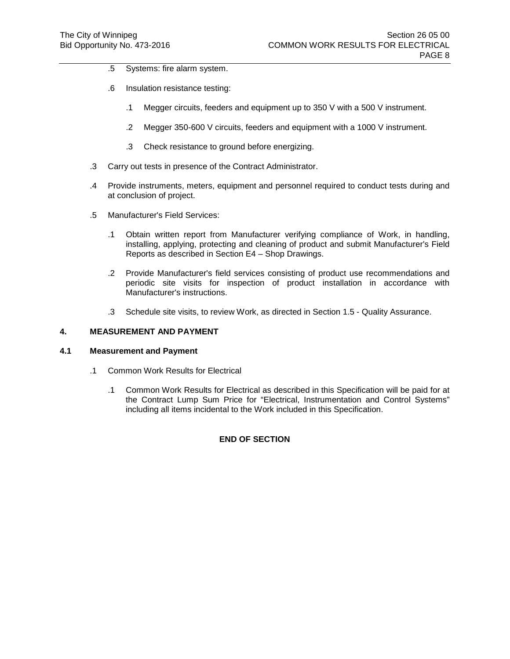- .5 Systems: fire alarm system.
- .6 Insulation resistance testing:
	- .1 Megger circuits, feeders and equipment up to 350 V with a 500 V instrument.
	- .2 Megger 350-600 V circuits, feeders and equipment with a 1000 V instrument.
	- .3 Check resistance to ground before energizing.
- .3 Carry out tests in presence of the Contract Administrator.
- .4 Provide instruments, meters, equipment and personnel required to conduct tests during and at conclusion of project.
- .5 Manufacturer's Field Services:
	- .1 Obtain written report from Manufacturer verifying compliance of Work, in handling, installing, applying, protecting and cleaning of product and submit Manufacturer's Field Reports as described in Section E4 – Shop Drawings.
	- .2 Provide Manufacturer's field services consisting of product use recommendations and periodic site visits for inspection of product installation in accordance with Manufacturer's instructions.
	- .3 Schedule site visits, to review Work, as directed in Section [1.5](#page-1-0) [Quality Assurance.](#page-1-0)

# **4. MEASUREMENT AND PAYMENT**

## **4.1 Measurement and Payment**

- .1 Common Work Results for Electrical
	- .1 Common Work Results for Electrical as described in this Specification will be paid for at the Contract Lump Sum Price for "Electrical, Instrumentation and Control Systems" including all items incidental to the Work included in this Specification.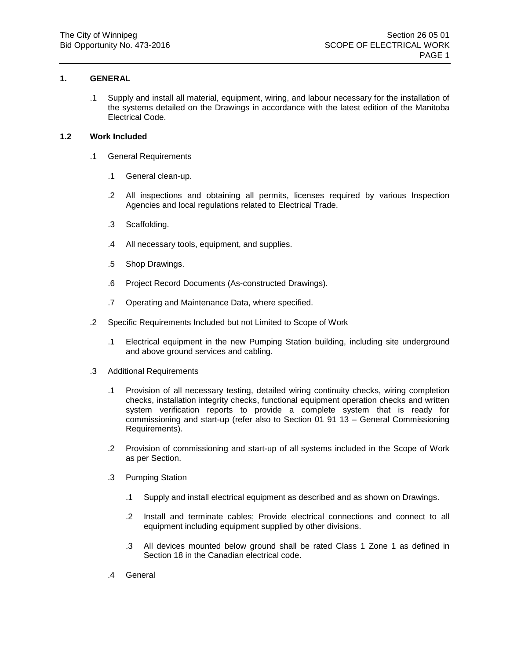.1 Supply and install all material, equipment, wiring, and labour necessary for the installation of the systems detailed on the Drawings in accordance with the latest edition of the Manitoba Electrical Code.

# **1.2 Work Included**

- .1 General Requirements
	- .1 General clean-up.
	- .2 All inspections and obtaining all permits, licenses required by various Inspection Agencies and local regulations related to Electrical Trade.
	- .3 Scaffolding.
	- .4 All necessary tools, equipment, and supplies.
	- .5 Shop Drawings.
	- .6 Project Record Documents (As-constructed Drawings).
	- .7 Operating and Maintenance Data, where specified.
- .2 Specific Requirements Included but not Limited to Scope of Work
	- .1 Electrical equipment in the new Pumping Station building, including site underground and above ground services and cabling.
- .3 Additional Requirements
	- .1 Provision of all necessary testing, detailed wiring continuity checks, wiring completion checks, installation integrity checks, functional equipment operation checks and written system verification reports to provide a complete system that is ready for commissioning and start-up (refer also to Section 01 91 13 – General Commissioning Requirements).
	- .2 Provision of commissioning and start-up of all systems included in the Scope of Work as per Section.
	- .3 Pumping Station
		- .1 Supply and install electrical equipment as described and as shown on Drawings.
		- .2 Install and terminate cables; Provide electrical connections and connect to all equipment including equipment supplied by other divisions.
		- .3 All devices mounted below ground shall be rated Class 1 Zone 1 as defined in Section 18 in the Canadian electrical code.
	- .4 General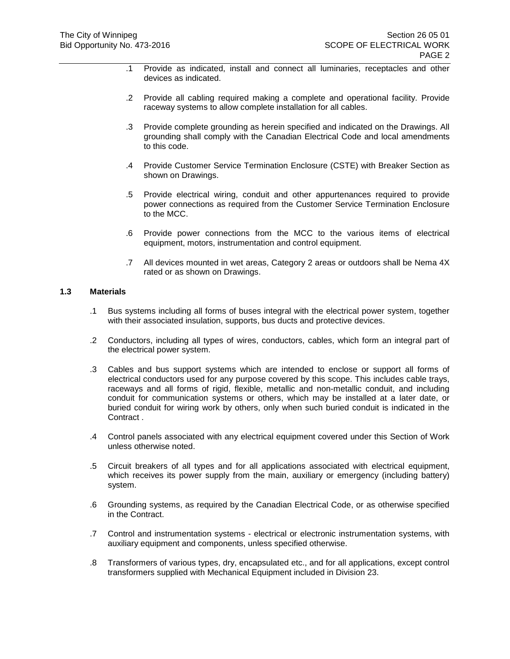- .1 Provide as indicated, install and connect all luminaries, receptacles and other devices as indicated.
- .2 Provide all cabling required making a complete and operational facility. Provide raceway systems to allow complete installation for all cables.
- .3 Provide complete grounding as herein specified and indicated on the Drawings. All grounding shall comply with the Canadian Electrical Code and local amendments to this code.
- .4 Provide Customer Service Termination Enclosure (CSTE) with Breaker Section as shown on Drawings.
- .5 Provide electrical wiring, conduit and other appurtenances required to provide power connections as required from the Customer Service Termination Enclosure to the MCC.
- .6 Provide power connections from the MCC to the various items of electrical equipment, motors, instrumentation and control equipment.
- .7 All devices mounted in wet areas, Category 2 areas or outdoors shall be Nema 4X rated or as shown on Drawings.

## **1.3 Materials**

- .1 Bus systems including all forms of buses integral with the electrical power system, together with their associated insulation, supports, bus ducts and protective devices.
- .2 Conductors, including all types of wires, conductors, cables, which form an integral part of the electrical power system.
- .3 Cables and bus support systems which are intended to enclose or support all forms of electrical conductors used for any purpose covered by this scope. This includes cable trays, raceways and all forms of rigid, flexible, metallic and non-metallic conduit, and including conduit for communication systems or others, which may be installed at a later date, or buried conduit for wiring work by others, only when such buried conduit is indicated in the Contract .
- .4 Control panels associated with any electrical equipment covered under this Section of Work unless otherwise noted.
- .5 Circuit breakers of all types and for all applications associated with electrical equipment, which receives its power supply from the main, auxiliary or emergency (including battery) system.
- .6 Grounding systems, as required by the Canadian Electrical Code, or as otherwise specified in the Contract.
- .7 Control and instrumentation systems electrical or electronic instrumentation systems, with auxiliary equipment and components, unless specified otherwise.
- .8 Transformers of various types, dry, encapsulated etc., and for all applications, except control transformers supplied with Mechanical Equipment included in Division 23.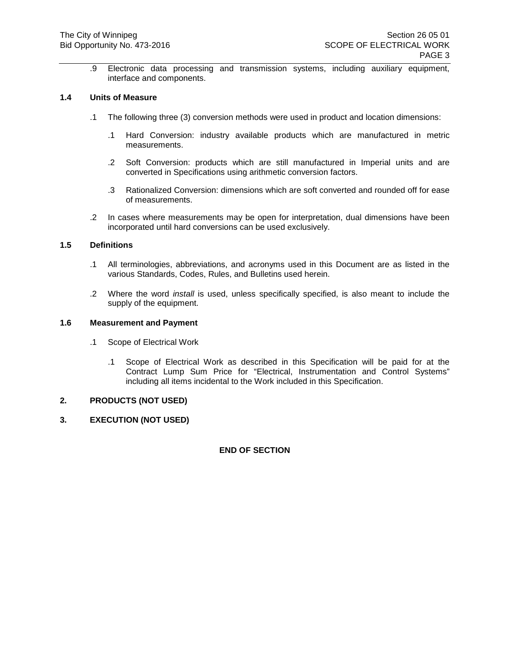.9 Electronic data processing and transmission systems, including auxiliary equipment, interface and components.

# **1.4 Units of Measure**

- .1 The following three (3) conversion methods were used in product and location dimensions:
	- .1 Hard Conversion: industry available products which are manufactured in metric measurements.
	- .2 Soft Conversion: products which are still manufactured in Imperial units and are converted in Specifications using arithmetic conversion factors.
	- .3 Rationalized Conversion: dimensions which are soft converted and rounded off for ease of measurements.
- .2 In cases where measurements may be open for interpretation, dual dimensions have been incorporated until hard conversions can be used exclusively.

# **1.5 Definitions**

- .1 All terminologies, abbreviations, and acronyms used in this Document are as listed in the various Standards, Codes, Rules, and Bulletins used herein.
- .2 Where the word *install* is used, unless specifically specified, is also meant to include the supply of the equipment.

#### **1.6 Measurement and Payment**

- .1 Scope of Electrical Work
	- .1 Scope of Electrical Work as described in this Specification will be paid for at the Contract Lump Sum Price for "Electrical, Instrumentation and Control Systems" including all items incidental to the Work included in this Specification.

## **2. PRODUCTS (NOT USED)**

## **3. EXECUTION (NOT USED)**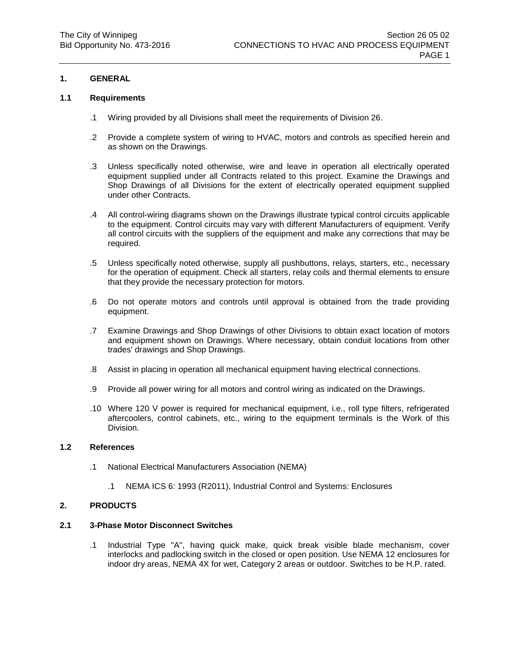# **1.1 Requirements**

- .1 Wiring provided by all Divisions shall meet the requirements of Division 26.
- .2 Provide a complete system of wiring to HVAC, motors and controls as specified herein and as shown on the Drawings.
- .3 Unless specifically noted otherwise, wire and leave in operation all electrically operated equipment supplied under all Contracts related to this project. Examine the Drawings and Shop Drawings of all Divisions for the extent of electrically operated equipment supplied under other Contracts.
- .4 All control-wiring diagrams shown on the Drawings illustrate typical control circuits applicable to the equipment. Control circuits may vary with different Manufacturers of equipment. Verify all control circuits with the suppliers of the equipment and make any corrections that may be required.
- .5 Unless specifically noted otherwise, supply all pushbuttons, relays, starters, etc., necessary for the operation of equipment. Check all starters, relay coils and thermal elements to ensure that they provide the necessary protection for motors.
- .6 Do not operate motors and controls until approval is obtained from the trade providing equipment.
- .7 Examine Drawings and Shop Drawings of other Divisions to obtain exact location of motors and equipment shown on Drawings. Where necessary, obtain conduit locations from other trades' drawings and Shop Drawings.
- .8 Assist in placing in operation all mechanical equipment having electrical connections.
- .9 Provide all power wiring for all motors and control wiring as indicated on the Drawings.
- .10 Where 120 V power is required for mechanical equipment, i.e., roll type filters, refrigerated aftercoolers, control cabinets, etc., wiring to the equipment terminals is the Work of this Division.

## **1.2 References**

- .1 National Electrical Manufacturers Association (NEMA)
	- .1 NEMA ICS 6: 1993 (R2011), Industrial Control and Systems: Enclosures

## **2. PRODUCTS**

## **2.1 3-Phase Motor Disconnect Switches**

.1 Industrial Type "A", having quick make, quick break visible blade mechanism, cover interlocks and padlocking switch in the closed or open position. Use NEMA 12 enclosures for indoor dry areas, NEMA 4X for wet, Category 2 areas or outdoor. Switches to be H.P. rated.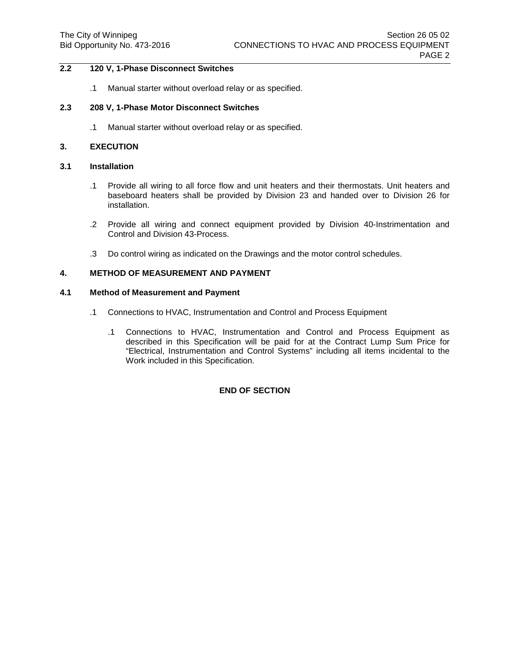# **2.2 120 V, 1-Phase Disconnect Switches**

.1 Manual starter without overload relay or as specified.

#### **2.3 208 V, 1-Phase Motor Disconnect Switches**

.1 Manual starter without overload relay or as specified.

### **3. EXECUTION**

### **3.1 Installation**

- .1 Provide all wiring to all force flow and unit heaters and their thermostats. Unit heaters and baseboard heaters shall be provided by Division 23 and handed over to Division 26 for installation.
- .2 Provide all wiring and connect equipment provided by Division 40-Instrimentation and Control and Division 43-Process.
- .3 Do control wiring as indicated on the Drawings and the motor control schedules.

# **4. METHOD OF MEASUREMENT AND PAYMENT**

# **4.1 Method of Measurement and Payment**

- .1 Connections to HVAC, Instrumentation and Control and Process Equipment
	- .1 Connections to HVAC, Instrumentation and Control and Process Equipment as described in this Specification will be paid for at the Contract Lump Sum Price for "Electrical, Instrumentation and Control Systems" including all items incidental to the Work included in this Specification.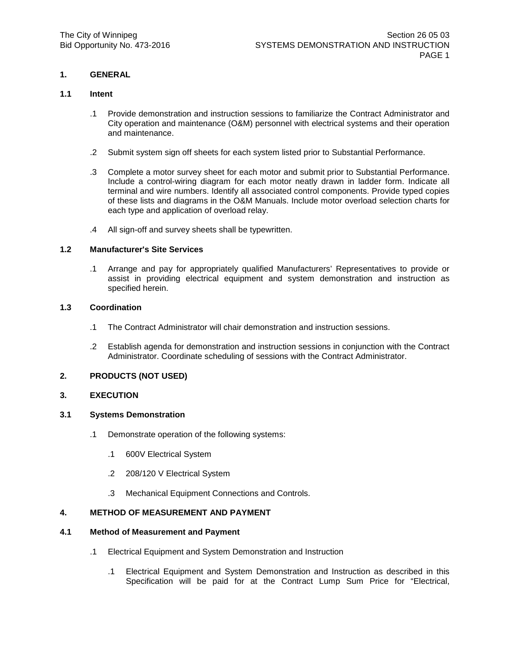### **1.1 Intent**

- .1 Provide demonstration and instruction sessions to familiarize the Contract Administrator and City operation and maintenance (O&M) personnel with electrical systems and their operation and maintenance.
- .2 Submit system sign off sheets for each system listed prior to Substantial Performance.
- .3 Complete a motor survey sheet for each motor and submit prior to Substantial Performance. Include a control-wiring diagram for each motor neatly drawn in ladder form. Indicate all terminal and wire numbers. Identify all associated control components. Provide typed copies of these lists and diagrams in the O&M Manuals. Include motor overload selection charts for each type and application of overload relay.
- .4 All sign-off and survey sheets shall be typewritten.

## **1.2 Manufacturer's Site Services**

.1 Arrange and pay for appropriately qualified Manufacturers' Representatives to provide or assist in providing electrical equipment and system demonstration and instruction as specified herein.

# **1.3 Coordination**

- .1 The Contract Administrator will chair demonstration and instruction sessions.
- .2 Establish agenda for demonstration and instruction sessions in conjunction with the Contract Administrator. Coordinate scheduling of sessions with the Contract Administrator.

# **2. PRODUCTS (NOT USED)**

## **3. EXECUTION**

## **3.1 Systems Demonstration**

- .1 Demonstrate operation of the following systems:
	- .1 600V Electrical System
	- .2 208/120 V Electrical System
	- .3 Mechanical Equipment Connections and Controls.

# **4. METHOD OF MEASUREMENT AND PAYMENT**

## **4.1 Method of Measurement and Payment**

- .1 Electrical Equipment and System Demonstration and Instruction
	- .1 Electrical Equipment and System Demonstration and Instruction as described in this Specification will be paid for at the Contract Lump Sum Price for "Electrical,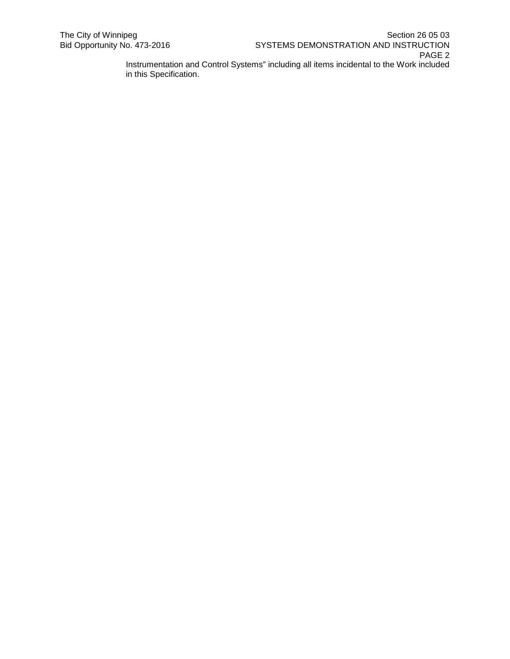in this Specification.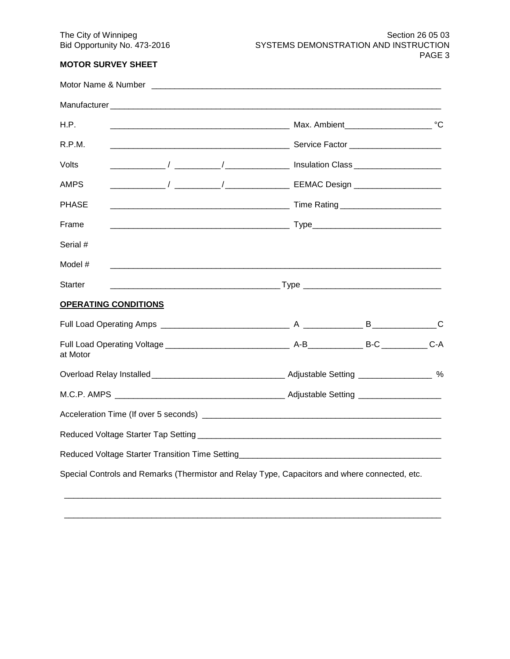# **MOTOR SURVEY SHEET**

| Motor Name & Number         |  |  |                                                                                               |  |  |  |  |
|-----------------------------|--|--|-----------------------------------------------------------------------------------------------|--|--|--|--|
|                             |  |  |                                                                                               |  |  |  |  |
| H.P.                        |  |  |                                                                                               |  |  |  |  |
| R.P.M.                      |  |  |                                                                                               |  |  |  |  |
| Volts                       |  |  |                                                                                               |  |  |  |  |
| <b>AMPS</b>                 |  |  |                                                                                               |  |  |  |  |
| <b>PHASE</b>                |  |  |                                                                                               |  |  |  |  |
| Frame                       |  |  |                                                                                               |  |  |  |  |
| Serial #                    |  |  |                                                                                               |  |  |  |  |
| Model #                     |  |  |                                                                                               |  |  |  |  |
| <b>Starter</b>              |  |  |                                                                                               |  |  |  |  |
| <b>OPERATING CONDITIONS</b> |  |  |                                                                                               |  |  |  |  |
|                             |  |  |                                                                                               |  |  |  |  |
| at Motor                    |  |  |                                                                                               |  |  |  |  |
|                             |  |  |                                                                                               |  |  |  |  |
|                             |  |  |                                                                                               |  |  |  |  |
|                             |  |  |                                                                                               |  |  |  |  |
|                             |  |  |                                                                                               |  |  |  |  |
|                             |  |  | Reduced Voltage Starter Transition Time Setting_________________________________              |  |  |  |  |
|                             |  |  | Special Controls and Remarks (Thermistor and Relay Type, Capacitors and where connected, etc. |  |  |  |  |

\_\_\_\_\_\_\_\_\_\_\_\_\_\_\_\_\_\_\_\_\_\_\_\_\_\_\_\_\_\_\_\_\_\_\_\_\_\_\_\_\_\_\_\_\_\_\_\_\_\_\_\_\_\_\_\_\_\_\_\_\_\_\_\_\_\_\_\_\_\_\_\_\_\_\_\_\_\_\_\_\_\_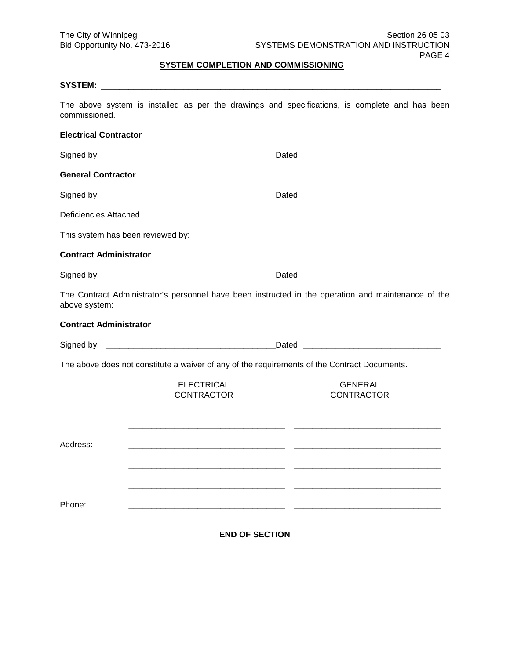# **SYSTEM COMPLETION AND COMMISSIONING**

| commissioned.                     | The above system is installed as per the drawings and specifications, is complete and has been      |                                     |  |
|-----------------------------------|-----------------------------------------------------------------------------------------------------|-------------------------------------|--|
| <b>Electrical Contractor</b>      |                                                                                                     |                                     |  |
|                                   |                                                                                                     |                                     |  |
| <b>General Contractor</b>         |                                                                                                     |                                     |  |
|                                   |                                                                                                     |                                     |  |
| <b>Deficiencies Attached</b>      |                                                                                                     |                                     |  |
| This system has been reviewed by: |                                                                                                     |                                     |  |
| <b>Contract Administrator</b>     |                                                                                                     |                                     |  |
|                                   |                                                                                                     |                                     |  |
| above system:                     | The Contract Administrator's personnel have been instructed in the operation and maintenance of the |                                     |  |
| <b>Contract Administrator</b>     |                                                                                                     |                                     |  |
|                                   |                                                                                                     |                                     |  |
|                                   | The above does not constitute a waiver of any of the requirements of the Contract Documents.        |                                     |  |
|                                   | <b>ELECTRICAL</b><br><b>CONTRACTOR</b>                                                              | <b>GENERAL</b><br><b>CONTRACTOR</b> |  |
| Address:                          |                                                                                                     |                                     |  |
|                                   |                                                                                                     |                                     |  |
|                                   |                                                                                                     |                                     |  |
| Phone:                            |                                                                                                     |                                     |  |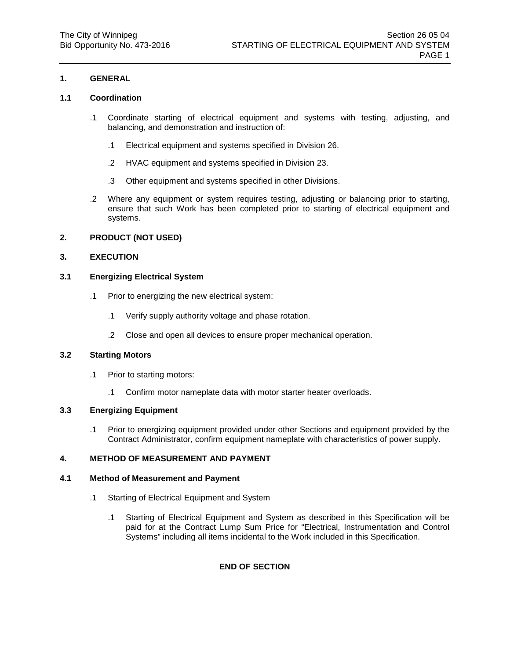# **1.1 Coordination**

- .1 Coordinate starting of electrical equipment and systems with testing, adjusting, and balancing, and demonstration and instruction of:
	- .1 Electrical equipment and systems specified in Division 26.
	- .2 HVAC equipment and systems specified in Division 23.
	- .3 Other equipment and systems specified in other Divisions.
- .2 Where any equipment or system requires testing, adjusting or balancing prior to starting, ensure that such Work has been completed prior to starting of electrical equipment and systems.

## **2. PRODUCT (NOT USED)**

## **3. EXECUTION**

## **3.1 Energizing Electrical System**

- .1 Prior to energizing the new electrical system:
	- .1 Verify supply authority voltage and phase rotation.
	- .2 Close and open all devices to ensure proper mechanical operation.

## **3.2 Starting Motors**

- .1 Prior to starting motors:
	- .1 Confirm motor nameplate data with motor starter heater overloads.

## **3.3 Energizing Equipment**

.1 Prior to energizing equipment provided under other Sections and equipment provided by the Contract Administrator, confirm equipment nameplate with characteristics of power supply.

# **4. METHOD OF MEASUREMENT AND PAYMENT**

## **4.1 Method of Measurement and Payment**

- .1 Starting of Electrical Equipment and System
	- .1 Starting of Electrical Equipment and System as described in this Specification will be paid for at the Contract Lump Sum Price for "Electrical, Instrumentation and Control Systems" including all items incidental to the Work included in this Specification.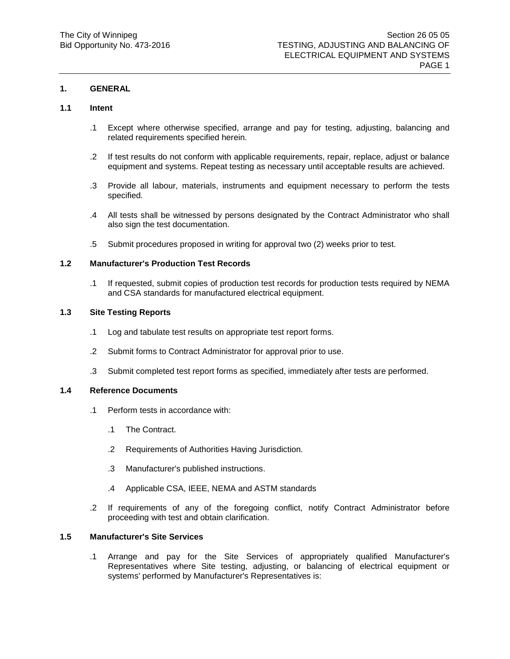#### **1.1 Intent**

- .1 Except where otherwise specified, arrange and pay for testing, adjusting, balancing and related requirements specified herein.
- .2 If test results do not conform with applicable requirements, repair, replace, adjust or balance equipment and systems. Repeat testing as necessary until acceptable results are achieved.
- .3 Provide all labour, materials, instruments and equipment necessary to perform the tests specified.
- .4 All tests shall be witnessed by persons designated by the Contract Administrator who shall also sign the test documentation.
- .5 Submit procedures proposed in writing for approval two (2) weeks prior to test.

#### **1.2 Manufacturer's Production Test Records**

.1 If requested, submit copies of production test records for production tests required by NEMA and CSA standards for manufactured electrical equipment.

# **1.3 Site Testing Reports**

- .1 Log and tabulate test results on appropriate test report forms.
- .2 Submit forms to Contract Administrator for approval prior to use.
- .3 Submit completed test report forms as specified, immediately after tests are performed.

# **1.4 Reference Documents**

- .1 Perform tests in accordance with:
	- .1 The Contract.
	- .2 Requirements of Authorities Having Jurisdiction.
	- .3 Manufacturer's published instructions.
	- .4 Applicable CSA, IEEE, NEMA and ASTM standards
- .2 If requirements of any of the foregoing conflict, notify Contract Administrator before proceeding with test and obtain clarification.

# **1.5 Manufacturer's Site Services**

.1 Arrange and pay for the Site Services of appropriately qualified Manufacturer's Representatives where Site testing, adjusting, or balancing of electrical equipment or systems' performed by Manufacturer's Representatives is: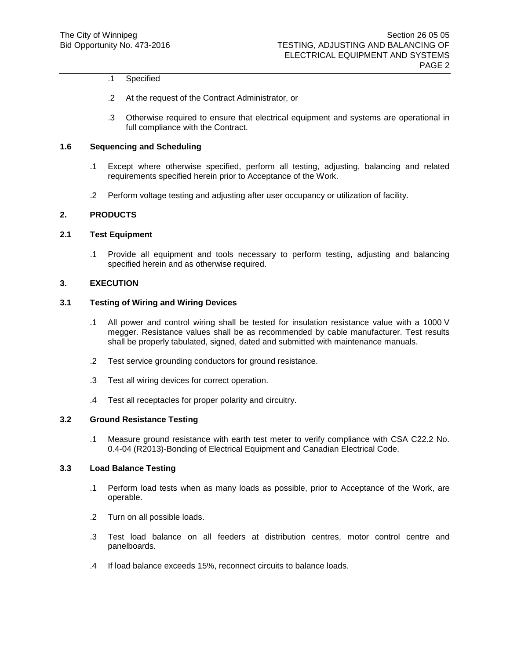# .1 Specified

- .2 At the request of the Contract Administrator, or
- .3 Otherwise required to ensure that electrical equipment and systems are operational in full compliance with the Contract.

# **1.6 Sequencing and Scheduling**

- .1 Except where otherwise specified, perform all testing, adjusting, balancing and related requirements specified herein prior to Acceptance of the Work.
- .2 Perform voltage testing and adjusting after user occupancy or utilization of facility.

## **2. PRODUCTS**

# **2.1 Test Equipment**

.1 Provide all equipment and tools necessary to perform testing, adjusting and balancing specified herein and as otherwise required.

#### **3. EXECUTION**

### **3.1 Testing of Wiring and Wiring Devices**

- .1 All power and control wiring shall be tested for insulation resistance value with a 1000 V megger. Resistance values shall be as recommended by cable manufacturer. Test results shall be properly tabulated, signed, dated and submitted with maintenance manuals.
- .2 Test service grounding conductors for ground resistance.
- .3 Test all wiring devices for correct operation.
- .4 Test all receptacles for proper polarity and circuitry.

#### **3.2 Ground Resistance Testing**

.1 Measure ground resistance with earth test meter to verify compliance with CSA C22.2 No. 0.4-04 (R2013)-Bonding of Electrical Equipment and Canadian Electrical Code.

### **3.3 Load Balance Testing**

- .1 Perform load tests when as many loads as possible, prior to Acceptance of the Work, are operable.
- .2 Turn on all possible loads.
- .3 Test load balance on all feeders at distribution centres, motor control centre and panelboards.
- .4 If load balance exceeds 15%, reconnect circuits to balance loads.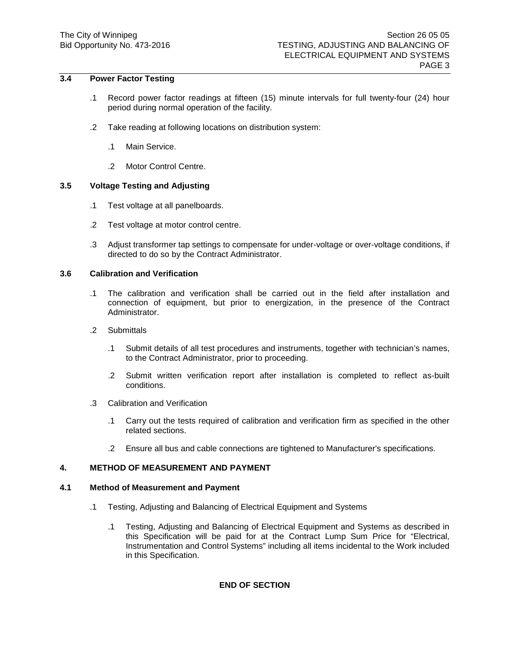# **3.4 Power Factor Testing**

- .1 Record power factor readings at fifteen (15) minute intervals for full twenty-four (24) hour period during normal operation of the facility.
- .2 Take reading at following locations on distribution system:
	- .1 Main Service.
	- .2 Motor Control Centre.

# **3.5 Voltage Testing and Adjusting**

- .1 Test voltage at all panelboards.
- .2 Test voltage at motor control centre.
- .3 Adjust transformer tap settings to compensate for under-voltage or over-voltage conditions, if directed to do so by the Contract Administrator.

# **3.6 Calibration and Verification**

- .1 The calibration and verification shall be carried out in the field after installation and connection of equipment, but prior to energization, in the presence of the Contract Administrator.
- .2 Submittals
	- .1 Submit details of all test procedures and instruments, together with technician's names, to the Contract Administrator, prior to proceeding.
	- .2 Submit written verification report after installation is completed to reflect as-built conditions.
- .3 Calibration and Verification
	- .1 Carry out the tests required of calibration and verification firm as specified in the other related sections.
	- .2 Ensure all bus and cable connections are tightened to Manufacturer's specifications.

# **4. METHOD OF MEASUREMENT AND PAYMENT**

## **4.1 Method of Measurement and Payment**

- .1 Testing, Adjusting and Balancing of Electrical Equipment and Systems
	- .1 Testing, Adjusting and Balancing of Electrical Equipment and Systems as described in this Specification will be paid for at the Contract Lump Sum Price for "Electrical, Instrumentation and Control Systems" including all items incidental to the Work included in this Specification.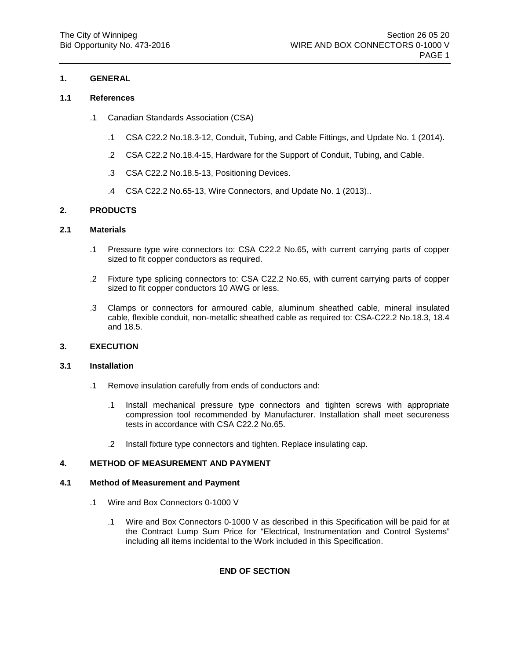# **1.1 References**

- .1 Canadian Standards Association (CSA)
	- .1 CSA C22.2 No.18.3-12, Conduit, Tubing, and Cable Fittings, and Update No. 1 (2014).
	- .2 CSA C22.2 No.18.4-15, Hardware for the Support of Conduit, Tubing, and Cable.
	- .3 CSA C22.2 No.18.5-13, Positioning Devices.
	- .4 CSA C22.2 No.65-13, Wire Connectors, and Update No. 1 (2013)..

# **2. PRODUCTS**

# **2.1 Materials**

- .1 Pressure type wire connectors to: CSA C22.2 No.65, with current carrying parts of copper sized to fit copper conductors as required.
- .2 Fixture type splicing connectors to: CSA C22.2 No.65, with current carrying parts of copper sized to fit copper conductors 10 AWG or less.
- .3 Clamps or connectors for armoured cable, aluminum sheathed cable, mineral insulated cable, flexible conduit, non-metallic sheathed cable as required to: CSA-C22.2 No.18.3, 18.4 and 18.5.

# **3. EXECUTION**

# **3.1 Installation**

- .1 Remove insulation carefully from ends of conductors and:
	- .1 Install mechanical pressure type connectors and tighten screws with appropriate compression tool recommended by Manufacturer. Installation shall meet secureness tests in accordance with CSA C22.2 No.65.
	- .2 Install fixture type connectors and tighten. Replace insulating cap.

# **4. METHOD OF MEASUREMENT AND PAYMENT**

# **4.1 Method of Measurement and Payment**

- .1 Wire and Box Connectors 0-1000 V
	- .1 Wire and Box Connectors 0-1000 V as described in this Specification will be paid for at the Contract Lump Sum Price for "Electrical, Instrumentation and Control Systems" including all items incidental to the Work included in this Specification.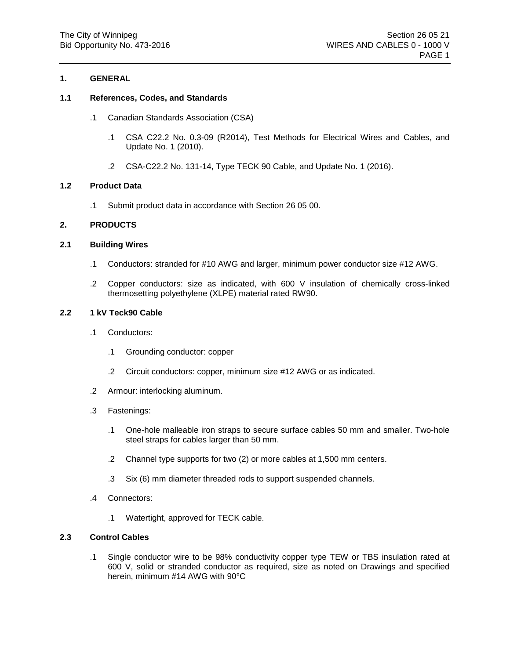# **1.1 References, Codes, and Standards**

- .1 Canadian Standards Association (CSA)
	- .1 CSA C22.2 No. 0.3-09 (R2014), Test Methods for Electrical Wires and Cables, and Update No. 1 (2010).
	- .2 CSA-C22.2 No. 131-14, Type TECK 90 Cable, and Update No. 1 (2016).

## **1.2 Product Data**

.1 Submit product data in accordance with Section 26 05 00.

# **2. PRODUCTS**

## **2.1 Building Wires**

- .1 Conductors: stranded for #10 AWG and larger, minimum power conductor size #12 AWG.
- .2 Copper conductors: size as indicated, with 600 V insulation of chemically cross-linked thermosetting polyethylene (XLPE) material rated RW90.

# **2.2 1 kV Teck90 Cable**

- .1 Conductors:
	- .1 Grounding conductor: copper
	- .2 Circuit conductors: copper, minimum size #12 AWG or as indicated.
- .2 Armour: interlocking aluminum.
- .3 Fastenings:
	- .1 One-hole malleable iron straps to secure surface cables 50 mm and smaller. Two-hole steel straps for cables larger than 50 mm.
	- .2 Channel type supports for two (2) or more cables at 1,500 mm centers.
	- .3 Six (6) mm diameter threaded rods to support suspended channels.
- .4 Connectors:
	- .1 Watertight, approved for TECK cable.

## **2.3 Control Cables**

.1 Single conductor wire to be 98% conductivity copper type TEW or TBS insulation rated at 600 V, solid or stranded conductor as required, size as noted on Drawings and specified herein, minimum #14 AWG with 90°C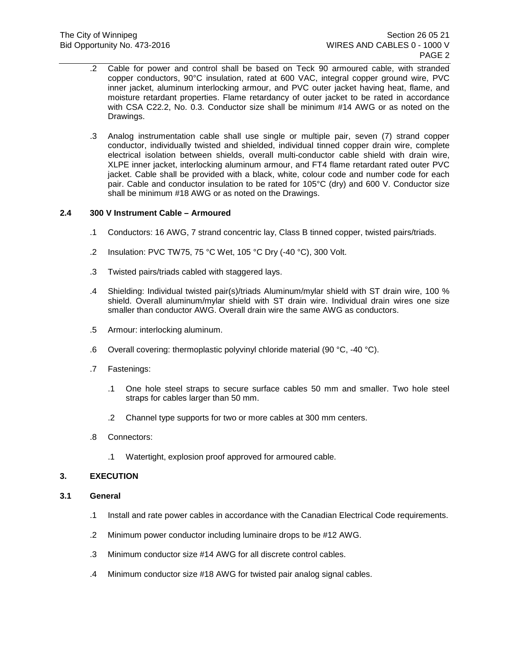- .2 Cable for power and control shall be based on Teck 90 armoured cable, with stranded copper conductors, 90°C insulation, rated at 600 VAC, integral copper ground wire, PVC inner jacket, aluminum interlocking armour, and PVC outer jacket having heat, flame, and moisture retardant properties. Flame retardancy of outer jacket to be rated in accordance with CSA C22.2, No. 0.3. Conductor size shall be minimum #14 AWG or as noted on the Drawings.
- .3 Analog instrumentation cable shall use single or multiple pair, seven (7) strand copper conductor, individually twisted and shielded, individual tinned copper drain wire, complete electrical isolation between shields, overall multi-conductor cable shield with drain wire, XLPE inner jacket, interlocking aluminum armour, and FT4 flame retardant rated outer PVC jacket. Cable shall be provided with a black, white, colour code and number code for each pair. Cable and conductor insulation to be rated for 105°C (dry) and 600 V. Conductor size shall be minimum #18 AWG or as noted on the Drawings.

# **2.4 300 V Instrument Cable – Armoured**

- .1 Conductors: 16 AWG, 7 strand concentric lay, Class B tinned copper, twisted pairs/triads.
- .2 Insulation: PVC TW75, 75 °C Wet, 105 °C Dry (-40 °C), 300 Volt.
- .3 Twisted pairs/triads cabled with staggered lays.
- .4 Shielding: Individual twisted pair(s)/triads Aluminum/mylar shield with ST drain wire, 100 % shield. Overall aluminum/mylar shield with ST drain wire. Individual drain wires one size smaller than conductor AWG. Overall drain wire the same AWG as conductors.
- .5 Armour: interlocking aluminum.
- .6 Overall covering: thermoplastic polyvinyl chloride material (90 °C, -40 °C).
- .7 Fastenings:
	- .1 One hole steel straps to secure surface cables 50 mm and smaller. Two hole steel straps for cables larger than 50 mm.
	- .2 Channel type supports for two or more cables at 300 mm centers.
- .8 Connectors:
	- .1 Watertight, explosion proof approved for armoured cable.

# **3. EXECUTION**

## **3.1 General**

- .1 Install and rate power cables in accordance with the Canadian Electrical Code requirements.
- .2 Minimum power conductor including luminaire drops to be #12 AWG.
- .3 Minimum conductor size #14 AWG for all discrete control cables.
- .4 Minimum conductor size #18 AWG for twisted pair analog signal cables.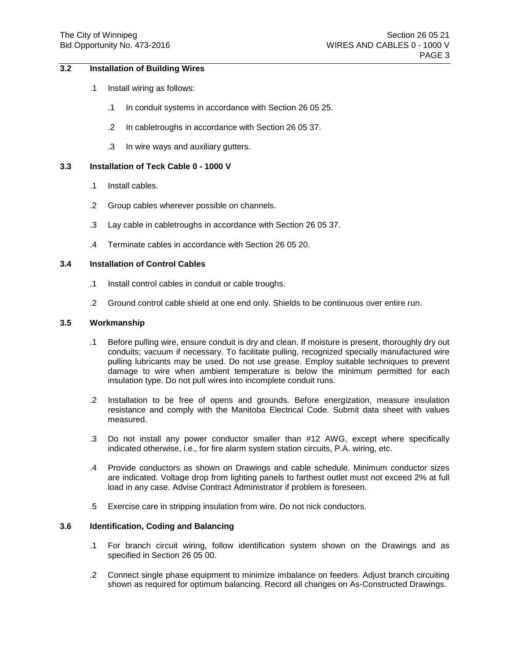# **3.2 Installation of Building Wires**

- .1 Install wiring as follows:
	- .1 In conduit systems in accordance with Section 26 05 25.
	- .2 In cabletroughs in accordance with Section 26 05 37.
	- .3 In wire ways and auxiliary gutters.

# **3.3 Installation of Teck Cable 0 - 1000 V**

- .1 Install cables.
- .2 Group cables wherever possible on channels.
- .3 Lay cable in cabletroughs in accordance with Section 26 05 37.
- .4 Terminate cables in accordance with Section 26 05 20.

## **3.4 Installation of Control Cables**

- .1 Install control cables in conduit or cable troughs.
- .2 Ground control cable shield at one end only. Shields to be continuous over entire run.

#### **3.5 Workmanship**

- .1 Before pulling wire, ensure conduit is dry and clean. If moisture is present, thoroughly dry out conduits; vacuum if necessary. To facilitate pulling, recognized specially manufactured wire pulling lubricants may be used. Do not use grease. Employ suitable techniques to prevent damage to wire when ambient temperature is below the minimum permitted for each insulation type. Do not pull wires into incomplete conduit runs.
- .2 Installation to be free of opens and grounds. Before energization, measure insulation resistance and comply with the Manitoba Electrical Code. Submit data sheet with values measured.
- .3 Do not install any power conductor smaller than #12 AWG, except where specifically indicated otherwise, i.e., for fire alarm system station circuits, P.A. wiring, etc.
- .4 Provide conductors as shown on Drawings and cable schedule. Minimum conductor sizes are indicated. Voltage drop from lighting panels to farthest outlet must not exceed 2% at full load in any case. Advise Contract Administrator if problem is foreseen.
- .5 Exercise care in stripping insulation from wire. Do not nick conductors.

# **3.6 Identification, Coding and Balancing**

- .1 For branch circuit wiring, follow identification system shown on the Drawings and as specified in Section 26 05 00.
- .2 Connect single phase equipment to minimize imbalance on feeders. Adjust branch circuiting shown as required for optimum balancing. Record all changes on As-Constructed Drawings.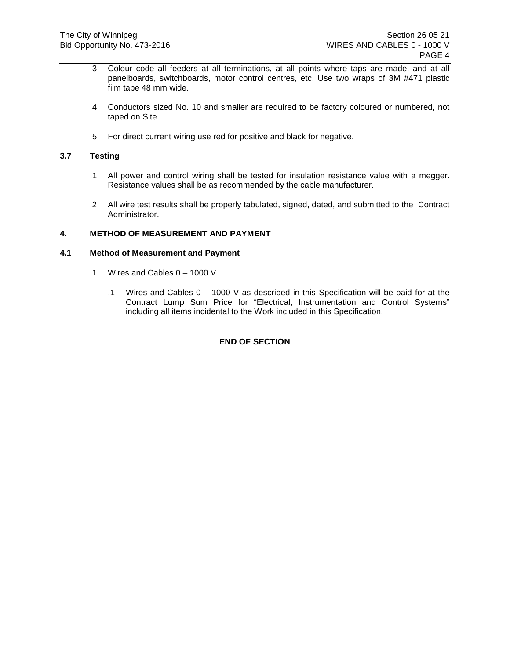- .3 Colour code all feeders at all terminations, at all points where taps are made, and at all panelboards, switchboards, motor control centres, etc. Use two wraps of 3M #471 plastic film tape 48 mm wide.
- .4 Conductors sized No. 10 and smaller are required to be factory coloured or numbered, not taped on Site.
- .5 For direct current wiring use red for positive and black for negative.

# **3.7 Testing**

- .1 All power and control wiring shall be tested for insulation resistance value with a megger. Resistance values shall be as recommended by the cable manufacturer.
- .2 All wire test results shall be properly tabulated, signed, dated, and submitted to the Contract Administrator.

# **4. METHOD OF MEASUREMENT AND PAYMENT**

# **4.1 Method of Measurement and Payment**

- .1 Wires and Cables 0 1000 V
	- .1 Wires and Cables 0 1000 V as described in this Specification will be paid for at the Contract Lump Sum Price for "Electrical, Instrumentation and Control Systems" including all items incidental to the Work included in this Specification.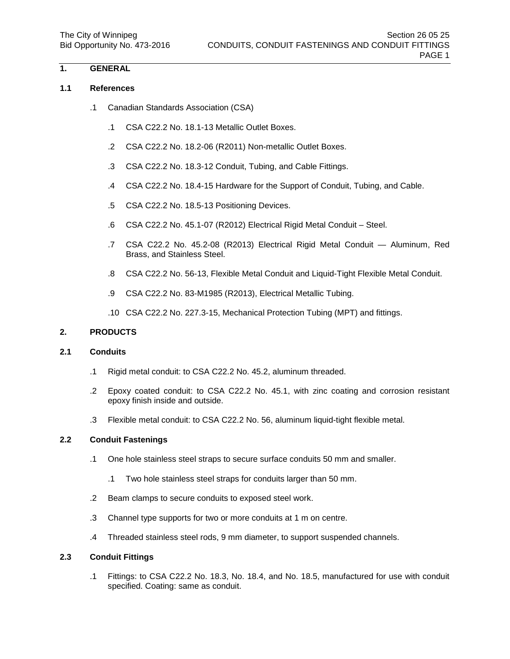## **1.1 References**

- .1 Canadian Standards Association (CSA)
	- .1 CSA C22.2 No. 18.1-13 Metallic Outlet Boxes.
	- .2 CSA C22.2 No. 18.2-06 (R2011) Non-metallic Outlet Boxes.
	- .3 CSA C22.2 No. 18.3-12 Conduit, Tubing, and Cable Fittings.
	- .4 CSA C22.2 No. 18.4-15 Hardware for the Support of Conduit, Tubing, and Cable.
	- .5 CSA C22.2 No. 18.5-13 Positioning Devices.
	- .6 CSA C22.2 No. 45.1-07 (R2012) Electrical Rigid Metal Conduit Steel.
	- .7 CSA C22.2 No. 45.2-08 (R2013) Electrical Rigid Metal Conduit Aluminum, Red Brass, and Stainless Steel.
	- .8 CSA C22.2 No. 56-13, Flexible Metal Conduit and Liquid-Tight Flexible Metal Conduit.
	- .9 CSA C22.2 No. 83-M1985 (R2013), Electrical Metallic Tubing.
	- .10 CSA C22.2 No. 227.3-15, Mechanical Protection Tubing (MPT) and fittings.

## **2. PRODUCTS**

# **2.1 Conduits**

- .1 Rigid metal conduit: to CSA C22.2 No. 45.2, aluminum threaded.
- .2 Epoxy coated conduit: to CSA C22.2 No. 45.1, with zinc coating and corrosion resistant epoxy finish inside and outside.
- .3 Flexible metal conduit: to CSA C22.2 No. 56, aluminum liquid-tight flexible metal.

# **2.2 Conduit Fastenings**

- .1 One hole stainless steel straps to secure surface conduits 50 mm and smaller.
	- .1 Two hole stainless steel straps for conduits larger than 50 mm.
- .2 Beam clamps to secure conduits to exposed steel work.
- .3 Channel type supports for two or more conduits at 1 m on centre.
- .4 Threaded stainless steel rods, 9 mm diameter, to support suspended channels.

## **2.3 Conduit Fittings**

.1 Fittings: to CSA C22.2 No. 18.3, No. 18.4, and No. 18.5, manufactured for use with conduit specified. Coating: same as conduit.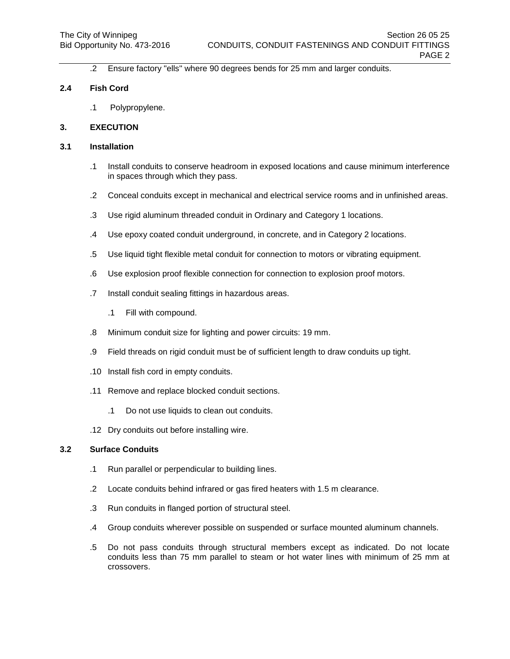.2 Ensure factory "ells" where 90 degrees bends for 25 mm and larger conduits.

## **2.4 Fish Cord**

.1 Polypropylene.

## **3. EXECUTION**

# **3.1 Installation**

- .1 Install conduits to conserve headroom in exposed locations and cause minimum interference in spaces through which they pass.
- .2 Conceal conduits except in mechanical and electrical service rooms and in unfinished areas.
- .3 Use rigid aluminum threaded conduit in Ordinary and Category 1 locations.
- .4 Use epoxy coated conduit underground, in concrete, and in Category 2 locations.
- .5 Use liquid tight flexible metal conduit for connection to motors or vibrating equipment.
- .6 Use explosion proof flexible connection for connection to explosion proof motors.
- .7 Install conduit sealing fittings in hazardous areas.
	- .1 Fill with compound.
- .8 Minimum conduit size for lighting and power circuits: 19 mm.
- .9 Field threads on rigid conduit must be of sufficient length to draw conduits up tight.
- .10 Install fish cord in empty conduits.
- .11 Remove and replace blocked conduit sections.
	- .1 Do not use liquids to clean out conduits.
- .12 Dry conduits out before installing wire.

## **3.2 Surface Conduits**

- .1 Run parallel or perpendicular to building lines.
- .2 Locate conduits behind infrared or gas fired heaters with 1.5 m clearance.
- .3 Run conduits in flanged portion of structural steel.
- .4 Group conduits wherever possible on suspended or surface mounted aluminum channels.
- .5 Do not pass conduits through structural members except as indicated. Do not locate conduits less than 75 mm parallel to steam or hot water lines with minimum of 25 mm at crossovers.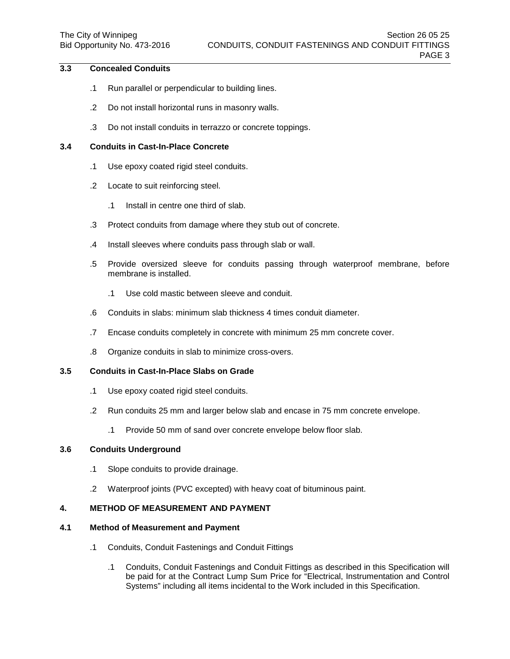# **3.3 Concealed Conduits**

- .1 Run parallel or perpendicular to building lines.
- .2 Do not install horizontal runs in masonry walls.
- .3 Do not install conduits in terrazzo or concrete toppings.

# **3.4 Conduits in Cast-In-Place Concrete**

- .1 Use epoxy coated rigid steel conduits.
- .2 Locate to suit reinforcing steel.
	- .1 Install in centre one third of slab.
- .3 Protect conduits from damage where they stub out of concrete.
- .4 Install sleeves where conduits pass through slab or wall.
- .5 Provide oversized sleeve for conduits passing through waterproof membrane, before membrane is installed.
	- .1 Use cold mastic between sleeve and conduit.
- .6 Conduits in slabs: minimum slab thickness 4 times conduit diameter.
- .7 Encase conduits completely in concrete with minimum 25 mm concrete cover.
- .8 Organize conduits in slab to minimize cross-overs.

# **3.5 Conduits in Cast-In-Place Slabs on Grade**

- .1 Use epoxy coated rigid steel conduits.
- .2 Run conduits 25 mm and larger below slab and encase in 75 mm concrete envelope.
	- .1 Provide 50 mm of sand over concrete envelope below floor slab.

## **3.6 Conduits Underground**

- .1 Slope conduits to provide drainage.
- .2 Waterproof joints (PVC excepted) with heavy coat of bituminous paint.

# **4. METHOD OF MEASUREMENT AND PAYMENT**

## **4.1 Method of Measurement and Payment**

- .1 Conduits, Conduit Fastenings and Conduit Fittings
	- .1 Conduits, Conduit Fastenings and Conduit Fittings as described in this Specification will be paid for at the Contract Lump Sum Price for "Electrical, Instrumentation and Control Systems" including all items incidental to the Work included in this Specification.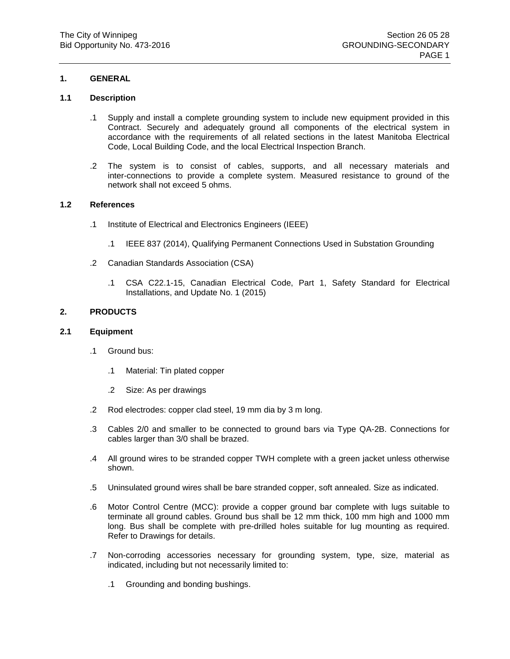# **1.1 Description**

- .1 Supply and install a complete grounding system to include new equipment provided in this Contract. Securely and adequately ground all components of the electrical system in accordance with the requirements of all related sections in the latest Manitoba Electrical Code, Local Building Code, and the local Electrical Inspection Branch.
- .2 The system is to consist of cables, supports, and all necessary materials and inter-connections to provide a complete system. Measured resistance to ground of the network shall not exceed 5 ohms.

## **1.2 References**

- .1 Institute of Electrical and Electronics Engineers (IEEE)
	- .1 IEEE 837 (2014), Qualifying Permanent Connections Used in Substation Grounding
- .2 Canadian Standards Association (CSA)
	- .1 CSA C22.1-15, Canadian Electrical Code, Part 1, Safety Standard for Electrical Installations, and Update No. 1 (2015)

## **2. PRODUCTS**

#### **2.1 Equipment**

- .1 Ground bus:
	- .1 Material: Tin plated copper
	- .2 Size: As per drawings
- .2 Rod electrodes: copper clad steel, 19 mm dia by 3 m long.
- .3 Cables 2/0 and smaller to be connected to ground bars via Type QA-2B. Connections for cables larger than 3/0 shall be brazed.
- .4 All ground wires to be stranded copper TWH complete with a green jacket unless otherwise shown.
- .5 Uninsulated ground wires shall be bare stranded copper, soft annealed. Size as indicated.
- .6 Motor Control Centre (MCC): provide a copper ground bar complete with lugs suitable to terminate all ground cables. Ground bus shall be 12 mm thick, 100 mm high and 1000 mm long. Bus shall be complete with pre-drilled holes suitable for lug mounting as required. Refer to Drawings for details.
- .7 Non-corroding accessories necessary for grounding system, type, size, material as indicated, including but not necessarily limited to:
	- .1 Grounding and bonding bushings.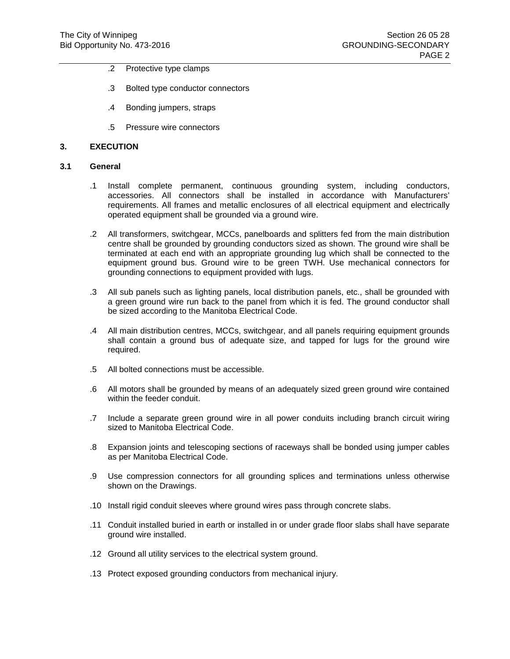- .2 Protective type clamps
- .3 Bolted type conductor connectors
- .4 Bonding jumpers, straps
- .5 Pressure wire connectors

#### **3. EXECUTION**

### **3.1 General**

- .1 Install complete permanent, continuous grounding system, including conductors, accessories. All connectors shall be installed in accordance with Manufacturers' requirements. All frames and metallic enclosures of all electrical equipment and electrically operated equipment shall be grounded via a ground wire.
- .2 All transformers, switchgear, MCCs, panelboards and splitters fed from the main distribution centre shall be grounded by grounding conductors sized as shown. The ground wire shall be terminated at each end with an appropriate grounding lug which shall be connected to the equipment ground bus. Ground wire to be green TWH. Use mechanical connectors for grounding connections to equipment provided with lugs.
- .3 All sub panels such as lighting panels, local distribution panels, etc., shall be grounded with a green ground wire run back to the panel from which it is fed. The ground conductor shall be sized according to the Manitoba Electrical Code.
- .4 All main distribution centres, MCCs, switchgear, and all panels requiring equipment grounds shall contain a ground bus of adequate size, and tapped for lugs for the ground wire required.
- .5 All bolted connections must be accessible.
- .6 All motors shall be grounded by means of an adequately sized green ground wire contained within the feeder conduit.
- .7 Include a separate green ground wire in all power conduits including branch circuit wiring sized to Manitoba Electrical Code.
- .8 Expansion joints and telescoping sections of raceways shall be bonded using jumper cables as per Manitoba Electrical Code.
- .9 Use compression connectors for all grounding splices and terminations unless otherwise shown on the Drawings.
- .10 Install rigid conduit sleeves where ground wires pass through concrete slabs.
- .11 Conduit installed buried in earth or installed in or under grade floor slabs shall have separate ground wire installed.
- .12 Ground all utility services to the electrical system ground.
- .13 Protect exposed grounding conductors from mechanical injury.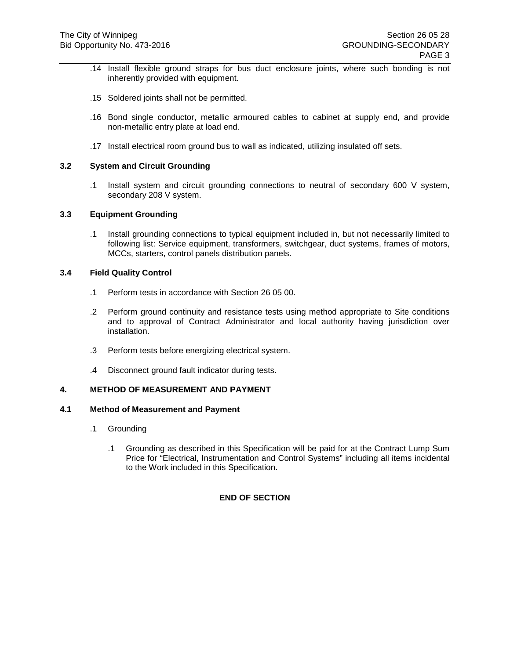- .14 Install flexible ground straps for bus duct enclosure joints, where such bonding is not inherently provided with equipment.
- .15 Soldered joints shall not be permitted.
- .16 Bond single conductor, metallic armoured cables to cabinet at supply end, and provide non-metallic entry plate at load end.
- .17 Install electrical room ground bus to wall as indicated, utilizing insulated off sets.

# **3.2 System and Circuit Grounding**

.1 Install system and circuit grounding connections to neutral of secondary 600 V system, secondary 208 V system.

### **3.3 Equipment Grounding**

.1 Install grounding connections to typical equipment included in, but not necessarily limited to following list: Service equipment, transformers, switchgear, duct systems, frames of motors, MCCs, starters, control panels distribution panels.

#### **3.4 Field Quality Control**

- .1 Perform tests in accordance with Section 26 05 00.
- .2 Perform ground continuity and resistance tests using method appropriate to Site conditions and to approval of Contract Administrator and local authority having jurisdiction over installation.
- .3 Perform tests before energizing electrical system.
- .4 Disconnect ground fault indicator during tests.

# **4. METHOD OF MEASUREMENT AND PAYMENT**

#### **4.1 Method of Measurement and Payment**

- .1 Grounding
	- .1 Grounding as described in this Specification will be paid for at the Contract Lump Sum Price for "Electrical, Instrumentation and Control Systems" including all items incidental to the Work included in this Specification.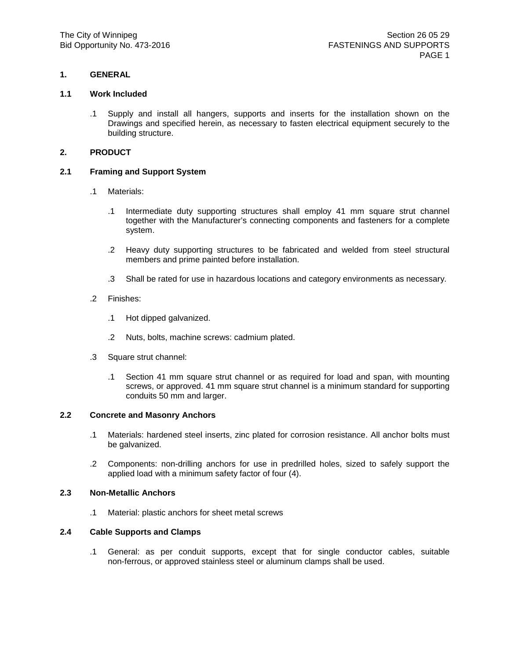### **1.1 Work Included**

.1 Supply and install all hangers, supports and inserts for the installation shown on the Drawings and specified herein, as necessary to fasten electrical equipment securely to the building structure.

# **2. PRODUCT**

## **2.1 Framing and Support System**

- .1 Materials:
	- .1 Intermediate duty supporting structures shall employ 41 mm square strut channel together with the Manufacturer's connecting components and fasteners for a complete system.
	- .2 Heavy duty supporting structures to be fabricated and welded from steel structural members and prime painted before installation.
	- .3 Shall be rated for use in hazardous locations and category environments as necessary.
- .2 Finishes:
	- .1 Hot dipped galvanized.
	- .2 Nuts, bolts, machine screws: cadmium plated.
- .3 Square strut channel:
	- .1 Section 41 mm square strut channel or as required for load and span, with mounting screws, or approved. 41 mm square strut channel is a minimum standard for supporting conduits 50 mm and larger.

## **2.2 Concrete and Masonry Anchors**

- .1 Materials: hardened steel inserts, zinc plated for corrosion resistance. All anchor bolts must be galvanized.
- .2 Components: non-drilling anchors for use in predrilled holes, sized to safely support the applied load with a minimum safety factor of four (4).

## **2.3 Non-Metallic Anchors**

.1 Material: plastic anchors for sheet metal screws

## **2.4 Cable Supports and Clamps**

.1 General: as per conduit supports, except that for single conductor cables, suitable non-ferrous, or approved stainless steel or aluminum clamps shall be used.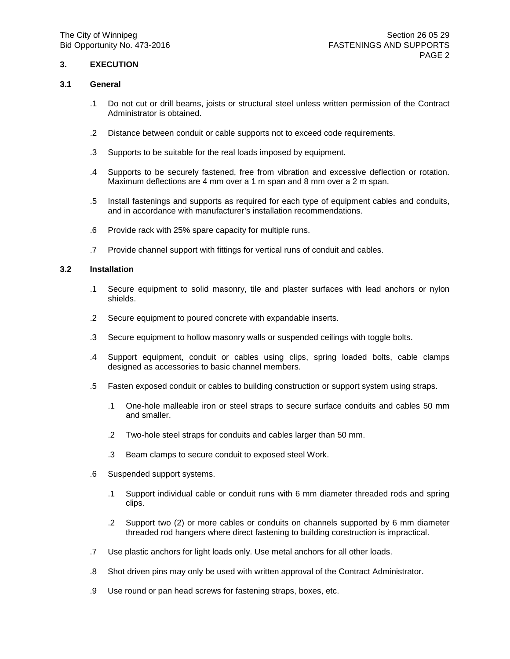# **3. EXECUTION**

### **3.1 General**

- .1 Do not cut or drill beams, joists or structural steel unless written permission of the Contract Administrator is obtained.
- .2 Distance between conduit or cable supports not to exceed code requirements.
- .3 Supports to be suitable for the real loads imposed by equipment.
- .4 Supports to be securely fastened, free from vibration and excessive deflection or rotation. Maximum deflections are 4 mm over a 1 m span and 8 mm over a 2 m span.
- .5 Install fastenings and supports as required for each type of equipment cables and conduits, and in accordance with manufacturer's installation recommendations.
- .6 Provide rack with 25% spare capacity for multiple runs.
- .7 Provide channel support with fittings for vertical runs of conduit and cables.

## **3.2 Installation**

- .1 Secure equipment to solid masonry, tile and plaster surfaces with lead anchors or nylon shields.
- .2 Secure equipment to poured concrete with expandable inserts.
- .3 Secure equipment to hollow masonry walls or suspended ceilings with toggle bolts.
- .4 Support equipment, conduit or cables using clips, spring loaded bolts, cable clamps designed as accessories to basic channel members.
- .5 Fasten exposed conduit or cables to building construction or support system using straps.
	- .1 One-hole malleable iron or steel straps to secure surface conduits and cables 50 mm and smaller.
	- .2 Two-hole steel straps for conduits and cables larger than 50 mm.
	- .3 Beam clamps to secure conduit to exposed steel Work.
- .6 Suspended support systems.
	- .1 Support individual cable or conduit runs with 6 mm diameter threaded rods and spring clips.
	- .2 Support two (2) or more cables or conduits on channels supported by 6 mm diameter threaded rod hangers where direct fastening to building construction is impractical.
- .7 Use plastic anchors for light loads only. Use metal anchors for all other loads.
- .8 Shot driven pins may only be used with written approval of the Contract Administrator.
- .9 Use round or pan head screws for fastening straps, boxes, etc.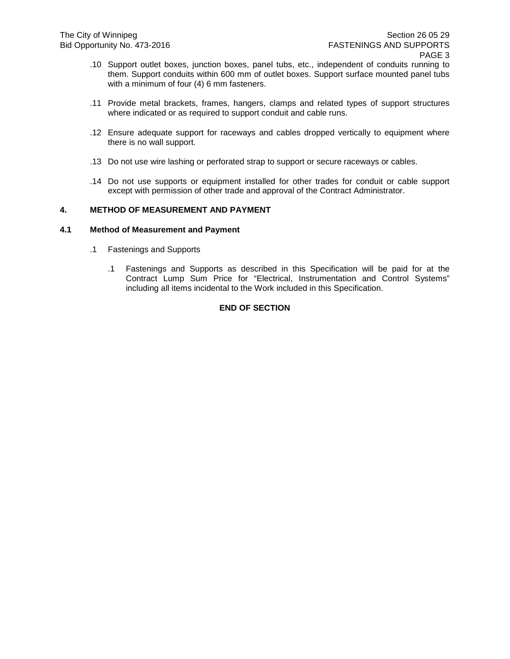- .10 Support outlet boxes, junction boxes, panel tubs, etc., independent of conduits running to them. Support conduits within 600 mm of outlet boxes. Support surface mounted panel tubs with a minimum of four (4) 6 mm fasteners.
- .11 Provide metal brackets, frames, hangers, clamps and related types of support structures where indicated or as required to support conduit and cable runs.
- .12 Ensure adequate support for raceways and cables dropped vertically to equipment where there is no wall support.
- .13 Do not use wire lashing or perforated strap to support or secure raceways or cables.
- .14 Do not use supports or equipment installed for other trades for conduit or cable support except with permission of other trade and approval of the Contract Administrator.

# **4. METHOD OF MEASUREMENT AND PAYMENT**

### **4.1 Method of Measurement and Payment**

- .1 Fastenings and Supports
	- .1 Fastenings and Supports as described in this Specification will be paid for at the Contract Lump Sum Price for "Electrical, Instrumentation and Control Systems" including all items incidental to the Work included in this Specification.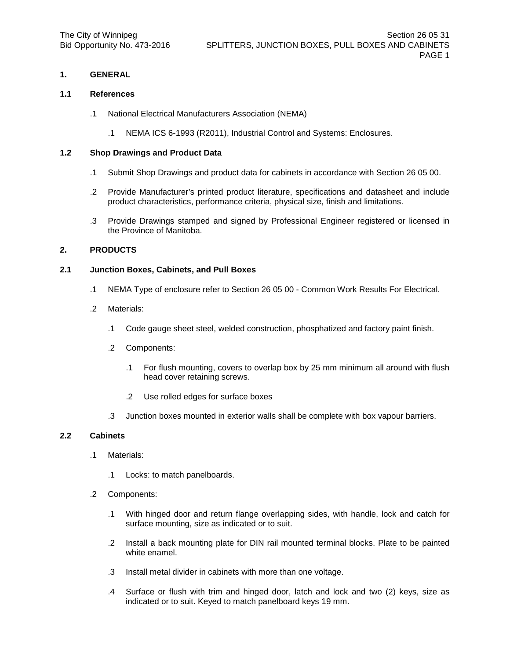#### **1.1 References**

- .1 National Electrical Manufacturers Association (NEMA)
	- .1 NEMA ICS 6-1993 (R2011), Industrial Control and Systems: Enclosures.

### **1.2 Shop Drawings and Product Data**

- .1 Submit Shop Drawings and product data for cabinets in accordance with Section 26 05 00.
- .2 Provide Manufacturer's printed product literature, specifications and datasheet and include product characteristics, performance criteria, physical size, finish and limitations.
- .3 Provide Drawings stamped and signed by Professional Engineer registered or licensed in the Province of Manitoba.

### **2. PRODUCTS**

## **2.1 Junction Boxes, Cabinets, and Pull Boxes**

- .1 NEMA Type of enclosure refer to Section 26 05 00 Common Work Results For Electrical.
- .2 Materials:
	- .1 Code gauge sheet steel, welded construction, phosphatized and factory paint finish.
	- .2 Components:
		- .1 For flush mounting, covers to overlap box by 25 mm minimum all around with flush head cover retaining screws.
		- .2 Use rolled edges for surface boxes
	- .3 Junction boxes mounted in exterior walls shall be complete with box vapour barriers.

#### **2.2 Cabinets**

- .1 Materials:
	- .1 Locks: to match panelboards.
- .2 Components:
	- .1 With hinged door and return flange overlapping sides, with handle, lock and catch for surface mounting, size as indicated or to suit.
	- .2 Install a back mounting plate for DIN rail mounted terminal blocks. Plate to be painted white enamel.
	- .3 Install metal divider in cabinets with more than one voltage.
	- .4 Surface or flush with trim and hinged door, latch and lock and two (2) keys, size as indicated or to suit. Keyed to match panelboard keys 19 mm.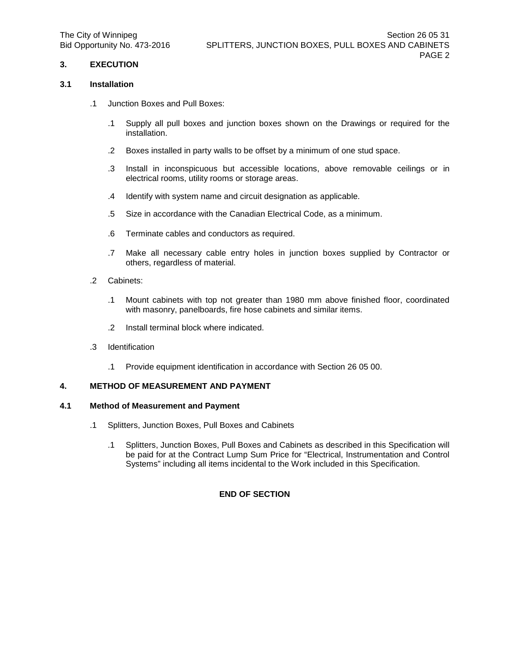# **3. EXECUTION**

### **3.1 Installation**

- .1 Junction Boxes and Pull Boxes:
	- .1 Supply all pull boxes and junction boxes shown on the Drawings or required for the installation.
	- .2 Boxes installed in party walls to be offset by a minimum of one stud space.
	- .3 Install in inconspicuous but accessible locations, above removable ceilings or in electrical rooms, utility rooms or storage areas.
	- .4 Identify with system name and circuit designation as applicable.
	- .5 Size in accordance with the Canadian Electrical Code, as a minimum.
	- .6 Terminate cables and conductors as required.
	- .7 Make all necessary cable entry holes in junction boxes supplied by Contractor or others, regardless of material.
- .2 Cabinets:
	- .1 Mount cabinets with top not greater than 1980 mm above finished floor, coordinated with masonry, panelboards, fire hose cabinets and similar items.
	- .2 Install terminal block where indicated.
- .3 Identification
	- .1 Provide equipment identification in accordance with Section 26 05 00.

### **4. METHOD OF MEASUREMENT AND PAYMENT**

#### **4.1 Method of Measurement and Payment**

- .1 Splitters, Junction Boxes, Pull Boxes and Cabinets
	- .1 Splitters, Junction Boxes, Pull Boxes and Cabinets as described in this Specification will be paid for at the Contract Lump Sum Price for "Electrical, Instrumentation and Control Systems" including all items incidental to the Work included in this Specification.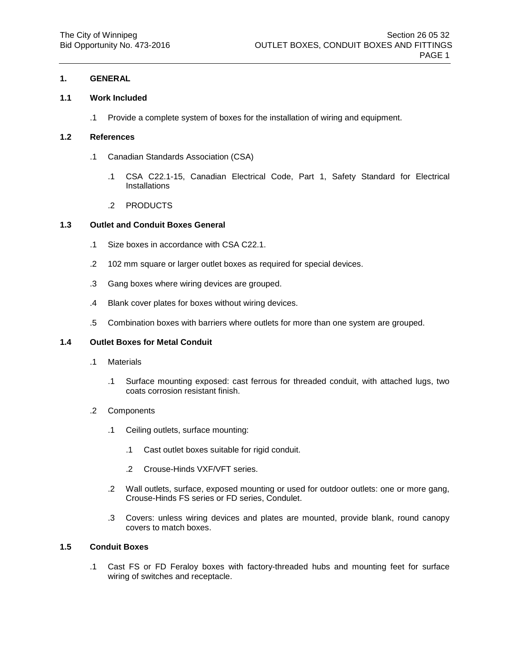### **1.1 Work Included**

.1 Provide a complete system of boxes for the installation of wiring and equipment.

## **1.2 References**

- .1 Canadian Standards Association (CSA)
	- .1 CSA C22.1-15, Canadian Electrical Code, Part 1, Safety Standard for Electrical Installations
	- .2 PRODUCTS

### **1.3 Outlet and Conduit Boxes General**

- .1 Size boxes in accordance with CSA C22.1.
- .2 102 mm square or larger outlet boxes as required for special devices.
- .3 Gang boxes where wiring devices are grouped.
- .4 Blank cover plates for boxes without wiring devices.
- .5 Combination boxes with barriers where outlets for more than one system are grouped.

#### **1.4 Outlet Boxes for Metal Conduit**

- .1 Materials
	- .1 Surface mounting exposed: cast ferrous for threaded conduit, with attached lugs, two coats corrosion resistant finish.
- .2 Components
	- .1 Ceiling outlets, surface mounting:
		- .1 Cast outlet boxes suitable for rigid conduit.
		- .2 Crouse-Hinds VXF/VFT series.
	- .2 Wall outlets, surface, exposed mounting or used for outdoor outlets: one or more gang, Crouse-Hinds FS series or FD series, Condulet.
	- .3 Covers: unless wiring devices and plates are mounted, provide blank, round canopy covers to match boxes.

#### **1.5 Conduit Boxes**

.1 Cast FS or FD Feraloy boxes with factory-threaded hubs and mounting feet for surface wiring of switches and receptacle.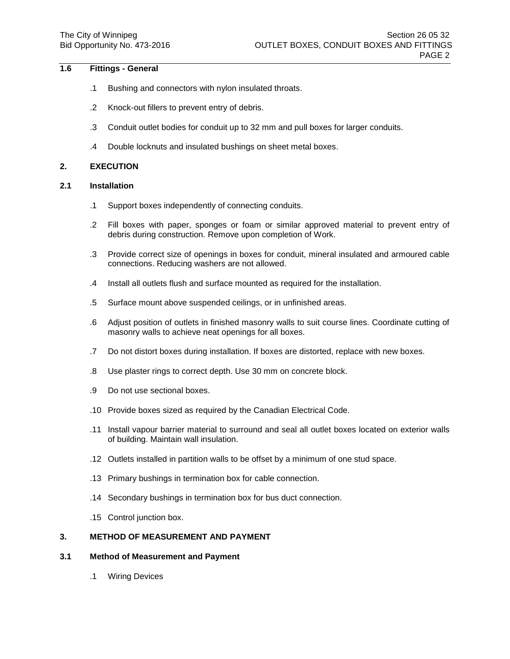## **1.6 Fittings - General**

- .1 Bushing and connectors with nylon insulated throats.
- .2 Knock-out fillers to prevent entry of debris.
- .3 Conduit outlet bodies for conduit up to 32 mm and pull boxes for larger conduits.
- .4 Double locknuts and insulated bushings on sheet metal boxes.

## **2. EXECUTION**

#### **2.1 Installation**

- .1 Support boxes independently of connecting conduits.
- .2 Fill boxes with paper, sponges or foam or similar approved material to prevent entry of debris during construction. Remove upon completion of Work.
- .3 Provide correct size of openings in boxes for conduit, mineral insulated and armoured cable connections. Reducing washers are not allowed.
- .4 Install all outlets flush and surface mounted as required for the installation.
- .5 Surface mount above suspended ceilings, or in unfinished areas.
- .6 Adjust position of outlets in finished masonry walls to suit course lines. Coordinate cutting of masonry walls to achieve neat openings for all boxes.
- .7 Do not distort boxes during installation. If boxes are distorted, replace with new boxes.
- .8 Use plaster rings to correct depth. Use 30 mm on concrete block.
- .9 Do not use sectional boxes.
- .10 Provide boxes sized as required by the Canadian Electrical Code.
- .11 Install vapour barrier material to surround and seal all outlet boxes located on exterior walls of building. Maintain wall insulation.
- .12 Outlets installed in partition walls to be offset by a minimum of one stud space.
- .13 Primary bushings in termination box for cable connection.
- .14 Secondary bushings in termination box for bus duct connection.
- .15 Control junction box.

## **3. METHOD OF MEASUREMENT AND PAYMENT**

#### **3.1 Method of Measurement and Payment**

.1 Wiring Devices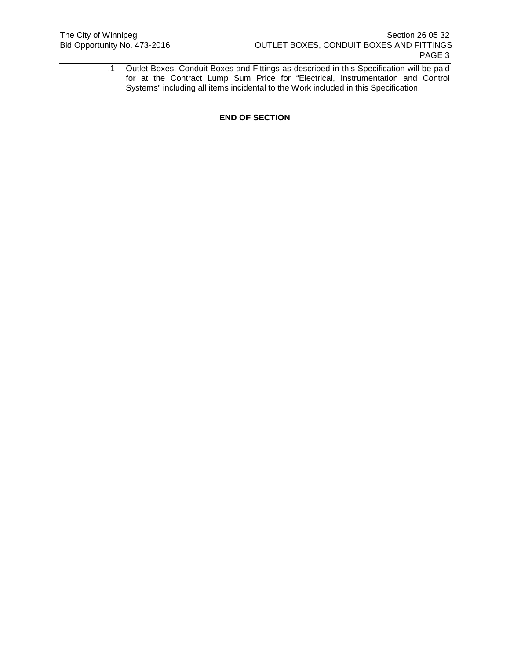.1 Outlet Boxes, Conduit Boxes and Fittings as described in this Specification will be paid for at the Contract Lump Sum Price for "Electrical, Instrumentation and Control Systems" including all items incidental to the Work included in this Specification.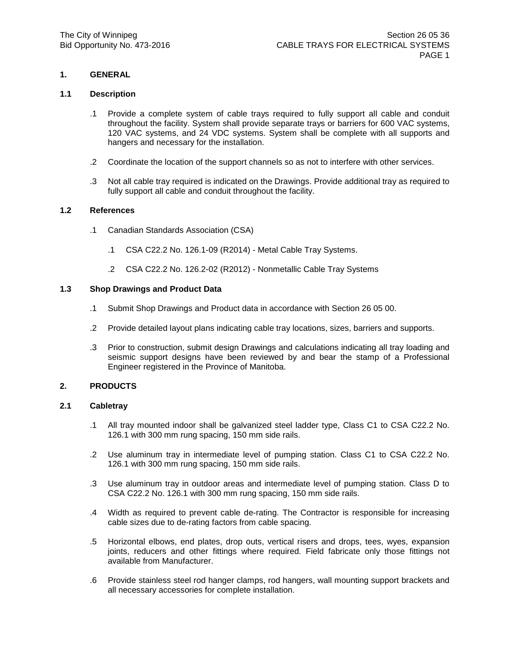#### **1.1 Description**

- .1 Provide a complete system of cable trays required to fully support all cable and conduit throughout the facility. System shall provide separate trays or barriers for 600 VAC systems, 120 VAC systems, and 24 VDC systems. System shall be complete with all supports and hangers and necessary for the installation.
- .2 Coordinate the location of the support channels so as not to interfere with other services.
- .3 Not all cable tray required is indicated on the Drawings. Provide additional tray as required to fully support all cable and conduit throughout the facility.

## **1.2 References**

- .1 Canadian Standards Association (CSA)
	- .1 CSA C22.2 No. 126.1-09 (R2014) Metal Cable Tray Systems.
	- .2 CSA C22.2 No. 126.2-02 (R2012) Nonmetallic Cable Tray Systems

## **1.3 Shop Drawings and Product Data**

- .1 Submit Shop Drawings and Product data in accordance with Section 26 05 00.
- .2 Provide detailed layout plans indicating cable tray locations, sizes, barriers and supports.
- .3 Prior to construction, submit design Drawings and calculations indicating all tray loading and seismic support designs have been reviewed by and bear the stamp of a Professional Engineer registered in the Province of Manitoba.

### **2. PRODUCTS**

#### **2.1 Cabletray**

- .1 All tray mounted indoor shall be galvanized steel ladder type, Class C1 to CSA C22.2 No. 126.1 with 300 mm rung spacing, 150 mm side rails.
- .2 Use aluminum tray in intermediate level of pumping station. Class C1 to CSA C22.2 No. 126.1 with 300 mm rung spacing, 150 mm side rails.
- .3 Use aluminum tray in outdoor areas and intermediate level of pumping station. Class D to CSA C22.2 No. 126.1 with 300 mm rung spacing, 150 mm side rails.
- .4 Width as required to prevent cable de-rating. The Contractor is responsible for increasing cable sizes due to de-rating factors from cable spacing.
- .5 Horizontal elbows, end plates, drop outs, vertical risers and drops, tees, wyes, expansion joints, reducers and other fittings where required. Field fabricate only those fittings not available from Manufacturer.
- .6 Provide stainless steel rod hanger clamps, rod hangers, wall mounting support brackets and all necessary accessories for complete installation.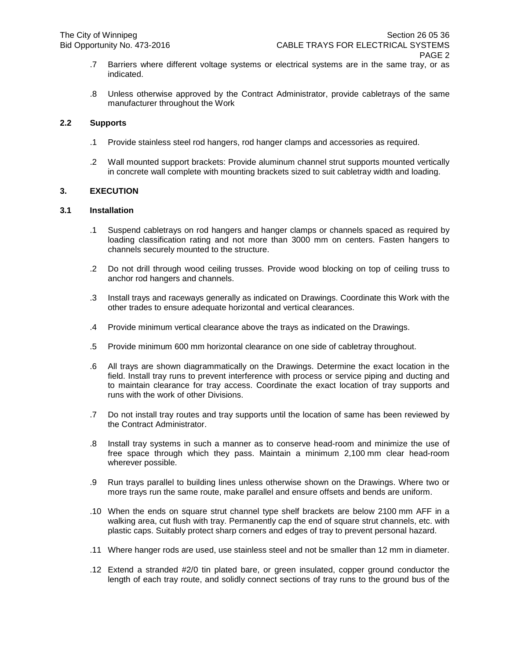- .7 Barriers where different voltage systems or electrical systems are in the same tray, or as indicated.
- .8 Unless otherwise approved by the Contract Administrator, provide cabletrays of the same manufacturer throughout the Work

# **2.2 Supports**

- .1 Provide stainless steel rod hangers, rod hanger clamps and accessories as required.
- .2 Wall mounted support brackets: Provide aluminum channel strut supports mounted vertically in concrete wall complete with mounting brackets sized to suit cabletray width and loading.

### **3. EXECUTION**

## **3.1 Installation**

- .1 Suspend cabletrays on rod hangers and hanger clamps or channels spaced as required by loading classification rating and not more than 3000 mm on centers. Fasten hangers to channels securely mounted to the structure.
- .2 Do not drill through wood ceiling trusses. Provide wood blocking on top of ceiling truss to anchor rod hangers and channels.
- .3 Install trays and raceways generally as indicated on Drawings. Coordinate this Work with the other trades to ensure adequate horizontal and vertical clearances.
- .4 Provide minimum vertical clearance above the trays as indicated on the Drawings.
- .5 Provide minimum 600 mm horizontal clearance on one side of cabletray throughout.
- .6 All trays are shown diagrammatically on the Drawings. Determine the exact location in the field. Install tray runs to prevent interference with process or service piping and ducting and to maintain clearance for tray access. Coordinate the exact location of tray supports and runs with the work of other Divisions.
- .7 Do not install tray routes and tray supports until the location of same has been reviewed by the Contract Administrator.
- .8 Install tray systems in such a manner as to conserve head-room and minimize the use of free space through which they pass. Maintain a minimum 2,100 mm clear head-room wherever possible.
- .9 Run trays parallel to building lines unless otherwise shown on the Drawings. Where two or more trays run the same route, make parallel and ensure offsets and bends are uniform.
- .10 When the ends on square strut channel type shelf brackets are below 2100 mm AFF in a walking area, cut flush with tray. Permanently cap the end of square strut channels, etc. with plastic caps. Suitably protect sharp corners and edges of tray to prevent personal hazard.
- .11 Where hanger rods are used, use stainless steel and not be smaller than 12 mm in diameter.
- .12 Extend a stranded #2/0 tin plated bare, or green insulated, copper ground conductor the length of each tray route, and solidly connect sections of tray runs to the ground bus of the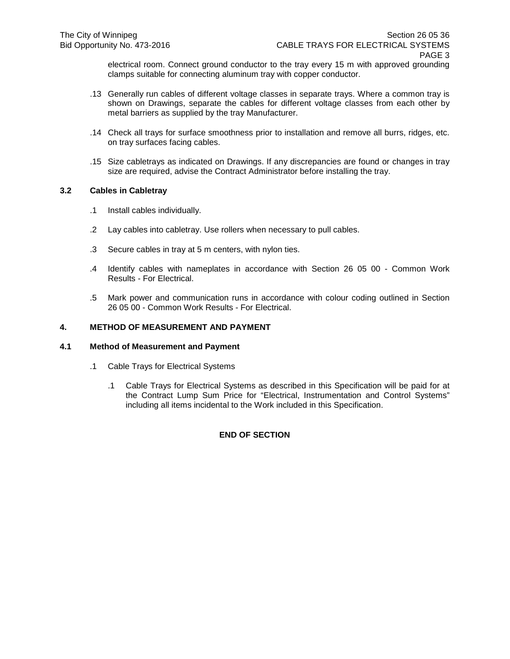electrical room. Connect ground conductor to the tray every 15 m with approved grounding clamps suitable for connecting aluminum tray with copper conductor.

- .13 Generally run cables of different voltage classes in separate trays. Where a common tray is shown on Drawings, separate the cables for different voltage classes from each other by metal barriers as supplied by the tray Manufacturer.
- .14 Check all trays for surface smoothness prior to installation and remove all burrs, ridges, etc. on tray surfaces facing cables.
- .15 Size cabletrays as indicated on Drawings. If any discrepancies are found or changes in tray size are required, advise the Contract Administrator before installing the tray.

## **3.2 Cables in Cabletray**

- .1 Install cables individually.
- .2 Lay cables into cabletray. Use rollers when necessary to pull cables.
- .3 Secure cables in tray at 5 m centers, with nylon ties.
- .4 Identify cables with nameplates in accordance with Section 26 05 00 Common Work Results - For Electrical.
- .5 Mark power and communication runs in accordance with colour coding outlined in Section 26 05 00 - Common Work Results - For Electrical.

## **4. METHOD OF MEASUREMENT AND PAYMENT**

### **4.1 Method of Measurement and Payment**

- .1 Cable Trays for Electrical Systems
	- .1 Cable Trays for Electrical Systems as described in this Specification will be paid for at the Contract Lump Sum Price for "Electrical, Instrumentation and Control Systems" including all items incidental to the Work included in this Specification.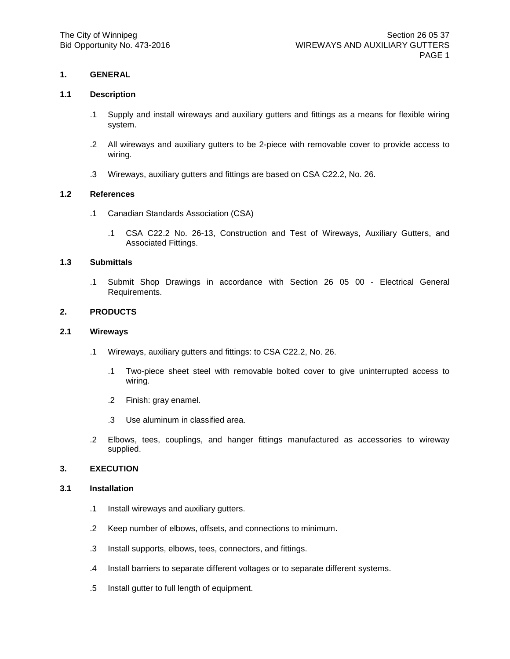#### **1.1 Description**

- .1 Supply and install wireways and auxiliary gutters and fittings as a means for flexible wiring system.
- .2 All wireways and auxiliary gutters to be 2-piece with removable cover to provide access to wiring.
- .3 Wireways, auxiliary gutters and fittings are based on CSA C22.2, No. 26.

## **1.2 References**

- .1 Canadian Standards Association (CSA)
	- .1 CSA C22.2 No. 26-13, Construction and Test of Wireways, Auxiliary Gutters, and Associated Fittings.

## **1.3 Submittals**

.1 Submit Shop Drawings in accordance with Section 26 05 00 - Electrical General Requirements.

### **2. PRODUCTS**

## **2.1 Wireways**

- .1 Wireways, auxiliary gutters and fittings: to CSA C22.2, No. 26.
	- .1 Two-piece sheet steel with removable bolted cover to give uninterrupted access to wiring.
	- .2 Finish: gray enamel.
	- .3 Use aluminum in classified area.
- .2 Elbows, tees, couplings, and hanger fittings manufactured as accessories to wireway supplied.

## **3. EXECUTION**

### **3.1 Installation**

- .1 Install wireways and auxiliary gutters.
- .2 Keep number of elbows, offsets, and connections to minimum.
- .3 Install supports, elbows, tees, connectors, and fittings.
- .4 Install barriers to separate different voltages or to separate different systems.
- .5 Install gutter to full length of equipment.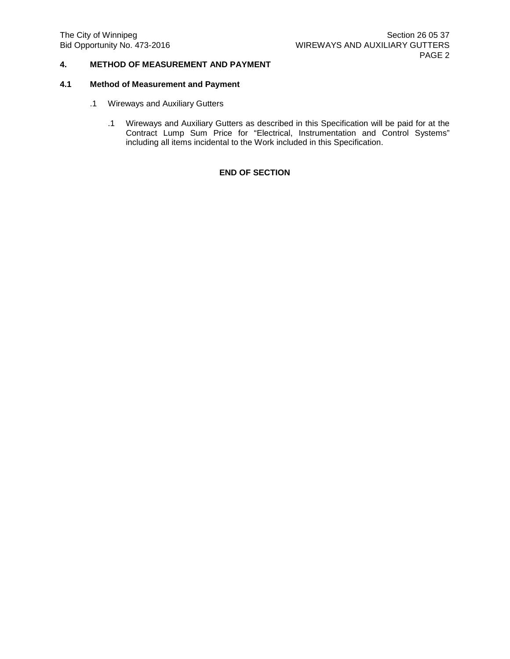# **4. METHOD OF MEASUREMENT AND PAYMENT**

## **4.1 Method of Measurement and Payment**

- .1 Wireways and Auxiliary Gutters
	- .1 Wireways and Auxiliary Gutters as described in this Specification will be paid for at the Contract Lump Sum Price for "Electrical, Instrumentation and Control Systems" including all items incidental to the Work included in this Specification.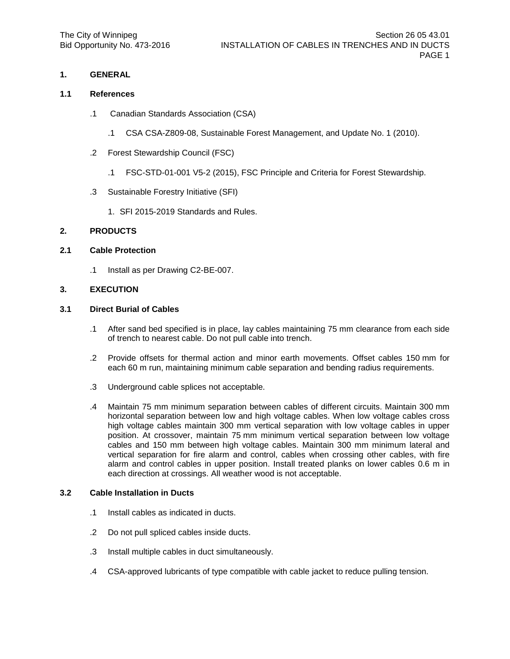### **1.1 References**

- .1 Canadian Standards Association (CSA)
	- .1 CSA CSA-Z809-08, Sustainable Forest Management, and Update No. 1 (2010).
- .2 Forest Stewardship Council (FSC)
	- .1 FSC-STD-01-001 V5-2 (2015), FSC Principle and Criteria for Forest Stewardship.
- .3 Sustainable Forestry Initiative (SFI)
	- 1. SFI 2015-2019 Standards and Rules.

### **2. PRODUCTS**

### **2.1 Cable Protection**

.1 Install as per Drawing C2-BE-007.

### **3. EXECUTION**

### **3.1 Direct Burial of Cables**

- .1 After sand bed specified is in place, lay cables maintaining 75 mm clearance from each side of trench to nearest cable. Do not pull cable into trench.
- .2 Provide offsets for thermal action and minor earth movements. Offset cables 150 mm for each 60 m run, maintaining minimum cable separation and bending radius requirements.
- .3 Underground cable splices not acceptable.
- .4 Maintain 75 mm minimum separation between cables of different circuits. Maintain 300 mm horizontal separation between low and high voltage cables. When low voltage cables cross high voltage cables maintain 300 mm vertical separation with low voltage cables in upper position. At crossover, maintain 75 mm minimum vertical separation between low voltage cables and 150 mm between high voltage cables. Maintain 300 mm minimum lateral and vertical separation for fire alarm and control, cables when crossing other cables, with fire alarm and control cables in upper position. Install treated planks on lower cables 0.6 m in each direction at crossings. All weather wood is not acceptable.

### **3.2 Cable Installation in Ducts**

- .1 Install cables as indicated in ducts.
- .2 Do not pull spliced cables inside ducts.
- .3 Install multiple cables in duct simultaneously.
- .4 CSA-approved lubricants of type compatible with cable jacket to reduce pulling tension.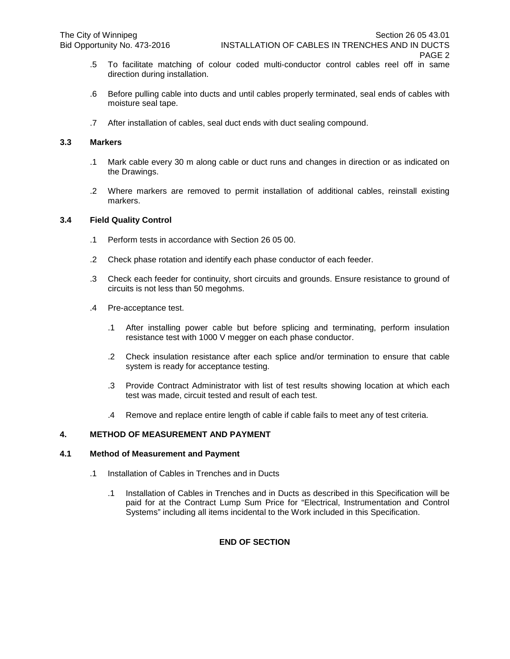- .5 To facilitate matching of colour coded multi-conductor control cables reel off in same direction during installation.
- .6 Before pulling cable into ducts and until cables properly terminated, seal ends of cables with moisture seal tape.
- .7 After installation of cables, seal duct ends with duct sealing compound.

### **3.3 Markers**

- .1 Mark cable every 30 m along cable or duct runs and changes in direction or as indicated on the Drawings.
- .2 Where markers are removed to permit installation of additional cables, reinstall existing markers.

## **3.4 Field Quality Control**

- .1 Perform tests in accordance with Section 26 05 00.
- .2 Check phase rotation and identify each phase conductor of each feeder.
- .3 Check each feeder for continuity, short circuits and grounds. Ensure resistance to ground of circuits is not less than 50 megohms.
- .4 Pre-acceptance test.
	- .1 After installing power cable but before splicing and terminating, perform insulation resistance test with 1000 V megger on each phase conductor.
	- .2 Check insulation resistance after each splice and/or termination to ensure that cable system is ready for acceptance testing.
	- .3 Provide Contract Administrator with list of test results showing location at which each test was made, circuit tested and result of each test.
	- .4 Remove and replace entire length of cable if cable fails to meet any of test criteria.

# **4. METHOD OF MEASUREMENT AND PAYMENT**

## **4.1 Method of Measurement and Payment**

- .1 Installation of Cables in Trenches and in Ducts
	- .1 Installation of Cables in Trenches and in Ducts as described in this Specification will be paid for at the Contract Lump Sum Price for "Electrical, Instrumentation and Control Systems" including all items incidental to the Work included in this Specification.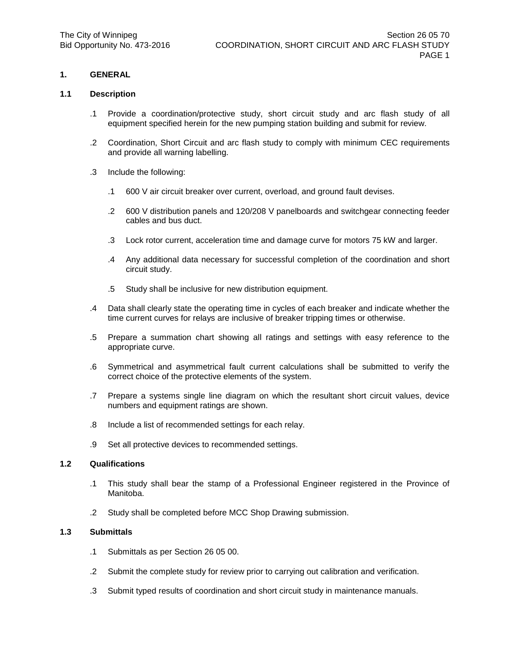#### **1.1 Description**

- .1 Provide a coordination/protective study, short circuit study and arc flash study of all equipment specified herein for the new pumping station building and submit for review.
- .2 Coordination, Short Circuit and arc flash study to comply with minimum CEC requirements and provide all warning labelling.
- .3 Include the following:
	- .1 600 V air circuit breaker over current, overload, and ground fault devises.
	- .2 600 V distribution panels and 120/208 V panelboards and switchgear connecting feeder cables and bus duct.
	- .3 Lock rotor current, acceleration time and damage curve for motors 75 kW and larger.
	- .4 Any additional data necessary for successful completion of the coordination and short circuit study.
	- .5 Study shall be inclusive for new distribution equipment.
- .4 Data shall clearly state the operating time in cycles of each breaker and indicate whether the time current curves for relays are inclusive of breaker tripping times or otherwise.
- .5 Prepare a summation chart showing all ratings and settings with easy reference to the appropriate curve.
- .6 Symmetrical and asymmetrical fault current calculations shall be submitted to verify the correct choice of the protective elements of the system.
- .7 Prepare a systems single line diagram on which the resultant short circuit values, device numbers and equipment ratings are shown.
- .8 Include a list of recommended settings for each relay.
- .9 Set all protective devices to recommended settings.

### **1.2 Qualifications**

- .1 This study shall bear the stamp of a Professional Engineer registered in the Province of Manitoba.
- .2 Study shall be completed before MCC Shop Drawing submission.

### **1.3 Submittals**

- .1 Submittals as per Section 26 05 00.
- .2 Submit the complete study for review prior to carrying out calibration and verification.
- .3 Submit typed results of coordination and short circuit study in maintenance manuals.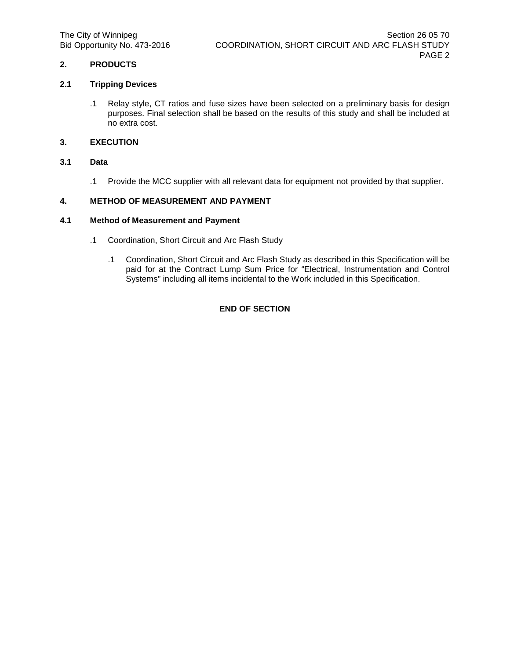# **2. PRODUCTS**

## **2.1 Tripping Devices**

.1 Relay style, CT ratios and fuse sizes have been selected on a preliminary basis for design purposes. Final selection shall be based on the results of this study and shall be included at no extra cost.

# **3. EXECUTION**

## **3.1 Data**

.1 Provide the MCC supplier with all relevant data for equipment not provided by that supplier.

## **4. METHOD OF MEASUREMENT AND PAYMENT**

## **4.1 Method of Measurement and Payment**

- .1 Coordination, Short Circuit and Arc Flash Study
	- .1 Coordination, Short Circuit and Arc Flash Study as described in this Specification will be paid for at the Contract Lump Sum Price for "Electrical, Instrumentation and Control Systems" including all items incidental to the Work included in this Specification.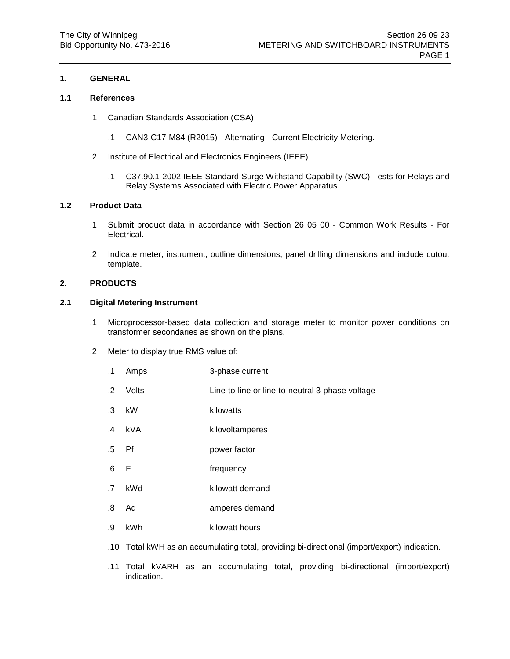## **1.1 References**

- .1 Canadian Standards Association (CSA)
	- .1 CAN3-C17-M84 (R2015) Alternating Current Electricity Metering.
- .2 Institute of Electrical and Electronics Engineers (IEEE)
	- .1 C37.90.1-2002 IEEE Standard Surge Withstand Capability (SWC) Tests for Relays and Relay Systems Associated with Electric Power Apparatus.

## **1.2 Product Data**

- .1 Submit product data in accordance with Section 26 05 00 Common Work Results For Electrical.
- .2 Indicate meter, instrument, outline dimensions, panel drilling dimensions and include cutout template.

## **2. PRODUCTS**

## **2.1 Digital Metering Instrument**

- .1 Microprocessor-based data collection and storage meter to monitor power conditions on transformer secondaries as shown on the plans.
- .2 Meter to display true RMS value of:
	- .1 Amps 3-phase current
	- .2 Volts Line-to-line or line-to-neutral 3-phase voltage
	- .3 kW kilowatts
	- .4 kVA kilovoltamperes
	- .5 Pf power factor
	- .6 F frequency
	- .7 kWd kilowatt demand
	- .8 Ad amperes demand
	- .9 kWh kilowatt hours
	- .10 Total kWH as an accumulating total, providing bi-directional (import/export) indication.
	- .11 Total kVARH as an accumulating total, providing bi-directional (import/export) indication.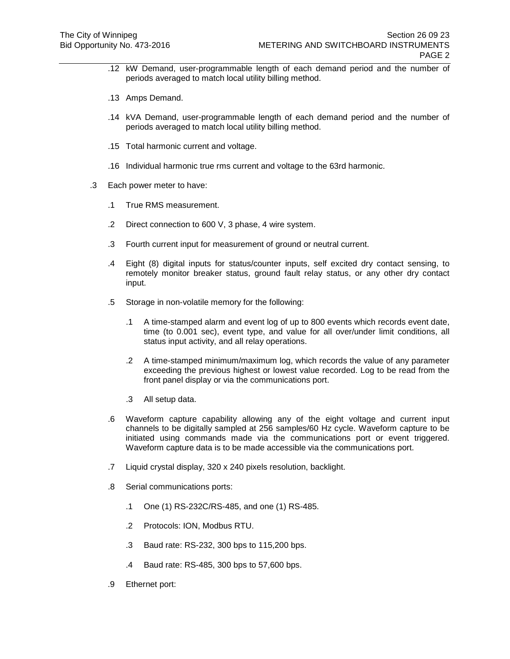- .12 kW Demand, user-programmable length of each demand period and the number of periods averaged to match local utility billing method.
- .13 Amps Demand.
- .14 kVA Demand, user-programmable length of each demand period and the number of periods averaged to match local utility billing method.
- .15 Total harmonic current and voltage.
- .16 Individual harmonic true rms current and voltage to the 63rd harmonic.
- .3 Each power meter to have:
	- .1 True RMS measurement.
	- .2 Direct connection to 600 V, 3 phase, 4 wire system.
	- .3 Fourth current input for measurement of ground or neutral current.
	- .4 Eight (8) digital inputs for status/counter inputs, self excited dry contact sensing, to remotely monitor breaker status, ground fault relay status, or any other dry contact input.
	- .5 Storage in non-volatile memory for the following:
		- .1 A time-stamped alarm and event log of up to 800 events which records event date, time (to 0.001 sec), event type, and value for all over/under limit conditions, all status input activity, and all relay operations.
		- .2 A time-stamped minimum/maximum log, which records the value of any parameter exceeding the previous highest or lowest value recorded. Log to be read from the front panel display or via the communications port.
		- .3 All setup data.
	- .6 Waveform capture capability allowing any of the eight voltage and current input channels to be digitally sampled at 256 samples/60 Hz cycle. Waveform capture to be initiated using commands made via the communications port or event triggered. Waveform capture data is to be made accessible via the communications port.
	- .7 Liquid crystal display, 320 x 240 pixels resolution, backlight.
	- .8 Serial communications ports:
		- .1 One (1) RS-232C/RS-485, and one (1) RS-485.
		- .2 Protocols: ION, Modbus RTU.
		- .3 Baud rate: RS-232, 300 bps to 115,200 bps.
		- .4 Baud rate: RS-485, 300 bps to 57,600 bps.
	- .9 Ethernet port: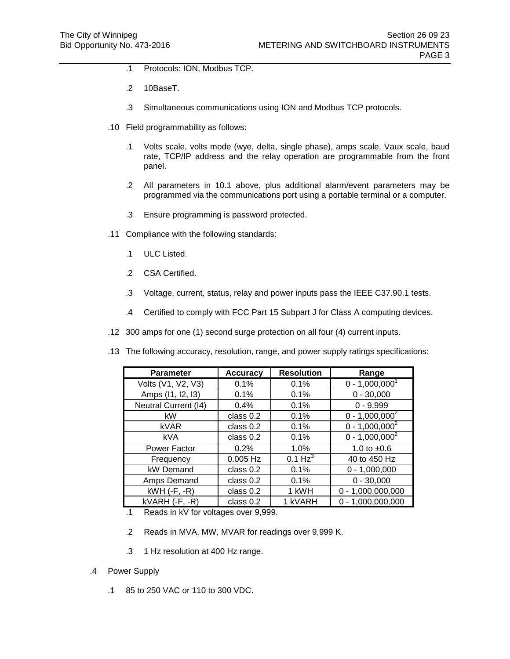- .1 Protocols: ION, Modbus TCP.
- .2 10BaseT.
- .3 Simultaneous communications using ION and Modbus TCP protocols.
- .10 Field programmability as follows:
	- .1 Volts scale, volts mode (wye, delta, single phase), amps scale, Vaux scale, baud rate, TCP/IP address and the relay operation are programmable from the front panel.
	- .2 All parameters in 10.1 above, plus additional alarm/event parameters may be programmed via the communications port using a portable terminal or a computer.
	- .3 Ensure programming is password protected.
- .11 Compliance with the following standards:
	- .1 ULC Listed.
	- .2 CSA Certified.
	- .3 Voltage, current, status, relay and power inputs pass the IEEE C37.90.1 tests.
	- .4 Certified to comply with FCC Part 15 Subpart J for Class A computing devices.
- .12 300 amps for one (1) second surge protection on all four (4) current inputs.
- .13 The following accuracy, resolution, range, and power supply ratings specifications:

| <b>Parameter</b>            | <b>Accuracy</b> | <b>Resolution</b>   | Range               |
|-----------------------------|-----------------|---------------------|---------------------|
| Volts (V1, V2, V3)          | 0.1%            | 0.1%                | $0 - 1,000,0001$    |
| Amps (11, 12, 13)           | 0.1%            | 0.1%                | $0 - 30,000$        |
| <b>Neutral Current (14)</b> | 0.4%            | 0.1%                | $0 - 9,999$         |
| kW                          | class 0.2       | 0.1%                | $0 - 1,000,000^2$   |
| <b>kVAR</b>                 | class 0.2       | 0.1%                | $0 - 1,000,000^2$   |
| kVA                         | class 0.2       | 0.1%                | $0 - 1,000,000^2$   |
| Power Factor                | 0.2%            | 1.0%                | 1.0 to $±0.6$       |
| Frequency                   | $0.005$ Hz      | 0.1 Hz <sup>3</sup> | 40 to 450 Hz        |
| kW Demand                   | class 0.2       | 0.1%                | $0 - 1,000,000$     |
| Amps Demand                 | class 0.2       | 0.1%                | $0 - 30,000$        |
| $kWH$ ( $-F$ , $-R$ )       | class 0.2       | 1 kWH               | $0 - 1,000,000,000$ |
| $kVARH$ (-F, -R)            | class $0.2$     | 1 kVARH             | $0 - 1,000,000,000$ |

- .1 Reads in kV for voltages over 9,999.
- .2 Reads in MVA, MW, MVAR for readings over 9,999 K.
- .3 1 Hz resolution at 400 Hz range.
- .4 Power Supply
	- .1 85 to 250 VAC or 110 to 300 VDC.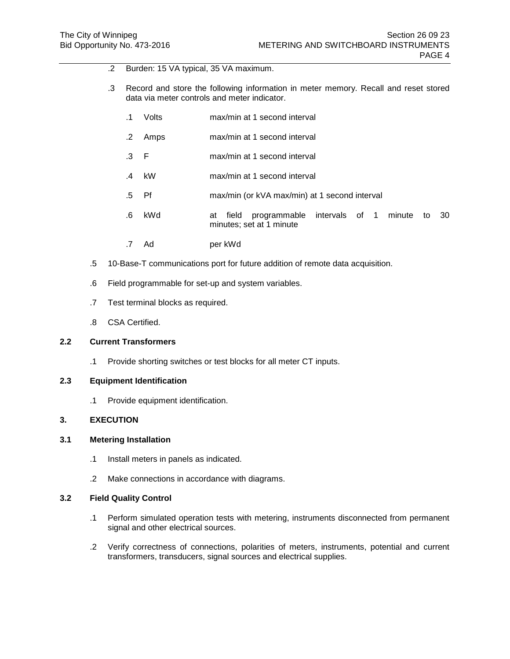- .2 Burden: 15 VA typical, 35 VA maximum.
- .3 Record and store the following information in meter memory. Recall and reset stored data via meter controls and meter indicator.
	- .1 Volts max/min at 1 second interval
	- .2 Amps max/min at 1 second interval
	- .3 F max/min at 1 second interval
	- .4 kW max/min at 1 second interval
	- .5 Pf max/min (or kVA max/min) at 1 second interval
	- .6 kWd at field programmable intervals of 1 minute to 30 minutes; set at 1 minute
	- .7 Ad per kWd
- .5 10-Base-T communications port for future addition of remote data acquisition.
- .6 Field programmable for set-up and system variables.
- .7 Test terminal blocks as required.
- .8 CSA Certified.

### **2.2 Current Transformers**

.1 Provide shorting switches or test blocks for all meter CT inputs.

## **2.3 Equipment Identification**

.1 Provide equipment identification.

### **3. EXECUTION**

## **3.1 Metering Installation**

- .1 Install meters in panels as indicated.
- .2 Make connections in accordance with diagrams.

### **3.2 Field Quality Control**

- .1 Perform simulated operation tests with metering, instruments disconnected from permanent signal and other electrical sources.
- .2 Verify correctness of connections, polarities of meters, instruments, potential and current transformers, transducers, signal sources and electrical supplies.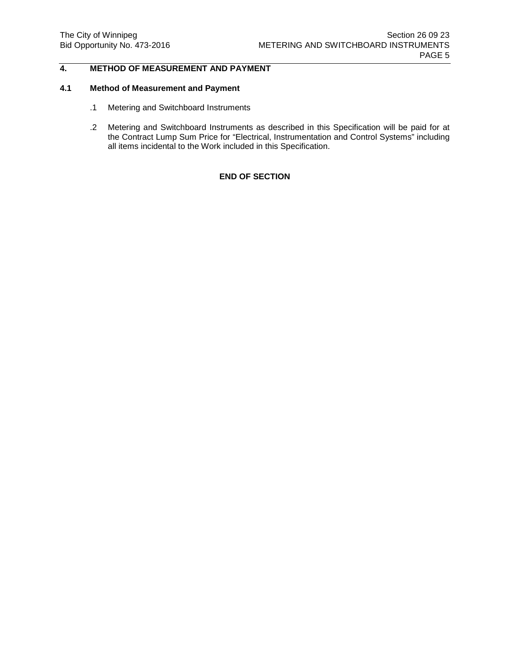# **4. METHOD OF MEASUREMENT AND PAYMENT**

# **4.1 Method of Measurement and Payment**

- .1 Metering and Switchboard Instruments
- .2 Metering and Switchboard Instruments as described in this Specification will be paid for at the Contract Lump Sum Price for "Electrical, Instrumentation and Control Systems" including all items incidental to the Work included in this Specification.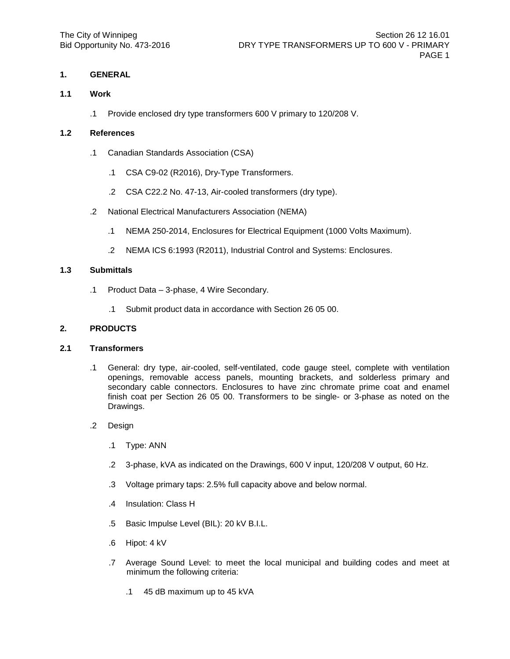### **1.1 Work**

.1 Provide enclosed dry type transformers 600 V primary to 120/208 V.

## **1.2 References**

- .1 Canadian Standards Association (CSA)
	- .1 CSA C9-02 (R2016), Dry-Type Transformers.
	- .2 CSA C22.2 No. 47-13, Air-cooled transformers (dry type).
- .2 National Electrical Manufacturers Association (NEMA)
	- .1 NEMA 250-2014, Enclosures for Electrical Equipment (1000 Volts Maximum).
	- .2 NEMA ICS 6:1993 (R2011), Industrial Control and Systems: Enclosures.

## **1.3 Submittals**

- .1 Product Data 3-phase, 4 Wire Secondary.
	- .1 Submit product data in accordance with Section 26 05 00.

#### **2. PRODUCTS**

### **2.1 Transformers**

- .1 General: dry type, air-cooled, self-ventilated, code gauge steel, complete with ventilation openings, removable access panels, mounting brackets, and solderless primary and secondary cable connectors. Enclosures to have zinc chromate prime coat and enamel finish coat per Section 26 05 00. Transformers to be single- or 3-phase as noted on the Drawings.
- .2 Design
	- .1 Type: ANN
	- .2 3-phase, kVA as indicated on the Drawings, 600 V input, 120/208 V output, 60 Hz.
	- .3 Voltage primary taps: 2.5% full capacity above and below normal.
	- .4 Insulation: Class H
	- .5 Basic Impulse Level (BIL): 20 kV B.I.L.
	- .6 Hipot: 4 kV
	- .7 Average Sound Level: to meet the local municipal and building codes and meet at minimum the following criteria:
		- .1 45 dB maximum up to 45 kVA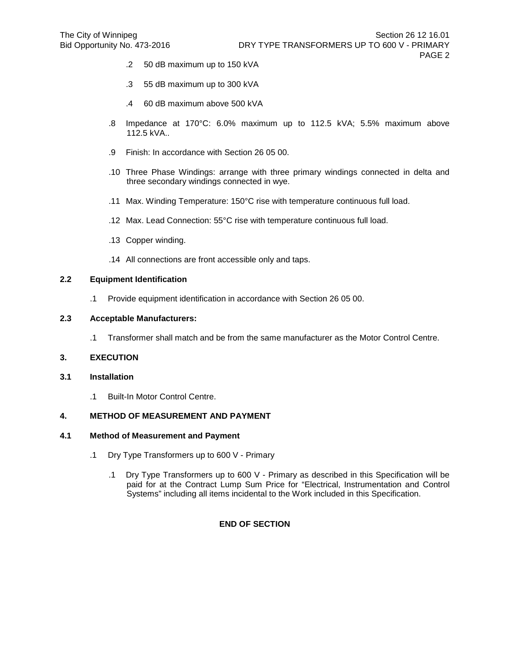- .2 50 dB maximum up to 150 kVA
- .3 55 dB maximum up to 300 kVA
- .4 60 dB maximum above 500 kVA
- .8 Impedance at 170°C: 6.0% maximum up to 112.5 kVA; 5.5% maximum above 112.5 kVA..
- .9 Finish: In accordance with Section 26 05 00.
- .10 Three Phase Windings: arrange with three primary windings connected in delta and three secondary windings connected in wye.
- .11 Max. Winding Temperature: 150°C rise with temperature continuous full load.
- .12 Max. Lead Connection: 55°C rise with temperature continuous full load.
- .13 Copper winding.
- .14 All connections are front accessible only and taps.

## **2.2 Equipment Identification**

.1 Provide equipment identification in accordance with Section 26 05 00.

#### **2.3 Acceptable Manufacturers:**

.1 Transformer shall match and be from the same manufacturer as the Motor Control Centre.

## **3. EXECUTION**

- **3.1 Installation**
	- .1 Built-In Motor Control Centre.

### **4. METHOD OF MEASUREMENT AND PAYMENT**

#### **4.1 Method of Measurement and Payment**

- .1 Dry Type Transformers up to 600 V Primary
	- .1 Dry Type Transformers up to 600 V Primary as described in this Specification will be paid for at the Contract Lump Sum Price for "Electrical, Instrumentation and Control Systems" including all items incidental to the Work included in this Specification.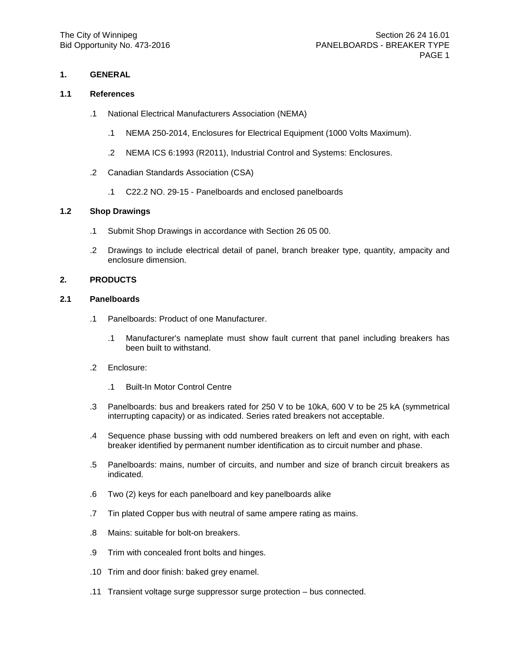#### **1.1 References**

- .1 National Electrical Manufacturers Association (NEMA)
	- .1 NEMA 250-2014, Enclosures for Electrical Equipment (1000 Volts Maximum).
	- .2 NEMA ICS 6:1993 (R2011), Industrial Control and Systems: Enclosures.
- .2 Canadian Standards Association (CSA)
	- .1 C22.2 NO. 29-15 Panelboards and enclosed panelboards

### **1.2 Shop Drawings**

- .1 Submit Shop Drawings in accordance with Section 26 05 00.
- .2 Drawings to include electrical detail of panel, branch breaker type, quantity, ampacity and enclosure dimension.

#### **2. PRODUCTS**

### **2.1 Panelboards**

- .1 Panelboards: Product of one Manufacturer.
	- .1 Manufacturer's nameplate must show fault current that panel including breakers has been built to withstand.
- .2 Enclosure:
	- .1 Built-In Motor Control Centre
- .3 Panelboards: bus and breakers rated for 250 V to be 10kA, 600 V to be 25 kA (symmetrical interrupting capacity) or as indicated. Series rated breakers not acceptable.
- .4 Sequence phase bussing with odd numbered breakers on left and even on right, with each breaker identified by permanent number identification as to circuit number and phase.
- .5 Panelboards: mains, number of circuits, and number and size of branch circuit breakers as indicated.
- .6 Two (2) keys for each panelboard and key panelboards alike
- .7 Tin plated Copper bus with neutral of same ampere rating as mains.
- .8 Mains: suitable for bolt-on breakers.
- .9 Trim with concealed front bolts and hinges.
- .10 Trim and door finish: baked grey enamel.
- .11 Transient voltage surge suppressor surge protection bus connected.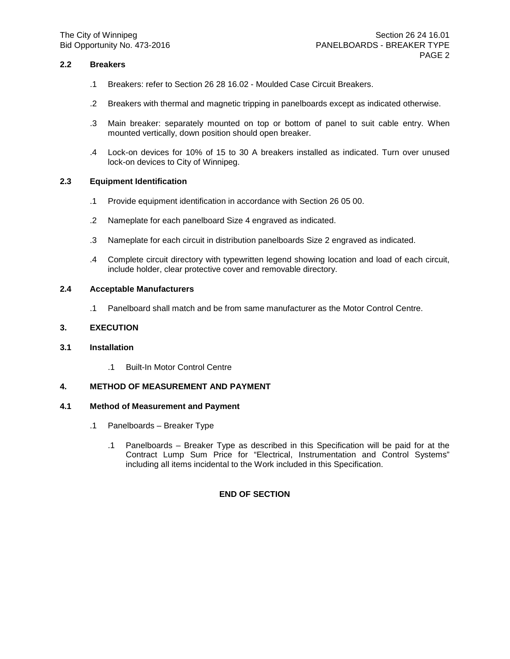## **2.2 Breakers**

- .1 Breakers: refer to Section 26 28 16.02 Moulded Case Circuit Breakers.
- .2 Breakers with thermal and magnetic tripping in panelboards except as indicated otherwise.
- .3 Main breaker: separately mounted on top or bottom of panel to suit cable entry. When mounted vertically, down position should open breaker.
- .4 Lock-on devices for 10% of 15 to 30 A breakers installed as indicated. Turn over unused lock-on devices to City of Winnipeg.

## **2.3 Equipment Identification**

- .1 Provide equipment identification in accordance with Section 26 05 00.
- .2 Nameplate for each panelboard Size 4 engraved as indicated.
- .3 Nameplate for each circuit in distribution panelboards Size 2 engraved as indicated.
- .4 Complete circuit directory with typewritten legend showing location and load of each circuit, include holder, clear protective cover and removable directory.

## **2.4 Acceptable Manufacturers**

.1 Panelboard shall match and be from same manufacturer as the Motor Control Centre.

### **3. EXECUTION**

### **3.1 Installation**

.1 Built-In Motor Control Centre

### **4. METHOD OF MEASUREMENT AND PAYMENT**

### **4.1 Method of Measurement and Payment**

- .1 Panelboards Breaker Type
	- .1 Panelboards Breaker Type as described in this Specification will be paid for at the Contract Lump Sum Price for "Electrical, Instrumentation and Control Systems" including all items incidental to the Work included in this Specification.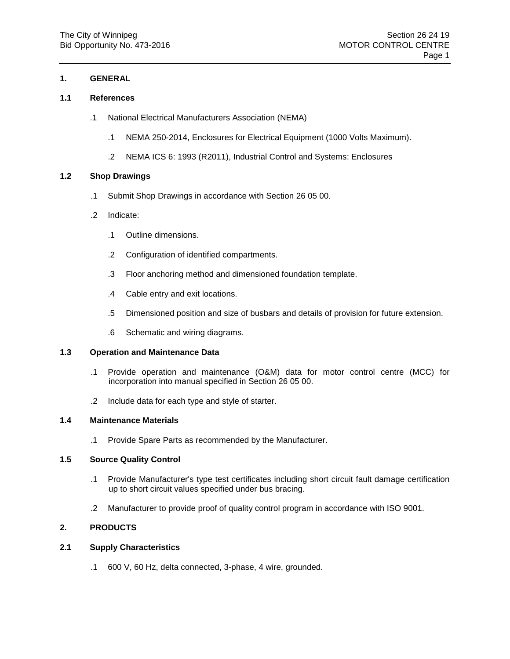### **1.1 References**

- .1 National Electrical Manufacturers Association (NEMA)
	- .1 NEMA 250-2014, Enclosures for Electrical Equipment (1000 Volts Maximum).
	- .2 NEMA ICS 6: 1993 (R2011), Industrial Control and Systems: Enclosures

### **1.2 Shop Drawings**

- .1 Submit Shop Drawings in accordance with Section 26 05 00.
- .2 Indicate:
	- .1 Outline dimensions.
	- .2 Configuration of identified compartments.
	- .3 Floor anchoring method and dimensioned foundation template.
	- .4 Cable entry and exit locations.
	- .5 Dimensioned position and size of busbars and details of provision for future extension.
	- .6 Schematic and wiring diagrams.

# **1.3 Operation and Maintenance Data**

- .1 Provide operation and maintenance (O&M) data for motor control centre (MCC) for incorporation into manual specified in Section 26 05 00.
- .2 Include data for each type and style of starter.

### **1.4 Maintenance Materials**

.1 Provide Spare Parts as recommended by the Manufacturer.

## **1.5 Source Quality Control**

- .1 Provide Manufacturer's type test certificates including short circuit fault damage certification up to short circuit values specified under bus bracing.
- .2 Manufacturer to provide proof of quality control program in accordance with ISO 9001.

# **2. PRODUCTS**

## **2.1 Supply Characteristics**

.1 600 V, 60 Hz, delta connected, 3-phase, 4 wire, grounded.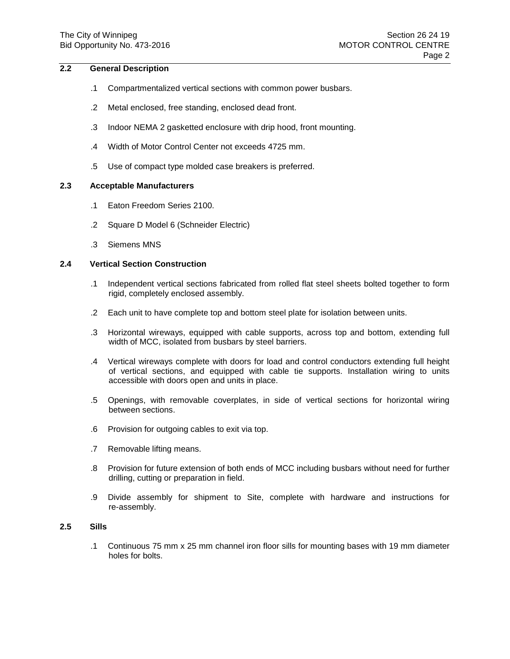# **2.2 General Description**

- .1 Compartmentalized vertical sections with common power busbars.
- .2 Metal enclosed, free standing, enclosed dead front.
- .3 Indoor NEMA 2 gasketted enclosure with drip hood, front mounting.
- .4 Width of Motor Control Center not exceeds 4725 mm.
- .5 Use of compact type molded case breakers is preferred.

### **2.3 Acceptable Manufacturers**

- .1 Eaton Freedom Series 2100.
- .2 Square D Model 6 (Schneider Electric)
- .3 Siemens MNS

### **2.4 Vertical Section Construction**

- .1 Independent vertical sections fabricated from rolled flat steel sheets bolted together to form rigid, completely enclosed assembly.
- .2 Each unit to have complete top and bottom steel plate for isolation between units.
- .3 Horizontal wireways, equipped with cable supports, across top and bottom, extending full width of MCC, isolated from busbars by steel barriers.
- .4 Vertical wireways complete with doors for load and control conductors extending full height of vertical sections, and equipped with cable tie supports. Installation wiring to units accessible with doors open and units in place.
- .5 Openings, with removable coverplates, in side of vertical sections for horizontal wiring between sections.
- .6 Provision for outgoing cables to exit via top.
- .7 Removable lifting means.
- .8 Provision for future extension of both ends of MCC including busbars without need for further drilling, cutting or preparation in field.
- .9 Divide assembly for shipment to Site, complete with hardware and instructions for re-assembly.

# **2.5 Sills**

.1 Continuous 75 mm x 25 mm channel iron floor sills for mounting bases with 19 mm diameter holes for bolts.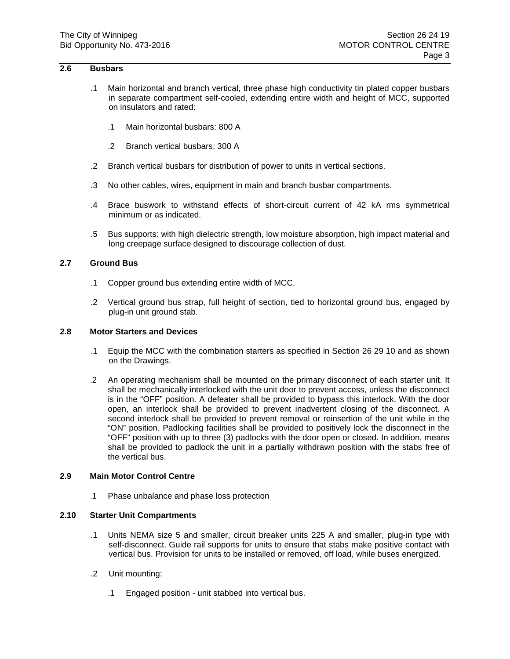## **2.6 Busbars**

- .1 Main horizontal and branch vertical, three phase high conductivity tin plated copper busbars in separate compartment self-cooled, extending entire width and height of MCC, supported on insulators and rated:
	- .1 Main horizontal busbars: 800 A
	- .2 Branch vertical busbars: 300 A
- .2 Branch vertical busbars for distribution of power to units in vertical sections.
- .3 No other cables, wires, equipment in main and branch busbar compartments.
- .4 Brace buswork to withstand effects of short-circuit current of 42 kA rms symmetrical minimum or as indicated.
- .5 Bus supports: with high dielectric strength, low moisture absorption, high impact material and long creepage surface designed to discourage collection of dust.

## **2.7 Ground Bus**

- .1 Copper ground bus extending entire width of MCC.
- .2 Vertical ground bus strap, full height of section, tied to horizontal ground bus, engaged by plug-in unit ground stab.

### **2.8 Motor Starters and Devices**

- .1 Equip the MCC with the combination starters as specified in Section 26 29 10 and as shown on the Drawings.
- .2 An operating mechanism shall be mounted on the primary disconnect of each starter unit. It shall be mechanically interlocked with the unit door to prevent access, unless the disconnect is in the "OFF" position. A defeater shall be provided to bypass this interlock. With the door open, an interlock shall be provided to prevent inadvertent closing of the disconnect. A second interlock shall be provided to prevent removal or reinsertion of the unit while in the "ON" position. Padlocking facilities shall be provided to positively lock the disconnect in the "OFF" position with up to three (3) padlocks with the door open or closed. In addition, means shall be provided to padlock the unit in a partially withdrawn position with the stabs free of the vertical bus.

### **2.9 Main Motor Control Centre**

.1 Phase unbalance and phase loss protection

### **2.10 Starter Unit Compartments**

- .1 Units NEMA size 5 and smaller, circuit breaker units 225 A and smaller, plug-in type with self-disconnect. Guide rail supports for units to ensure that stabs make positive contact with vertical bus. Provision for units to be installed or removed, off load, while buses energized.
- .2 Unit mounting:
	- .1 Engaged position unit stabbed into vertical bus.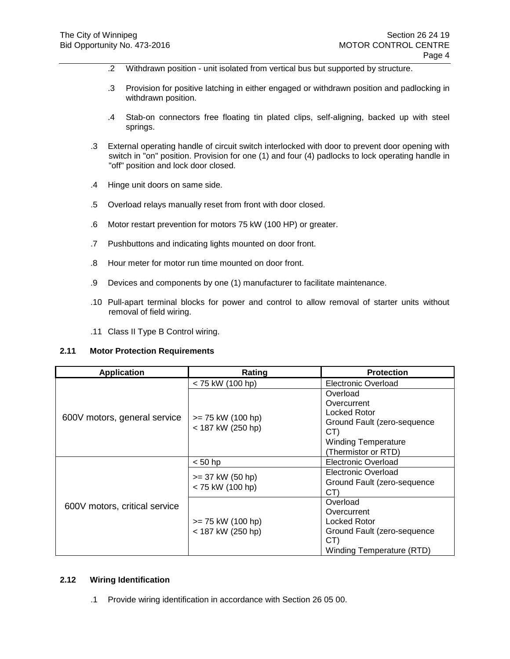- .2 Withdrawn position unit isolated from vertical bus but supported by structure.
- .3 Provision for positive latching in either engaged or withdrawn position and padlocking in withdrawn position.
- .4 Stab-on connectors free floating tin plated clips, self-aligning, backed up with steel springs.
- .3 External operating handle of circuit switch interlocked with door to prevent door opening with switch in "on" position. Provision for one (1) and four (4) padlocks to lock operating handle in "off" position and lock door closed.
- .4 Hinge unit doors on same side.
- .5 Overload relays manually reset from front with door closed.
- .6 Motor restart prevention for motors 75 kW (100 HP) or greater.
- .7 Pushbuttons and indicating lights mounted on door front.
- .8 Hour meter for motor run time mounted on door front.
- .9 Devices and components by one (1) manufacturer to facilitate maintenance.
- .10 Pull-apart terminal blocks for power and control to allow removal of starter units without removal of field wiring.
- .11 Class II Type B Control wiring.

#### **2.11 Motor Protection Requirements**

| <b>Application</b>            | Rating                                   | <b>Protection</b>                                                                                                                         |
|-------------------------------|------------------------------------------|-------------------------------------------------------------------------------------------------------------------------------------------|
|                               | < 75 kW (100 hp)                         | Electronic Overload                                                                                                                       |
| 600V motors, general service  | $>= 75$ kW (100 hp)<br>< 187 kW (250 hp) | Overload<br>Overcurrent<br><b>Locked Rotor</b><br>Ground Fault (zero-sequence<br>CT)<br><b>Winding Temperature</b><br>(Thermistor or RTD) |
| 600V motors, critical service | $< 50$ hp                                | Electronic Overload                                                                                                                       |
|                               | $>= 37$ kW (50 hp)<br>< 75 kW (100 hp)   | Electronic Overload<br>Ground Fault (zero-sequence<br>CT)                                                                                 |
|                               | $>= 75$ kW (100 hp)<br>< 187 kW (250 hp) | Overload<br>Overcurrent<br>Locked Rotor<br>Ground Fault (zero-sequence<br>CT)<br>Winding Temperature (RTD)                                |

### **2.12 Wiring Identification**

.1 Provide wiring identification in accordance with Section 26 05 00.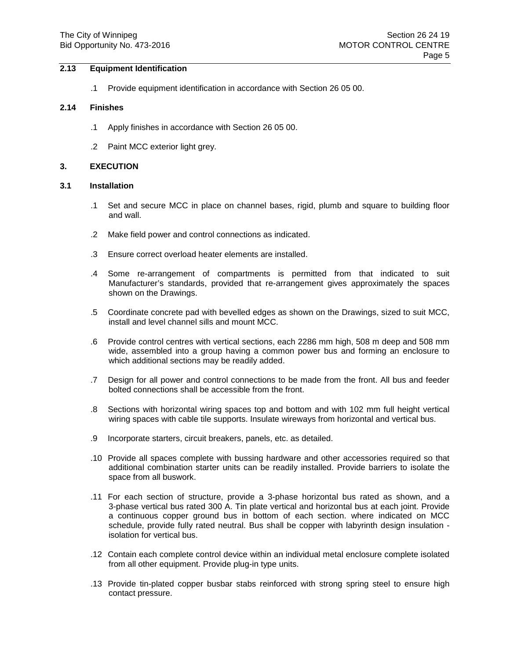## **2.13 Equipment Identification**

.1 Provide equipment identification in accordance with Section 26 05 00.

#### **2.14 Finishes**

- .1 Apply finishes in accordance with Section 26 05 00.
- .2 Paint MCC exterior light grey.

### **3. EXECUTION**

#### **3.1 Installation**

- .1 Set and secure MCC in place on channel bases, rigid, plumb and square to building floor and wall.
- .2 Make field power and control connections as indicated.
- .3 Ensure correct overload heater elements are installed.
- .4 Some re-arrangement of compartments is permitted from that indicated to suit Manufacturer's standards, provided that re-arrangement gives approximately the spaces shown on the Drawings.
- .5 Coordinate concrete pad with bevelled edges as shown on the Drawings, sized to suit MCC, install and level channel sills and mount MCC.
- .6 Provide control centres with vertical sections, each 2286 mm high, 508 m deep and 508 mm wide, assembled into a group having a common power bus and forming an enclosure to which additional sections may be readily added.
- .7 Design for all power and control connections to be made from the front. All bus and feeder bolted connections shall be accessible from the front.
- .8 Sections with horizontal wiring spaces top and bottom and with 102 mm full height vertical wiring spaces with cable tile supports. Insulate wireways from horizontal and vertical bus.
- .9 Incorporate starters, circuit breakers, panels, etc. as detailed.
- .10 Provide all spaces complete with bussing hardware and other accessories required so that additional combination starter units can be readily installed. Provide barriers to isolate the space from all buswork.
- .11 For each section of structure, provide a 3-phase horizontal bus rated as shown, and a 3-phase vertical bus rated 300 A. Tin plate vertical and horizontal bus at each joint. Provide a continuous copper ground bus in bottom of each section. where indicated on MCC schedule, provide fully rated neutral. Bus shall be copper with labyrinth design insulation isolation for vertical bus.
- .12 Contain each complete control device within an individual metal enclosure complete isolated from all other equipment. Provide plug-in type units.
- .13 Provide tin-plated copper busbar stabs reinforced with strong spring steel to ensure high contact pressure.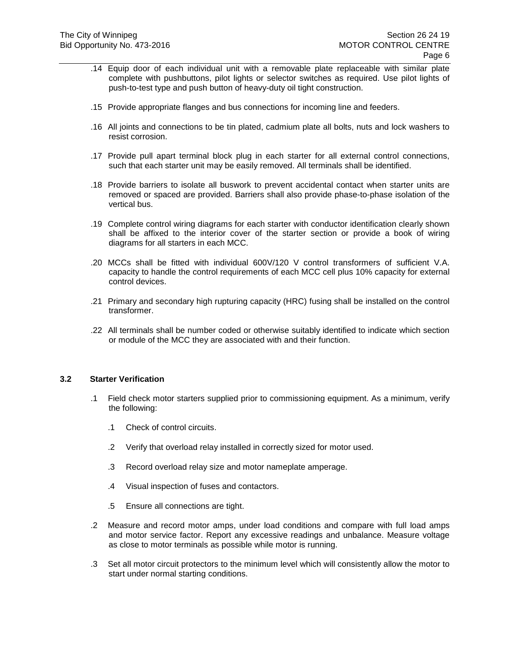- .14 Equip door of each individual unit with a removable plate replaceable with similar plate complete with pushbuttons, pilot lights or selector switches as required. Use pilot lights of push-to-test type and push button of heavy-duty oil tight construction.
- .15 Provide appropriate flanges and bus connections for incoming line and feeders.
- .16 All joints and connections to be tin plated, cadmium plate all bolts, nuts and lock washers to resist corrosion.
- .17 Provide pull apart terminal block plug in each starter for all external control connections, such that each starter unit may be easily removed. All terminals shall be identified.
- .18 Provide barriers to isolate all buswork to prevent accidental contact when starter units are removed or spaced are provided. Barriers shall also provide phase-to-phase isolation of the vertical bus.
- .19 Complete control wiring diagrams for each starter with conductor identification clearly shown shall be affixed to the interior cover of the starter section or provide a book of wiring diagrams for all starters in each MCC.
- .20 MCCs shall be fitted with individual 600V/120 V control transformers of sufficient V.A. capacity to handle the control requirements of each MCC cell plus 10% capacity for external control devices.
- .21 Primary and secondary high rupturing capacity (HRC) fusing shall be installed on the control transformer.
- .22 All terminals shall be number coded or otherwise suitably identified to indicate which section or module of the MCC they are associated with and their function.

### **3.2 Starter Verification**

- .1 Field check motor starters supplied prior to commissioning equipment. As a minimum, verify the following:
	- .1 Check of control circuits.
	- .2 Verify that overload relay installed in correctly sized for motor used.
	- .3 Record overload relay size and motor nameplate amperage.
	- .4 Visual inspection of fuses and contactors.
	- .5 Ensure all connections are tight.
- .2 Measure and record motor amps, under load conditions and compare with full load amps and motor service factor. Report any excessive readings and unbalance. Measure voltage as close to motor terminals as possible while motor is running.
- .3 Set all motor circuit protectors to the minimum level which will consistently allow the motor to start under normal starting conditions.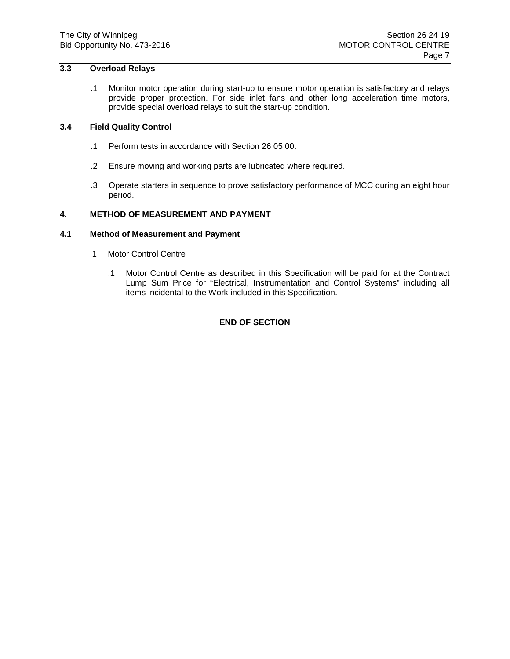# **3.3 Overload Relays**

.1 Monitor motor operation during start-up to ensure motor operation is satisfactory and relays provide proper protection. For side inlet fans and other long acceleration time motors, provide special overload relays to suit the start-up condition.

# **3.4 Field Quality Control**

- .1 Perform tests in accordance with Section 26 05 00.
- .2 Ensure moving and working parts are lubricated where required.
- .3 Operate starters in sequence to prove satisfactory performance of MCC during an eight hour period.

### **4. METHOD OF MEASUREMENT AND PAYMENT**

### **4.1 Method of Measurement and Payment**

- .1 Motor Control Centre
	- .1 Motor Control Centre as described in this Specification will be paid for at the Contract Lump Sum Price for "Electrical, Instrumentation and Control Systems" including all items incidental to the Work included in this Specification.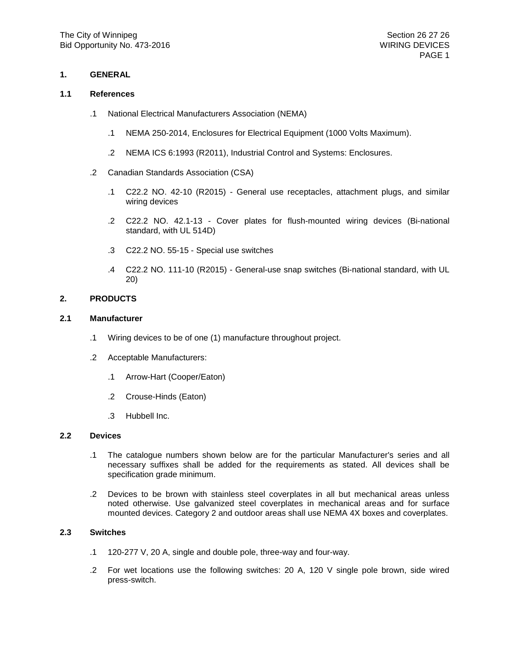#### **1.1 References**

- .1 National Electrical Manufacturers Association (NEMA)
	- .1 NEMA 250-2014, Enclosures for Electrical Equipment (1000 Volts Maximum).
	- .2 NEMA ICS 6:1993 (R2011), Industrial Control and Systems: Enclosures.
- .2 Canadian Standards Association (CSA)
	- .1 C22.2 NO. 42-10 (R2015) General use receptacles, attachment plugs, and similar wiring devices
	- .2 C22.2 NO. 42.1-13 Cover plates for flush-mounted wiring devices (Bi-national standard, with UL 514D)
	- .3 C22.2 NO. 55-15 Special use switches
	- .4 C22.2 NO. 111-10 (R2015) General-use snap switches (Bi-national standard, with UL 20)

## **2. PRODUCTS**

#### **2.1 Manufacturer**

- .1 Wiring devices to be of one (1) manufacture throughout project.
- .2 Acceptable Manufacturers:
	- .1 Arrow-Hart (Cooper/Eaton)
	- .2 Crouse-Hinds (Eaton)
	- .3 Hubbell Inc.

#### **2.2 Devices**

- .1 The catalogue numbers shown below are for the particular Manufacturer's series and all necessary suffixes shall be added for the requirements as stated. All devices shall be specification grade minimum.
- .2 Devices to be brown with stainless steel coverplates in all but mechanical areas unless noted otherwise. Use galvanized steel coverplates in mechanical areas and for surface mounted devices. Category 2 and outdoor areas shall use NEMA 4X boxes and coverplates.

## **2.3 Switches**

- .1 120-277 V, 20 A, single and double pole, three-way and four-way.
- .2 For wet locations use the following switches: 20 A, 120 V single pole brown, side wired press-switch.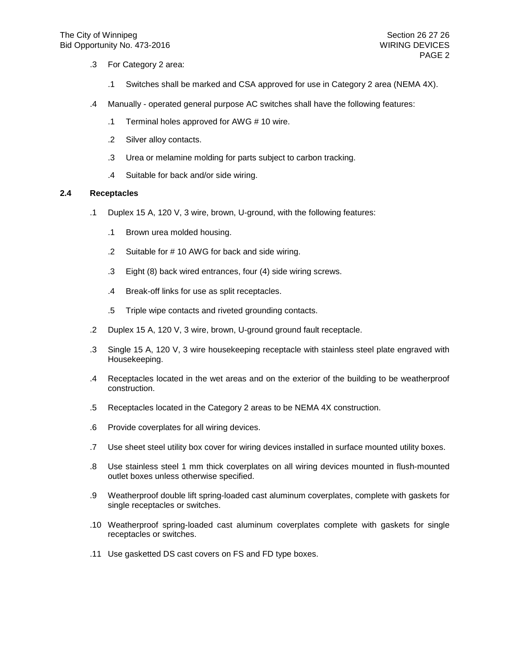- .3 For Category 2 area:
	- .1 Switches shall be marked and CSA approved for use in Category 2 area (NEMA 4X).
- .4 Manually operated general purpose AC switches shall have the following features:
	- .1 Terminal holes approved for AWG # 10 wire.
	- .2 Silver alloy contacts.
	- .3 Urea or melamine molding for parts subject to carbon tracking.
	- .4 Suitable for back and/or side wiring.

#### **2.4 Receptacles**

- .1 Duplex 15 A, 120 V, 3 wire, brown, U-ground, with the following features:
	- .1 Brown urea molded housing.
	- .2 Suitable for # 10 AWG for back and side wiring.
	- .3 Eight (8) back wired entrances, four (4) side wiring screws.
	- .4 Break-off links for use as split receptacles.
	- .5 Triple wipe contacts and riveted grounding contacts.
- .2 Duplex 15 A, 120 V, 3 wire, brown, U-ground ground fault receptacle.
- .3 Single 15 A, 120 V, 3 wire housekeeping receptacle with stainless steel plate engraved with Housekeeping.
- .4 Receptacles located in the wet areas and on the exterior of the building to be weatherproof construction.
- .5 Receptacles located in the Category 2 areas to be NEMA 4X construction.
- .6 Provide coverplates for all wiring devices.
- .7 Use sheet steel utility box cover for wiring devices installed in surface mounted utility boxes.
- .8 Use stainless steel 1 mm thick coverplates on all wiring devices mounted in flush-mounted outlet boxes unless otherwise specified.
- .9 Weatherproof double lift spring-loaded cast aluminum coverplates, complete with gaskets for single receptacles or switches.
- .10 Weatherproof spring-loaded cast aluminum coverplates complete with gaskets for single receptacles or switches.
- .11 Use gasketted DS cast covers on FS and FD type boxes.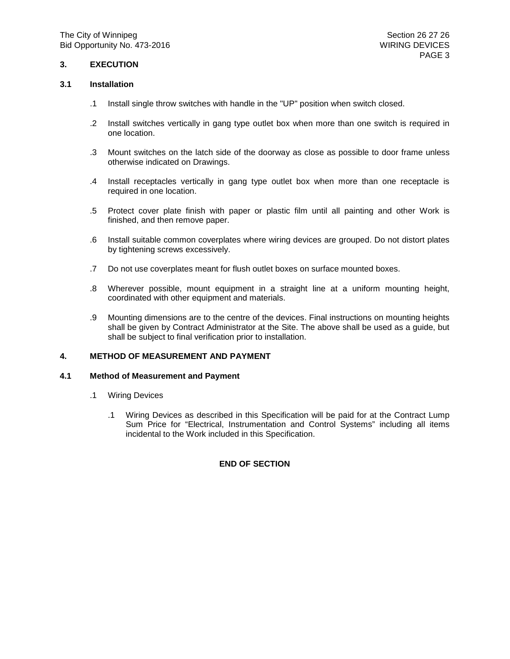## **3. EXECUTION**

### **3.1 Installation**

- .1 Install single throw switches with handle in the "UP" position when switch closed.
- .2 Install switches vertically in gang type outlet box when more than one switch is required in one location.
- .3 Mount switches on the latch side of the doorway as close as possible to door frame unless otherwise indicated on Drawings.
- .4 Install receptacles vertically in gang type outlet box when more than one receptacle is required in one location.
- .5 Protect cover plate finish with paper or plastic film until all painting and other Work is finished, and then remove paper.
- .6 Install suitable common coverplates where wiring devices are grouped. Do not distort plates by tightening screws excessively.
- .7 Do not use coverplates meant for flush outlet boxes on surface mounted boxes.
- .8 Wherever possible, mount equipment in a straight line at a uniform mounting height, coordinated with other equipment and materials.
- .9 Mounting dimensions are to the centre of the devices. Final instructions on mounting heights shall be given by Contract Administrator at the Site. The above shall be used as a guide, but shall be subject to final verification prior to installation.

### **4. METHOD OF MEASUREMENT AND PAYMENT**

#### **4.1 Method of Measurement and Payment**

- .1 Wiring Devices
	- .1 Wiring Devices as described in this Specification will be paid for at the Contract Lump Sum Price for "Electrical, Instrumentation and Control Systems" including all items incidental to the Work included in this Specification.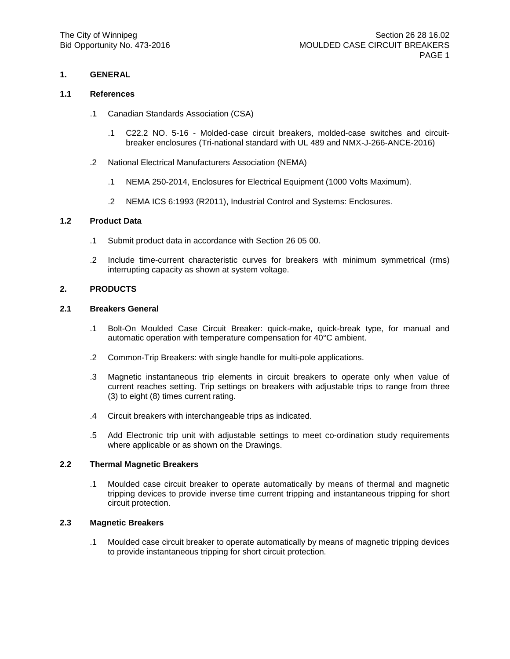#### **1.1 References**

- .1 Canadian Standards Association (CSA)
	- .1 C22.2 NO. 5-16 Molded-case circuit breakers, molded-case switches and circuitbreaker enclosures (Tri-national standard with UL 489 and NMX-J-266-ANCE-2016)
- .2 National Electrical Manufacturers Association (NEMA)
	- .1 NEMA 250-2014, Enclosures for Electrical Equipment (1000 Volts Maximum).
	- .2 NEMA ICS 6:1993 (R2011), Industrial Control and Systems: Enclosures.

## **1.2 Product Data**

- .1 Submit product data in accordance with Section 26 05 00.
- .2 Include time-current characteristic curves for breakers with minimum symmetrical (rms) interrupting capacity as shown at system voltage.

### **2. PRODUCTS**

#### **2.1 Breakers General**

- .1 Bolt-On Moulded Case Circuit Breaker: quick-make, quick-break type, for manual and automatic operation with temperature compensation for 40°C ambient.
- .2 Common-Trip Breakers: with single handle for multi-pole applications.
- .3 Magnetic instantaneous trip elements in circuit breakers to operate only when value of current reaches setting. Trip settings on breakers with adjustable trips to range from three (3) to eight (8) times current rating.
- .4 Circuit breakers with interchangeable trips as indicated.
- .5 Add Electronic trip unit with adjustable settings to meet co-ordination study requirements where applicable or as shown on the Drawings.

### **2.2 Thermal Magnetic Breakers**

.1 Moulded case circuit breaker to operate automatically by means of thermal and magnetic tripping devices to provide inverse time current tripping and instantaneous tripping for short circuit protection.

#### **2.3 Magnetic Breakers**

.1 Moulded case circuit breaker to operate automatically by means of magnetic tripping devices to provide instantaneous tripping for short circuit protection.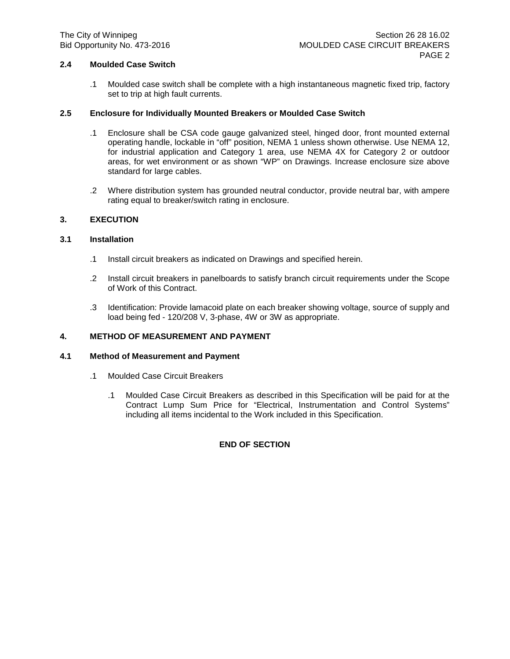## **2.4 Moulded Case Switch**

.1 Moulded case switch shall be complete with a high instantaneous magnetic fixed trip, factory set to trip at high fault currents.

## **2.5 Enclosure for Individually Mounted Breakers or Moulded Case Switch**

- .1 Enclosure shall be CSA code gauge galvanized steel, hinged door, front mounted external operating handle, lockable in "off" position, NEMA 1 unless shown otherwise. Use NEMA 12, for industrial application and Category 1 area, use NEMA 4X for Category 2 or outdoor areas, for wet environment or as shown "WP" on Drawings. Increase enclosure size above standard for large cables.
- .2 Where distribution system has grounded neutral conductor, provide neutral bar, with ampere rating equal to breaker/switch rating in enclosure.

## **3. EXECUTION**

## **3.1 Installation**

- .1 Install circuit breakers as indicated on Drawings and specified herein.
- .2 Install circuit breakers in panelboards to satisfy branch circuit requirements under the Scope of Work of this Contract.
- .3 Identification: Provide lamacoid plate on each breaker showing voltage, source of supply and load being fed - 120/208 V, 3-phase, 4W or 3W as appropriate.

### **4. METHOD OF MEASUREMENT AND PAYMENT**

## **4.1 Method of Measurement and Payment**

- .1 Moulded Case Circuit Breakers
	- .1 Moulded Case Circuit Breakers as described in this Specification will be paid for at the Contract Lump Sum Price for "Electrical, Instrumentation and Control Systems" including all items incidental to the Work included in this Specification.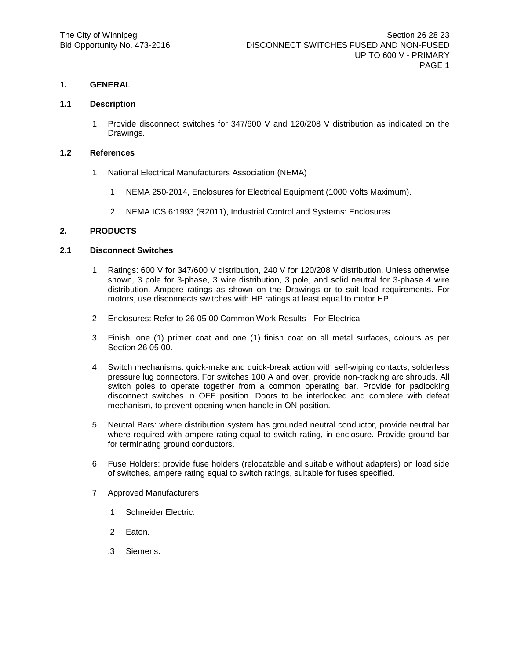## **1.1 Description**

.1 Provide disconnect switches for 347/600 V and 120/208 V distribution as indicated on the Drawings.

## **1.2 References**

- .1 National Electrical Manufacturers Association (NEMA)
	- .1 NEMA 250-2014, Enclosures for Electrical Equipment (1000 Volts Maximum).
	- .2 NEMA ICS 6:1993 (R2011), Industrial Control and Systems: Enclosures.

## **2. PRODUCTS**

### **2.1 Disconnect Switches**

- .1 Ratings: 600 V for 347/600 V distribution, 240 V for 120/208 V distribution. Unless otherwise shown, 3 pole for 3-phase, 3 wire distribution, 3 pole, and solid neutral for 3-phase 4 wire distribution. Ampere ratings as shown on the Drawings or to suit load requirements. For motors, use disconnects switches with HP ratings at least equal to motor HP.
- .2 Enclosures: Refer to 26 05 00 Common Work Results For Electrical
- .3 Finish: one (1) primer coat and one (1) finish coat on all metal surfaces, colours as per Section 26 05 00.
- .4 Switch mechanisms: quick-make and quick-break action with self-wiping contacts, solderless pressure lug connectors. For switches 100 A and over, provide non-tracking arc shrouds. All switch poles to operate together from a common operating bar. Provide for padlocking disconnect switches in OFF position. Doors to be interlocked and complete with defeat mechanism, to prevent opening when handle in ON position.
- .5 Neutral Bars: where distribution system has grounded neutral conductor, provide neutral bar where required with ampere rating equal to switch rating, in enclosure. Provide ground bar for terminating ground conductors.
- .6 Fuse Holders: provide fuse holders (relocatable and suitable without adapters) on load side of switches, ampere rating equal to switch ratings, suitable for fuses specified.
- .7 Approved Manufacturers:
	- .1 Schneider Electric.
	- .2 Eaton.
	- .3 Siemens.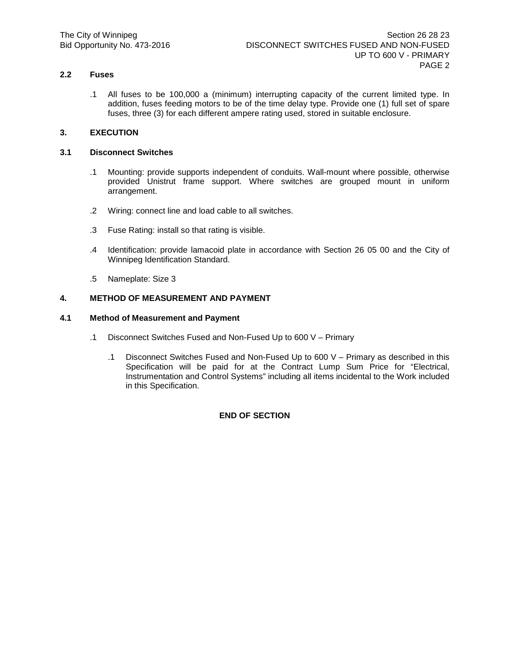# **2.2 Fuses**

.1 All fuses to be 100,000 a (minimum) interrupting capacity of the current limited type. In addition, fuses feeding motors to be of the time delay type. Provide one (1) full set of spare fuses, three (3) for each different ampere rating used, stored in suitable enclosure.

# **3. EXECUTION**

## **3.1 Disconnect Switches**

- .1 Mounting: provide supports independent of conduits. Wall-mount where possible, otherwise provided Unistrut frame support. Where switches are grouped mount in uniform arrangement.
- .2 Wiring: connect line and load cable to all switches.
- .3 Fuse Rating: install so that rating is visible.
- .4 Identification: provide lamacoid plate in accordance with Section 26 05 00 and the City of Winnipeg Identification Standard.
- .5 Nameplate: Size 3

# **4. METHOD OF MEASUREMENT AND PAYMENT**

# **4.1 Method of Measurement and Payment**

- .1 Disconnect Switches Fused and Non-Fused Up to 600 V Primary
	- .1 Disconnect Switches Fused and Non-Fused Up to 600 V Primary as described in this Specification will be paid for at the Contract Lump Sum Price for "Electrical, Instrumentation and Control Systems" including all items incidental to the Work included in this Specification.

### **END OF SECTION**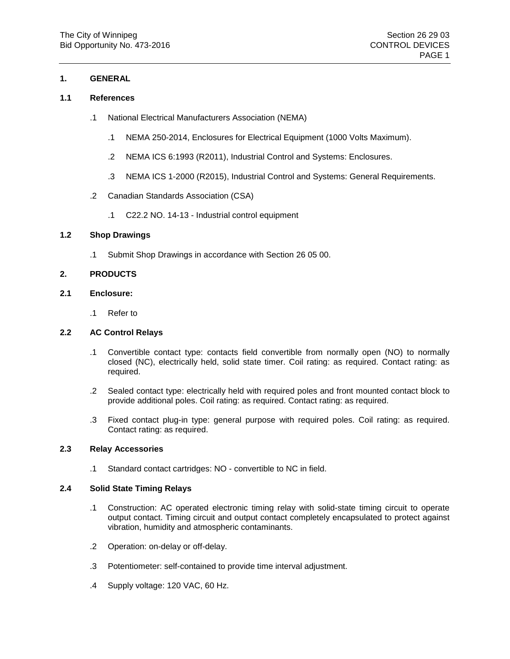# **1. GENERAL**

### **1.1 References**

- .1 National Electrical Manufacturers Association (NEMA)
	- .1 NEMA 250-2014, Enclosures for Electrical Equipment (1000 Volts Maximum).
	- .2 NEMA ICS 6:1993 (R2011), Industrial Control and Systems: Enclosures.
	- .3 NEMA ICS 1-2000 (R2015), Industrial Control and Systems: General Requirements.
- .2 Canadian Standards Association (CSA)
	- .1 C22.2 NO. 14-13 Industrial control equipment

### **1.2 Shop Drawings**

.1 Submit Shop Drawings in accordance with Section 26 05 00.

### **2. PRODUCTS**

# **2.1 Enclosure:**

.1 Refer to

### **2.2 AC Control Relays**

- .1 Convertible contact type: contacts field convertible from normally open (NO) to normally closed (NC), electrically held, solid state timer. Coil rating: as required. Contact rating: as required.
- .2 Sealed contact type: electrically held with required poles and front mounted contact block to provide additional poles. Coil rating: as required. Contact rating: as required.
- .3 Fixed contact plug-in type: general purpose with required poles. Coil rating: as required. Contact rating: as required.

# **2.3 Relay Accessories**

.1 Standard contact cartridges: NO - convertible to NC in field.

### **2.4 Solid State Timing Relays**

- .1 Construction: AC operated electronic timing relay with solid-state timing circuit to operate output contact. Timing circuit and output contact completely encapsulated to protect against vibration, humidity and atmospheric contaminants.
- .2 Operation: on-delay or off-delay.
- .3 Potentiometer: self-contained to provide time interval adjustment.
- .4 Supply voltage: 120 VAC, 60 Hz.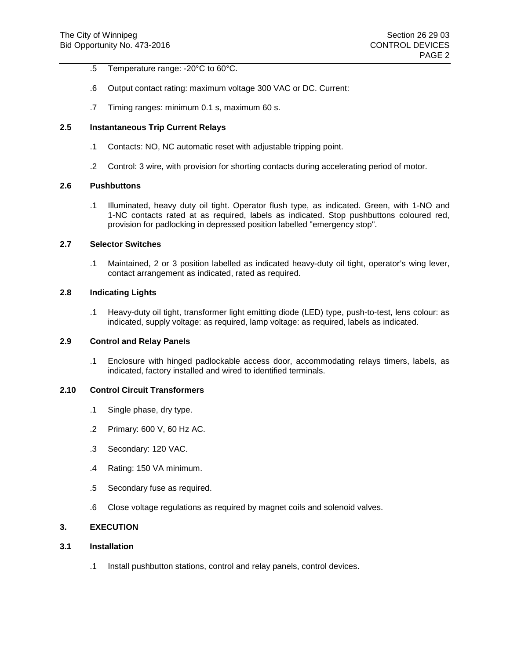- .5 Temperature range: -20°C to 60°C.
- .6 Output contact rating: maximum voltage 300 VAC or DC. Current:
- .7 Timing ranges: minimum 0.1 s, maximum 60 s.

# **2.5 Instantaneous Trip Current Relays**

- .1 Contacts: NO, NC automatic reset with adjustable tripping point.
- .2 Control: 3 wire, with provision for shorting contacts during accelerating period of motor.

#### **2.6 Pushbuttons**

.1 Illuminated, heavy duty oil tight. Operator flush type, as indicated. Green, with 1-NO and 1-NC contacts rated at as required, labels as indicated. Stop pushbuttons coloured red, provision for padlocking in depressed position labelled "emergency stop".

#### **2.7 Selector Switches**

.1 Maintained, 2 or 3 position labelled as indicated heavy-duty oil tight, operator's wing lever, contact arrangement as indicated, rated as required.

# **2.8 Indicating Lights**

.1 Heavy-duty oil tight, transformer light emitting diode (LED) type, push-to-test, lens colour: as indicated, supply voltage: as required, lamp voltage: as required, labels as indicated.

# **2.9 Control and Relay Panels**

.1 Enclosure with hinged padlockable access door, accommodating relays timers, labels, as indicated, factory installed and wired to identified terminals.

#### **2.10 Control Circuit Transformers**

- .1 Single phase, dry type.
- .2 Primary: 600 V, 60 Hz AC.
- .3 Secondary: 120 VAC.
- .4 Rating: 150 VA minimum.
- .5 Secondary fuse as required.
- .6 Close voltage regulations as required by magnet coils and solenoid valves.

# **3. EXECUTION**

# **3.1 Installation**

.1 Install pushbutton stations, control and relay panels, control devices.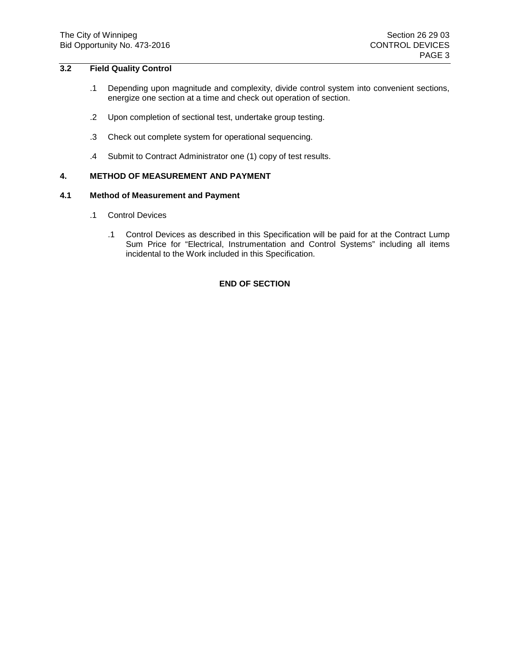# **3.2 Field Quality Control**

- .1 Depending upon magnitude and complexity, divide control system into convenient sections, energize one section at a time and check out operation of section.
- .2 Upon completion of sectional test, undertake group testing.
- .3 Check out complete system for operational sequencing.
- .4 Submit to Contract Administrator one (1) copy of test results.

# **4. METHOD OF MEASUREMENT AND PAYMENT**

### **4.1 Method of Measurement and Payment**

- .1 Control Devices
	- .1 Control Devices as described in this Specification will be paid for at the Contract Lump Sum Price for "Electrical, Instrumentation and Control Systems" including all items incidental to the Work included in this Specification.

# **END OF SECTION**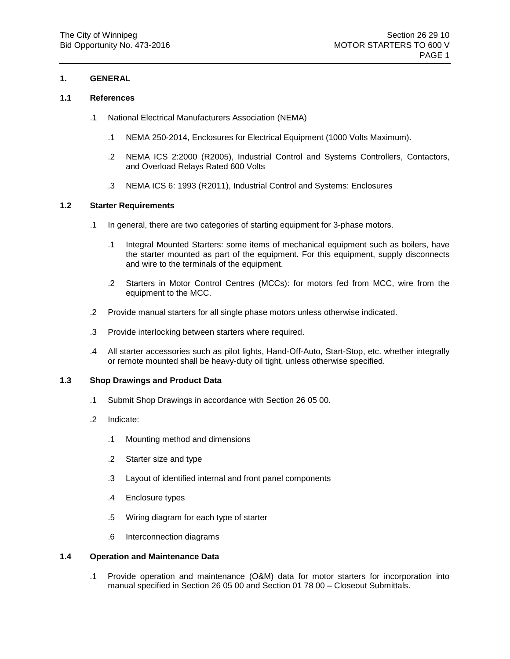# **1. GENERAL**

# **1.1 References**

- .1 National Electrical Manufacturers Association (NEMA)
	- .1 NEMA 250-2014, Enclosures for Electrical Equipment (1000 Volts Maximum).
	- .2 NEMA ICS 2:2000 (R2005), Industrial Control and Systems Controllers, Contactors, and Overload Relays Rated 600 Volts
	- .3 NEMA ICS 6: 1993 (R2011), Industrial Control and Systems: Enclosures

# **1.2 Starter Requirements**

- .1 In general, there are two categories of starting equipment for 3-phase motors.
	- .1 Integral Mounted Starters: some items of mechanical equipment such as boilers, have the starter mounted as part of the equipment. For this equipment, supply disconnects and wire to the terminals of the equipment.
	- .2 Starters in Motor Control Centres (MCCs): for motors fed from MCC, wire from the equipment to the MCC.
- .2 Provide manual starters for all single phase motors unless otherwise indicated.
- .3 Provide interlocking between starters where required.
- .4 All starter accessories such as pilot lights, Hand-Off-Auto, Start-Stop, etc. whether integrally or remote mounted shall be heavy-duty oil tight, unless otherwise specified.

### **1.3 Shop Drawings and Product Data**

- .1 Submit Shop Drawings in accordance with Section 26 05 00.
- .2 Indicate:
	- .1 Mounting method and dimensions
	- .2 Starter size and type
	- .3 Layout of identified internal and front panel components
	- .4 Enclosure types
	- .5 Wiring diagram for each type of starter
	- .6 Interconnection diagrams

### **1.4 Operation and Maintenance Data**

.1 Provide operation and maintenance (O&M) data for motor starters for incorporation into manual specified in Section 26 05 00 and Section 01 78 00 – Closeout Submittals.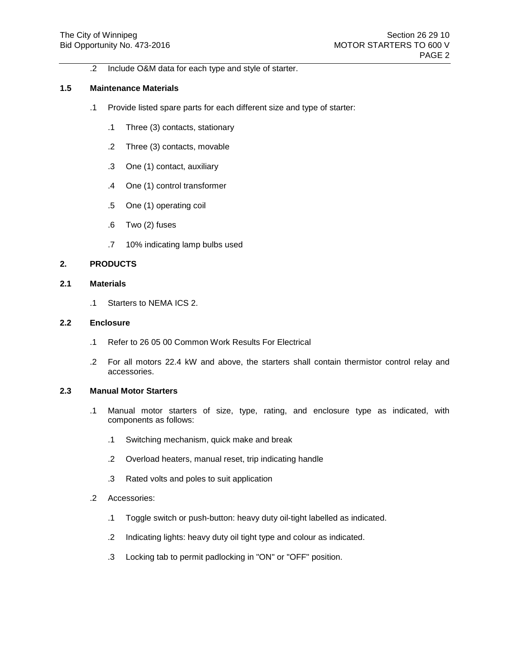.2 Include O&M data for each type and style of starter.

# **1.5 Maintenance Materials**

- .1 Provide listed spare parts for each different size and type of starter:
	- .1 Three (3) contacts, stationary
	- .2 Three (3) contacts, movable
	- .3 One (1) contact, auxiliary
	- .4 One (1) control transformer
	- .5 One (1) operating coil
	- .6 Two (2) fuses
	- .7 10% indicating lamp bulbs used

### **2. PRODUCTS**

# **2.1 Materials**

.1 Starters to NEMA ICS 2.

#### **2.2 Enclosure**

- .1 Refer to 26 05 00 Common Work Results For Electrical
- .2 For all motors 22.4 kW and above, the starters shall contain thermistor control relay and accessories.

# **2.3 Manual Motor Starters**

- .1 Manual motor starters of size, type, rating, and enclosure type as indicated, with components as follows:
	- .1 Switching mechanism, quick make and break
	- .2 Overload heaters, manual reset, trip indicating handle
	- .3 Rated volts and poles to suit application
- .2 Accessories:
	- .1 Toggle switch or push-button: heavy duty oil-tight labelled as indicated.
	- .2 Indicating lights: heavy duty oil tight type and colour as indicated.
	- .3 Locking tab to permit padlocking in "ON" or "OFF" position.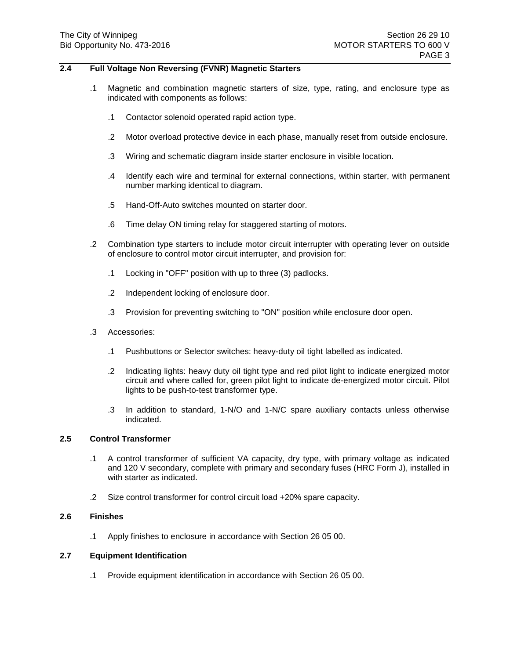# **2.4 Full Voltage Non Reversing (FVNR) Magnetic Starters**

- .1 Magnetic and combination magnetic starters of size, type, rating, and enclosure type as indicated with components as follows:
	- .1 Contactor solenoid operated rapid action type.
	- .2 Motor overload protective device in each phase, manually reset from outside enclosure.
	- .3 Wiring and schematic diagram inside starter enclosure in visible location.
	- .4 Identify each wire and terminal for external connections, within starter, with permanent number marking identical to diagram.
	- .5 Hand-Off-Auto switches mounted on starter door.
	- .6 Time delay ON timing relay for staggered starting of motors.
- .2 Combination type starters to include motor circuit interrupter with operating lever on outside of enclosure to control motor circuit interrupter, and provision for:
	- .1 Locking in "OFF" position with up to three (3) padlocks.
	- .2 Independent locking of enclosure door.
	- .3 Provision for preventing switching to "ON" position while enclosure door open.
- .3 Accessories:
	- .1 Pushbuttons or Selector switches: heavy-duty oil tight labelled as indicated.
	- .2 Indicating lights: heavy duty oil tight type and red pilot light to indicate energized motor circuit and where called for, green pilot light to indicate de-energized motor circuit. Pilot lights to be push-to-test transformer type.
	- .3 In addition to standard, 1-N/O and 1-N/C spare auxiliary contacts unless otherwise indicated.

# **2.5 Control Transformer**

- .1 A control transformer of sufficient VA capacity, dry type, with primary voltage as indicated and 120 V secondary, complete with primary and secondary fuses (HRC Form J), installed in with starter as indicated.
- .2 Size control transformer for control circuit load +20% spare capacity.

#### **2.6 Finishes**

.1 Apply finishes to enclosure in accordance with Section 26 05 00.

#### **2.7 Equipment Identification**

.1 Provide equipment identification in accordance with Section 26 05 00.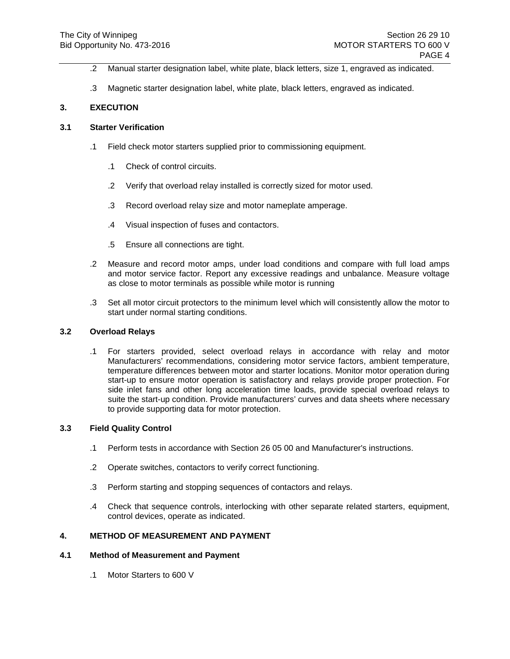- .2 Manual starter designation label, white plate, black letters, size 1, engraved as indicated.
- .3 Magnetic starter designation label, white plate, black letters, engraved as indicated.

# **3. EXECUTION**

# **3.1 Starter Verification**

- .1 Field check motor starters supplied prior to commissioning equipment.
	- .1 Check of control circuits.
	- .2 Verify that overload relay installed is correctly sized for motor used.
	- .3 Record overload relay size and motor nameplate amperage.
	- .4 Visual inspection of fuses and contactors.
	- .5 Ensure all connections are tight.
- .2 Measure and record motor amps, under load conditions and compare with full load amps and motor service factor. Report any excessive readings and unbalance. Measure voltage as close to motor terminals as possible while motor is running
- .3 Set all motor circuit protectors to the minimum level which will consistently allow the motor to start under normal starting conditions.

### **3.2 Overload Relays**

.1 For starters provided, select overload relays in accordance with relay and motor Manufacturers' recommendations, considering motor service factors, ambient temperature, temperature differences between motor and starter locations. Monitor motor operation during start-up to ensure motor operation is satisfactory and relays provide proper protection. For side inlet fans and other long acceleration time loads, provide special overload relays to suite the start-up condition. Provide manufacturers' curves and data sheets where necessary to provide supporting data for motor protection.

### **3.3 Field Quality Control**

- .1 Perform tests in accordance with Section 26 05 00 and Manufacturer's instructions.
- .2 Operate switches, contactors to verify correct functioning.
- .3 Perform starting and stopping sequences of contactors and relays.
- .4 Check that sequence controls, interlocking with other separate related starters, equipment, control devices, operate as indicated.

# **4. METHOD OF MEASUREMENT AND PAYMENT**

# **4.1 Method of Measurement and Payment**

.1 Motor Starters to 600 V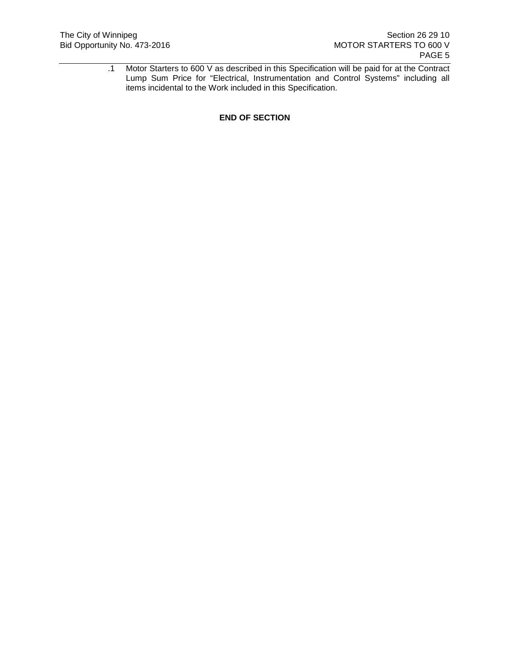.1 Motor Starters to 600 V as described in this Specification will be paid for at the Contract Lump Sum Price for "Electrical, Instrumentation and Control Systems" including all items incidental to the Work included in this Specification.

**END OF SECTION**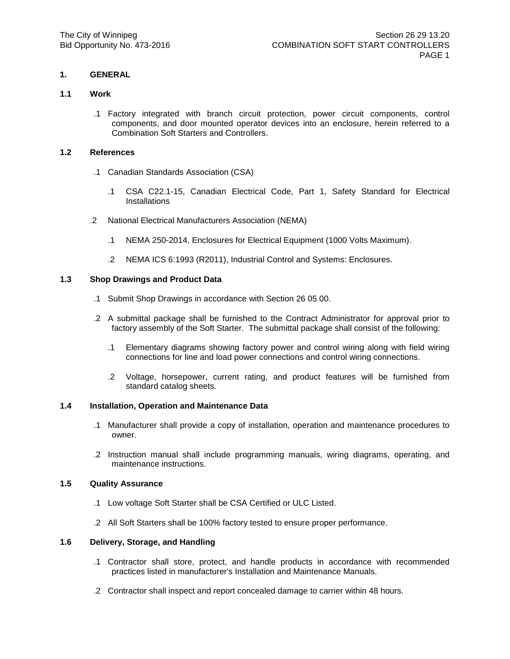# **1. GENERAL**

### **1.1 Work**

.1 Factory integrated with branch circuit protection, power circuit components, control components, and door mounted operator devices into an enclosure, herein referred to a Combination Soft Starters and Controllers.

# **1.2 References**

- .1 Canadian Standards Association (CSA)
	- .1 CSA C22.1-15, Canadian Electrical Code, Part 1, Safety Standard for Electrical **Installations**
- .2 National Electrical Manufacturers Association (NEMA)
	- .1 NEMA 250-2014, Enclosures for Electrical Equipment (1000 Volts Maximum).
	- .2 NEMA ICS 6:1993 (R2011), Industrial Control and Systems: Enclosures.

# **1.3 Shop Drawings and Product Data**

- .1 Submit Shop Drawings in accordance with Section 26 05 00.
- .2 A submittal package shall be furnished to the Contract Administrator for approval prior to factory assembly of the Soft Starter. The submittal package shall consist of the following:
	- .1 Elementary diagrams showing factory power and control wiring along with field wiring connections for line and load power connections and control wiring connections.
	- .2 Voltage, horsepower, current rating, and product features will be furnished from standard catalog sheets.

### **1.4 Installation, Operation and Maintenance Data**

- .1 Manufacturer shall provide a copy of installation, operation and maintenance procedures to owner.
- .2 Instruction manual shall include programming manuals, wiring diagrams, operating, and maintenance instructions.

### **1.5 Quality Assurance**

- .1 Low voltage Soft Starter shall be CSA Certified or ULC Listed.
- .2 All Soft Starters shall be 100% factory tested to ensure proper performance.

### **1.6 Delivery, Storage, and Handling**

- .1 Contractor shall store, protect, and handle products in accordance with recommended practices listed in manufacturer's Installation and Maintenance Manuals.
- .2 Contractor shall inspect and report concealed damage to carrier within 48 hours.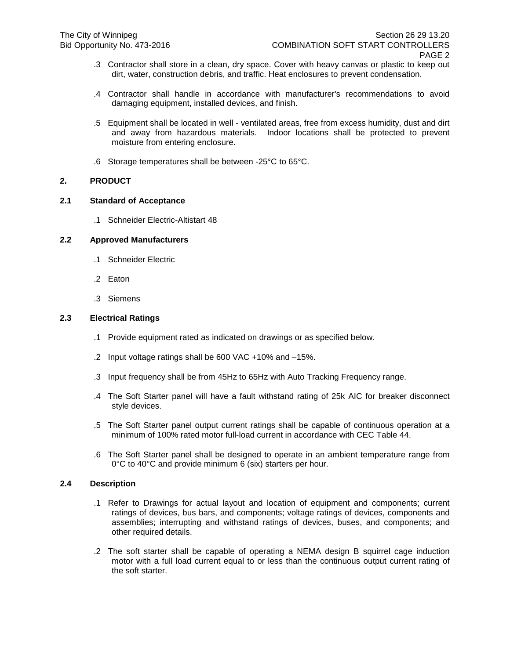- .3 Contractor shall store in a clean, dry space. Cover with heavy canvas or plastic to keep out dirt, water, construction debris, and traffic. Heat enclosures to prevent condensation.
- .4 Contractor shall handle in accordance with manufacturer's recommendations to avoid damaging equipment, installed devices, and finish.
- .5 Equipment shall be located in well ventilated areas, free from excess humidity, dust and dirt and away from hazardous materials. Indoor locations shall be protected to prevent moisture from entering enclosure.
- .6 Storage temperatures shall be between -25°C to 65°C.

# **2. PRODUCT**

### **2.1 Standard of Acceptance**

.1 Schneider Electric-Altistart 48

# **2.2 Approved Manufacturers**

- .1 Schneider Electric
- .2 Eaton
- .3 Siemens

# **2.3 Electrical Ratings**

- .1 Provide equipment rated as indicated on drawings or as specified below.
- .2 Input voltage ratings shall be 600 VAC +10% and –15%.
- .3 Input frequency shall be from 45Hz to 65Hz with Auto Tracking Frequency range.
- .4 The Soft Starter panel will have a fault withstand rating of 25k AIC for breaker disconnect style devices.
- .5 The Soft Starter panel output current ratings shall be capable of continuous operation at a minimum of 100% rated motor full-load current in accordance with CEC Table 44.
- .6 The Soft Starter panel shall be designed to operate in an ambient temperature range from 0°C to 40°C and provide minimum 6 (six) starters per hour.

### **2.4 Description**

- .1 Refer to Drawings for actual layout and location of equipment and components; current ratings of devices, bus bars, and components; voltage ratings of devices, components and assemblies; interrupting and withstand ratings of devices, buses, and components; and other required details.
- .2 The soft starter shall be capable of operating a NEMA design B squirrel cage induction motor with a full load current equal to or less than the continuous output current rating of the soft starter.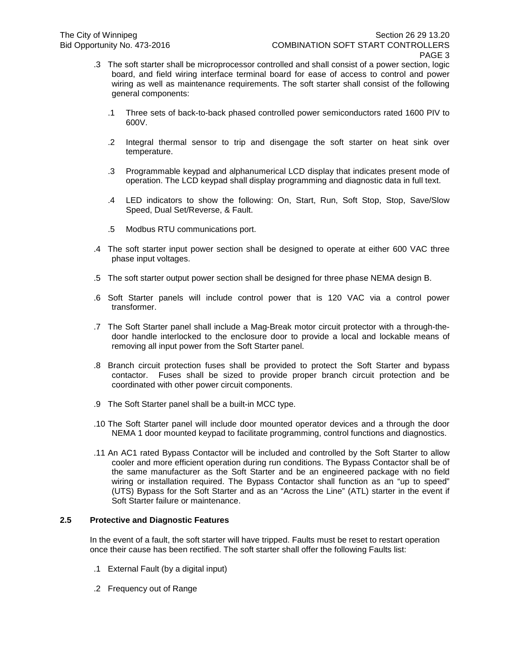- .3 The soft starter shall be microprocessor controlled and shall consist of a power section, logic board, and field wiring interface terminal board for ease of access to control and power wiring as well as maintenance requirements. The soft starter shall consist of the following general components:
	- .1 Three sets of back-to-back phased controlled power semiconductors rated 1600 PIV to 600V.
	- .2 Integral thermal sensor to trip and disengage the soft starter on heat sink over temperature.
	- .3 Programmable keypad and alphanumerical LCD display that indicates present mode of operation. The LCD keypad shall display programming and diagnostic data in full text.
	- .4 LED indicators to show the following: On, Start, Run, Soft Stop, Stop, Save/Slow Speed, Dual Set/Reverse, & Fault.
	- .5 Modbus RTU communications port.
- .4 The soft starter input power section shall be designed to operate at either 600 VAC three phase input voltages.
- .5 The soft starter output power section shall be designed for three phase NEMA design B.
- .6 Soft Starter panels will include control power that is 120 VAC via a control power transformer.
- .7 The Soft Starter panel shall include a Mag-Break motor circuit protector with a through-thedoor handle interlocked to the enclosure door to provide a local and lockable means of removing all input power from the Soft Starter panel.
- .8 Branch circuit protection fuses shall be provided to protect the Soft Starter and bypass contactor. Fuses shall be sized to provide proper branch circuit protection and be coordinated with other power circuit components.
- .9 The Soft Starter panel shall be a built-in MCC type.
- .10 The Soft Starter panel will include door mounted operator devices and a through the door NEMA 1 door mounted keypad to facilitate programming, control functions and diagnostics.
- .11 An AC1 rated Bypass Contactor will be included and controlled by the Soft Starter to allow cooler and more efficient operation during run conditions. The Bypass Contactor shall be of the same manufacturer as the Soft Starter and be an engineered package with no field wiring or installation required. The Bypass Contactor shall function as an "up to speed" (UTS) Bypass for the Soft Starter and as an "Across the Line" (ATL) starter in the event if Soft Starter failure or maintenance.

### **2.5 Protective and Diagnostic Features**

In the event of a fault, the soft starter will have tripped. Faults must be reset to restart operation once their cause has been rectified. The soft starter shall offer the following Faults list:

- .1 External Fault (by a digital input)
- .2 Frequency out of Range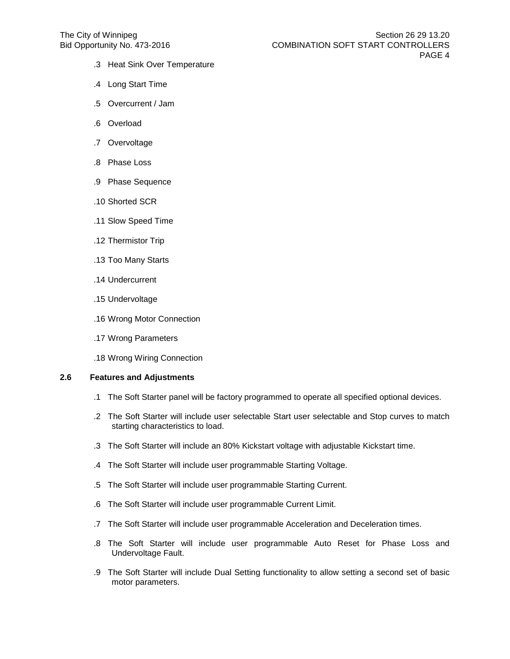- .3 Heat Sink Over Temperature
- .4 Long Start Time
- .5 Overcurrent / Jam
- .6 Overload
- .7 Overvoltage
- .8 Phase Loss
- .9 Phase Sequence
- .10 Shorted SCR
- .11 Slow Speed Time
- .12 Thermistor Trip
- .13 Too Many Starts
- .14 Undercurrent
- .15 Undervoltage
- .16 Wrong Motor Connection
- .17 Wrong Parameters
- .18 Wrong Wiring Connection

# **2.6 Features and Adjustments**

- .1 The Soft Starter panel will be factory programmed to operate all specified optional devices.
- .2 The Soft Starter will include user selectable Start user selectable and Stop curves to match starting characteristics to load.
- .3 The Soft Starter will include an 80% Kickstart voltage with adjustable Kickstart time.
- .4 The Soft Starter will include user programmable Starting Voltage.
- .5 The Soft Starter will include user programmable Starting Current.
- .6 The Soft Starter will include user programmable Current Limit.
- .7 The Soft Starter will include user programmable Acceleration and Deceleration times.
- .8 The Soft Starter will include user programmable Auto Reset for Phase Loss and Undervoltage Fault.
- .9 The Soft Starter will include Dual Setting functionality to allow setting a second set of basic motor parameters.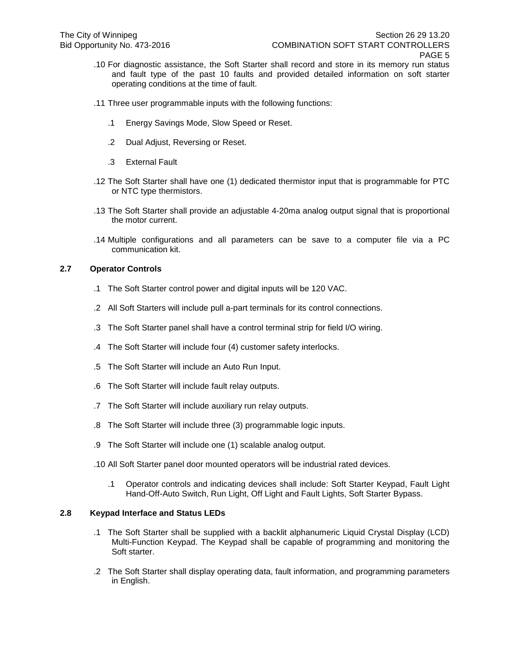- .10 For diagnostic assistance, the Soft Starter shall record and store in its memory run status and fault type of the past 10 faults and provided detailed information on soft starter operating conditions at the time of fault.
- .11 Three user programmable inputs with the following functions:
	- .1 Energy Savings Mode, Slow Speed or Reset.
	- .2 Dual Adjust, Reversing or Reset.
	- .3 External Fault
- .12 The Soft Starter shall have one (1) dedicated thermistor input that is programmable for PTC or NTC type thermistors.
- .13 The Soft Starter shall provide an adjustable 4-20ma analog output signal that is proportional the motor current.
- .14 Multiple configurations and all parameters can be save to a computer file via a PC communication kit.

### **2.7 Operator Controls**

- .1 The Soft Starter control power and digital inputs will be 120 VAC.
- .2 All Soft Starters will include pull a-part terminals for its control connections.
- .3 The Soft Starter panel shall have a control terminal strip for field I/O wiring.
- .4 The Soft Starter will include four (4) customer safety interlocks.
- .5 The Soft Starter will include an Auto Run Input.
- .6 The Soft Starter will include fault relay outputs.
- .7 The Soft Starter will include auxiliary run relay outputs.
- .8 The Soft Starter will include three (3) programmable logic inputs.
- .9 The Soft Starter will include one (1) scalable analog output.
- .10 All Soft Starter panel door mounted operators will be industrial rated devices.
	- .1 Operator controls and indicating devices shall include: Soft Starter Keypad, Fault Light Hand-Off-Auto Switch, Run Light, Off Light and Fault Lights, Soft Starter Bypass.

# **2.8 Keypad Interface and Status LEDs**

- .1 The Soft Starter shall be supplied with a backlit alphanumeric Liquid Crystal Display (LCD) Multi-Function Keypad. The Keypad shall be capable of programming and monitoring the Soft starter.
- .2 The Soft Starter shall display operating data, fault information, and programming parameters in English.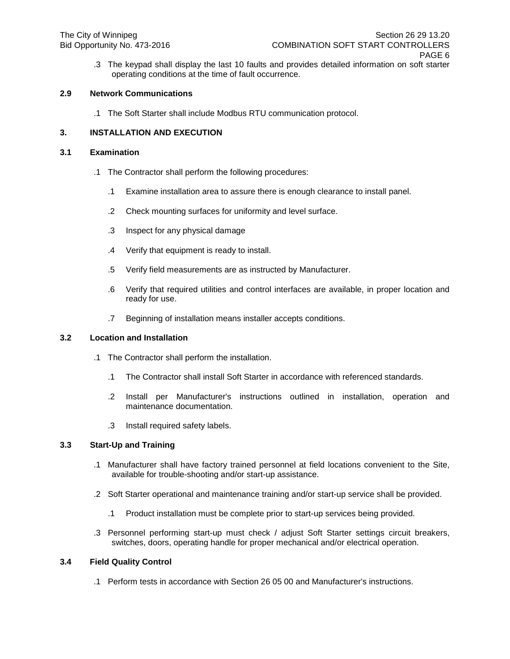.3 The keypad shall display the last 10 faults and provides detailed information on soft starter operating conditions at the time of fault occurrence.

# **2.9 Network Communications**

.1 The Soft Starter shall include Modbus RTU communication protocol.

# **3. INSTALLATION AND EXECUTION**

### **3.1 Examination**

- .1 The Contractor shall perform the following procedures:
	- .1 Examine installation area to assure there is enough clearance to install panel.
	- .2 Check mounting surfaces for uniformity and level surface.
	- .3 Inspect for any physical damage
	- .4 Verify that equipment is ready to install.
	- .5 Verify field measurements are as instructed by Manufacturer.
	- .6 Verify that required utilities and control interfaces are available, in proper location and ready for use.
	- .7 Beginning of installation means installer accepts conditions.

### **3.2 Location and Installation**

- .1 The Contractor shall perform the installation.
	- .1 The Contractor shall install Soft Starter in accordance with referenced standards.
	- .2 Install per Manufacturer's instructions outlined in installation, operation and maintenance documentation.
	- .3 Install required safety labels.

### **3.3 Start-Up and Training**

- .1 Manufacturer shall have factory trained personnel at field locations convenient to the Site, available for trouble-shooting and/or start-up assistance.
- .2 Soft Starter operational and maintenance training and/or start-up service shall be provided.
	- .1 Product installation must be complete prior to start-up services being provided.
- .3 Personnel performing start-up must check / adjust Soft Starter settings circuit breakers, switches, doors, operating handle for proper mechanical and/or electrical operation.

### **3.4 Field Quality Control**

.1 Perform tests in accordance with Section 26 05 00 and Manufacturer's instructions.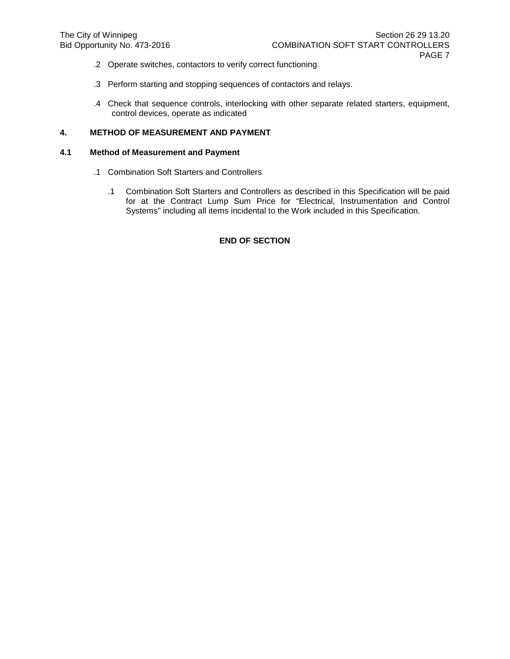- .2 Operate switches, contactors to verify correct functioning.
- .3 Perform starting and stopping sequences of contactors and relays.
- .4 Check that sequence controls, interlocking with other separate related starters, equipment, control devices, operate as indicated

# **4. METHOD OF MEASUREMENT AND PAYMENT**

### **4.1 Method of Measurement and Payment**

- .1 Combination Soft Starters and Controllers
	- .1 Combination Soft Starters and Controllers as described in this Specification will be paid for at the Contract Lump Sum Price for "Electrical, Instrumentation and Control Systems" including all items incidental to the Work included in this Specification.

### **END OF SECTION**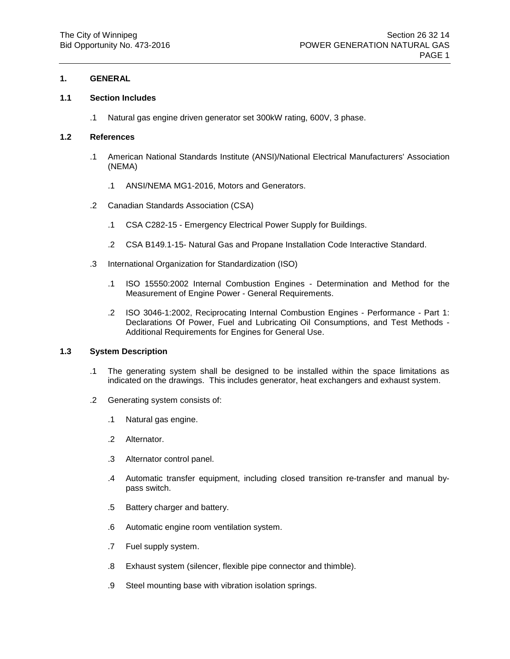# **1. GENERAL**

### **1.1 Section Includes**

.1 Natural gas engine driven generator set 300kW rating, 600V, 3 phase.

# **1.2 References**

- .1 American National Standards Institute (ANSI)/National Electrical Manufacturers' Association (NEMA)
	- .1 ANSI/NEMA MG1-2016, Motors and Generators.
- .2 Canadian Standards Association (CSA)
	- .1 CSA C282-15 Emergency Electrical Power Supply for Buildings.
	- .2 CSA B149.1-15- Natural Gas and Propane Installation Code Interactive Standard.
- .3 International Organization for Standardization (ISO)
	- .1 ISO 15550:2002 Internal Combustion Engines Determination and Method for the Measurement of Engine Power - General Requirements.
	- .2 ISO 3046-1:2002, Reciprocating Internal Combustion Engines Performance Part 1: Declarations Of Power, Fuel and Lubricating Oil Consumptions, and Test Methods - Additional Requirements for Engines for General Use.

### **1.3 System Description**

- .1 The generating system shall be designed to be installed within the space limitations as indicated on the drawings. This includes generator, heat exchangers and exhaust system.
- .2 Generating system consists of:
	- .1 Natural gas engine.
	- .2 Alternator.
	- .3 Alternator control panel.
	- .4 Automatic transfer equipment, including closed transition re-transfer and manual bypass switch.
	- .5 Battery charger and battery.
	- .6 Automatic engine room ventilation system.
	- .7 Fuel supply system.
	- .8 Exhaust system (silencer, flexible pipe connector and thimble).
	- .9 Steel mounting base with vibration isolation springs.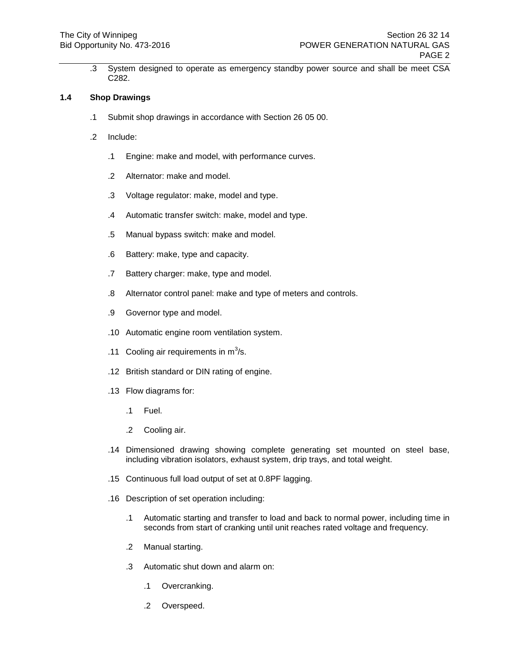.3 System designed to operate as emergency standby power source and shall be meet CSA C282.

### **1.4 Shop Drawings**

- .1 Submit shop drawings in accordance with Section 26 05 00.
- .2 Include:
	- .1 Engine: make and model, with performance curves.
	- .2 Alternator: make and model.
	- .3 Voltage regulator: make, model and type.
	- .4 Automatic transfer switch: make, model and type.
	- .5 Manual bypass switch: make and model.
	- .6 Battery: make, type and capacity.
	- .7 Battery charger: make, type and model.
	- .8 Alternator control panel: make and type of meters and controls.
	- .9 Governor type and model.
	- .10 Automatic engine room ventilation system.
	- .11 Cooling air requirements in  $m^3/s$ .
	- .12 British standard or DIN rating of engine.
	- .13 Flow diagrams for:
		- .1 Fuel.
		- .2 Cooling air.
	- .14 Dimensioned drawing showing complete generating set mounted on steel base, including vibration isolators, exhaust system, drip trays, and total weight.
	- .15 Continuous full load output of set at 0.8PF lagging.
	- .16 Description of set operation including:
		- .1 Automatic starting and transfer to load and back to normal power, including time in seconds from start of cranking until unit reaches rated voltage and frequency.
		- .2 Manual starting.
		- .3 Automatic shut down and alarm on:
			- .1 Overcranking.
			- .2 Overspeed.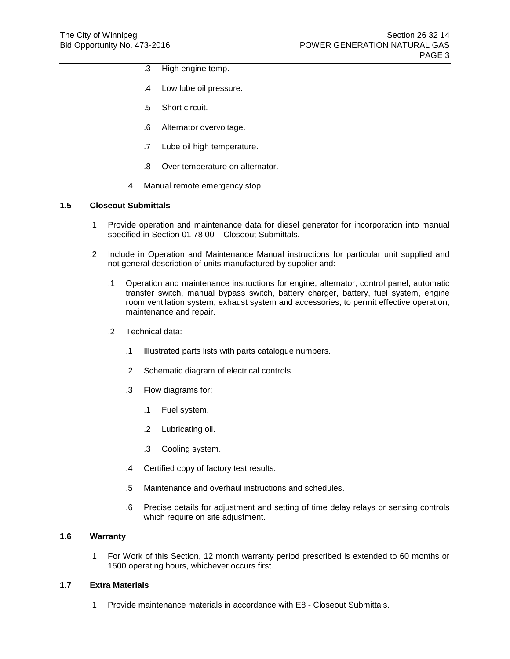- .3 High engine temp.
- .4 Low lube oil pressure.
- .5 Short circuit.
- .6 Alternator overvoltage.
- .7 Lube oil high temperature.
- .8 Over temperature on alternator.
- .4 Manual remote emergency stop.

# **1.5 Closeout Submittals**

- .1 Provide operation and maintenance data for diesel generator for incorporation into manual specified in Section 01 78 00 – Closeout Submittals.
- .2 Include in Operation and Maintenance Manual instructions for particular unit supplied and not general description of units manufactured by supplier and:
	- .1 Operation and maintenance instructions for engine, alternator, control panel, automatic transfer switch, manual bypass switch, battery charger, battery, fuel system, engine room ventilation system, exhaust system and accessories, to permit effective operation, maintenance and repair.
	- .2 Technical data:
		- .1 Illustrated parts lists with parts catalogue numbers.
		- .2 Schematic diagram of electrical controls.
		- .3 Flow diagrams for:
			- .1 Fuel system.
			- .2 Lubricating oil.
			- .3 Cooling system.
		- .4 Certified copy of factory test results.
		- .5 Maintenance and overhaul instructions and schedules.
		- .6 Precise details for adjustment and setting of time delay relays or sensing controls which require on site adjustment.

### **1.6 Warranty**

.1 For Work of this Section, 12 month warranty period prescribed is extended to 60 months or 1500 operating hours, whichever occurs first.

### **1.7 Extra Materials**

.1 Provide maintenance materials in accordance with E8 - Closeout Submittals.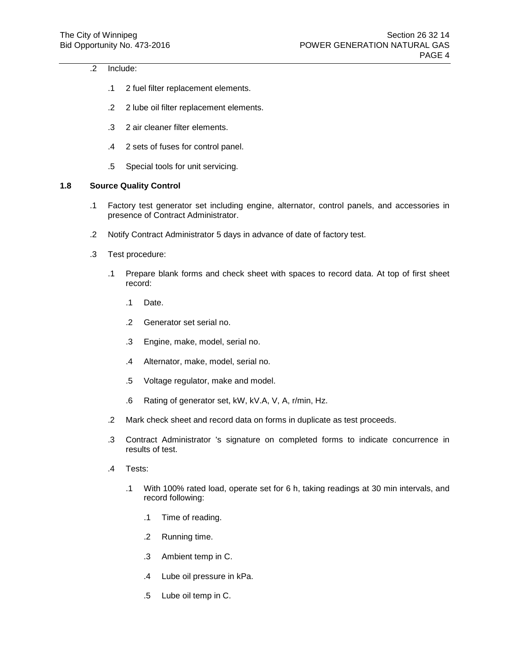# .2 Include:

- .1 2 fuel filter replacement elements.
- .2 2 lube oil filter replacement elements.
- .3 2 air cleaner filter elements.
- .4 2 sets of fuses for control panel.
- .5 Special tools for unit servicing.

# **1.8 Source Quality Control**

- .1 Factory test generator set including engine, alternator, control panels, and accessories in presence of Contract Administrator.
- .2 Notify Contract Administrator 5 days in advance of date of factory test.
- .3 Test procedure:
	- .1 Prepare blank forms and check sheet with spaces to record data. At top of first sheet record:
		- .1 Date.
		- .2 Generator set serial no.
		- .3 Engine, make, model, serial no.
		- .4 Alternator, make, model, serial no.
		- .5 Voltage regulator, make and model.
		- .6 Rating of generator set, kW, kV.A, V, A, r/min, Hz.
	- .2 Mark check sheet and record data on forms in duplicate as test proceeds.
	- .3 Contract Administrator 's signature on completed forms to indicate concurrence in results of test.
	- .4 Tests:
		- .1 With 100% rated load, operate set for 6 h, taking readings at 30 min intervals, and record following:
			- .1 Time of reading.
			- .2 Running time.
			- .3 Ambient temp in C.
			- .4 Lube oil pressure in kPa.
			- .5 Lube oil temp in C.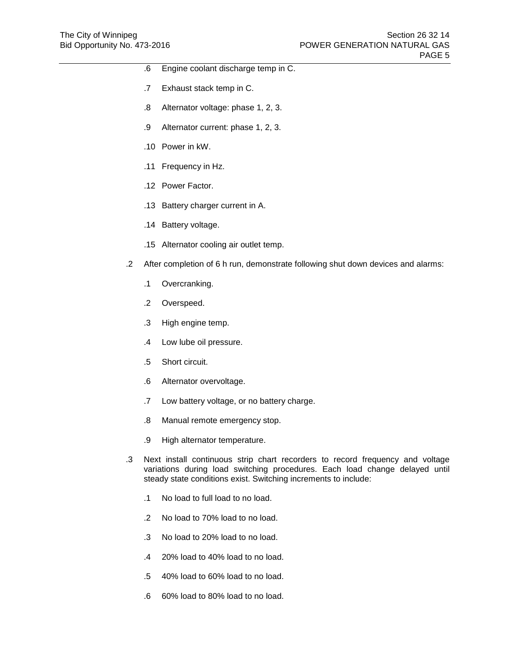- .6 Engine coolant discharge temp in C.
- .7 Exhaust stack temp in C.
- .8 Alternator voltage: phase 1, 2, 3.
- .9 Alternator current: phase 1, 2, 3.
- .10 Power in kW.
- .11 Frequency in Hz.
- .12 Power Factor.
- .13 Battery charger current in A.
- .14 Battery voltage.
- .15 Alternator cooling air outlet temp.
- .2 After completion of 6 h run, demonstrate following shut down devices and alarms:
	- .1 Overcranking.
	- .2 Overspeed.
	- .3 High engine temp.
	- .4 Low lube oil pressure.
	- .5 Short circuit.
	- .6 Alternator overvoltage.
	- .7 Low battery voltage, or no battery charge.
	- .8 Manual remote emergency stop.
	- .9 High alternator temperature.
- .3 Next install continuous strip chart recorders to record frequency and voltage variations during load switching procedures. Each load change delayed until steady state conditions exist. Switching increments to include:
	- .1 No load to full load to no load.
	- .2 No load to 70% load to no load.
	- .3 No load to 20% load to no load.
	- .4 20% load to 40% load to no load.
	- .5 40% load to 60% load to no load.
	- .6 60% load to 80% load to no load.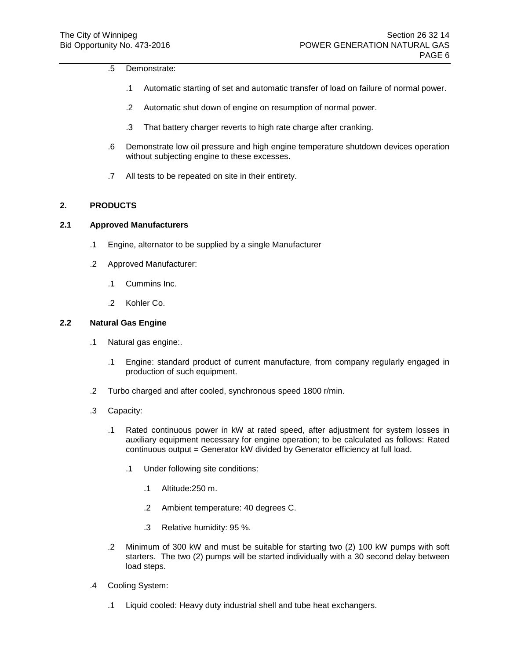#### .5 Demonstrate:

- .1 Automatic starting of set and automatic transfer of load on failure of normal power.
- .2 Automatic shut down of engine on resumption of normal power.
- .3 That battery charger reverts to high rate charge after cranking.
- .6 Demonstrate low oil pressure and high engine temperature shutdown devices operation without subjecting engine to these excesses.
- .7 All tests to be repeated on site in their entirety.

# **2. PRODUCTS**

# **2.1 Approved Manufacturers**

- .1 Engine, alternator to be supplied by a single Manufacturer
- .2 Approved Manufacturer:
	- .1 Cummins Inc.
	- .2 Kohler Co.

### **2.2 Natural Gas Engine**

- .1 Natural gas engine:.
	- .1 Engine: standard product of current manufacture, from company regularly engaged in production of such equipment.
- .2 Turbo charged and after cooled, synchronous speed 1800 r/min.
- .3 Capacity:
	- .1 Rated continuous power in kW at rated speed, after adjustment for system losses in auxiliary equipment necessary for engine operation; to be calculated as follows: Rated continuous output = Generator kW divided by Generator efficiency at full load.
		- .1 Under following site conditions:
			- .1 Altitude:250 m.
			- .2 Ambient temperature: 40 degrees C.
			- .3 Relative humidity: 95 %.
	- .2 Minimum of 300 kW and must be suitable for starting two (2) 100 kW pumps with soft starters. The two (2) pumps will be started individually with a 30 second delay between load steps.
- .4 Cooling System:
	- .1 Liquid cooled: Heavy duty industrial shell and tube heat exchangers.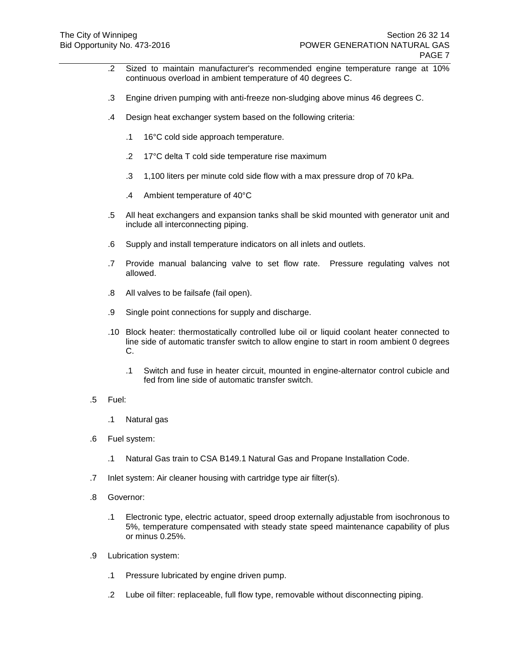- .2 Sized to maintain manufacturer's recommended engine temperature range at 10% continuous overload in ambient temperature of 40 degrees C.
- .3 Engine driven pumping with anti-freeze non-sludging above minus 46 degrees C.
- .4 Design heat exchanger system based on the following criteria:
	- .1 16°C cold side approach temperature.
	- .2 17°C delta T cold side temperature rise maximum
	- .3 1,100 liters per minute cold side flow with a max pressure drop of 70 kPa.
	- .4 Ambient temperature of 40°C
- .5 All heat exchangers and expansion tanks shall be skid mounted with generator unit and include all interconnecting piping.
- .6 Supply and install temperature indicators on all inlets and outlets.
- .7 Provide manual balancing valve to set flow rate. Pressure regulating valves not allowed.
- .8 All valves to be failsafe (fail open).
- .9 Single point connections for supply and discharge.
- .10 Block heater: thermostatically controlled lube oil or liquid coolant heater connected to line side of automatic transfer switch to allow engine to start in room ambient 0 degrees C.
	- .1 Switch and fuse in heater circuit, mounted in engine-alternator control cubicle and fed from line side of automatic transfer switch.
- .5 Fuel:
	- .1 Natural gas
- .6 Fuel system:
	- .1 Natural Gas train to CSA B149.1 Natural Gas and Propane Installation Code.
- .7 Inlet system: Air cleaner housing with cartridge type air filter(s).
- .8 Governor:
	- .1 Electronic type, electric actuator, speed droop externally adjustable from isochronous to 5%, temperature compensated with steady state speed maintenance capability of plus or minus 0.25%.
- .9 Lubrication system:
	- .1 Pressure lubricated by engine driven pump.
	- .2 Lube oil filter: replaceable, full flow type, removable without disconnecting piping.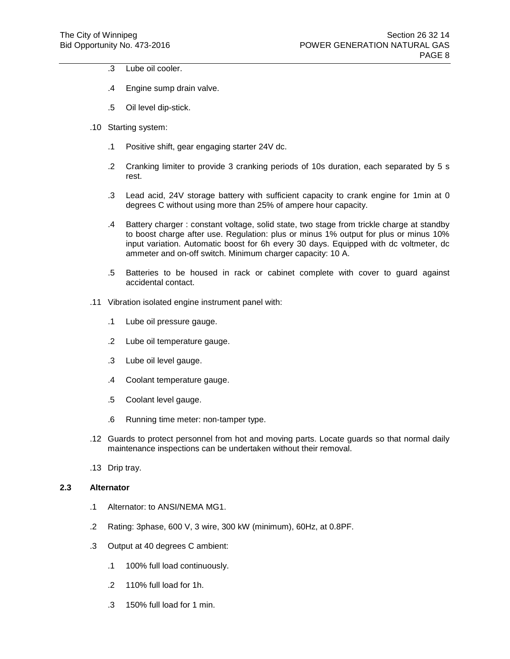- .3 Lube oil cooler.
- .4 Engine sump drain valve.
- .5 Oil level dip-stick.
- .10 Starting system:
	- .1 Positive shift, gear engaging starter 24V dc.
	- .2 Cranking limiter to provide 3 cranking periods of 10s duration, each separated by 5 s rest.
	- .3 Lead acid, 24V storage battery with sufficient capacity to crank engine for 1min at 0 degrees C without using more than 25% of ampere hour capacity.
	- .4 Battery charger : constant voltage, solid state, two stage from trickle charge at standby to boost charge after use. Regulation: plus or minus 1% output for plus or minus 10% input variation. Automatic boost for 6h every 30 days. Equipped with dc voltmeter, dc ammeter and on-off switch. Minimum charger capacity: 10 A.
	- .5 Batteries to be housed in rack or cabinet complete with cover to guard against accidental contact.
- .11 Vibration isolated engine instrument panel with:
	- .1 Lube oil pressure gauge.
	- .2 Lube oil temperature gauge.
	- .3 Lube oil level gauge.
	- .4 Coolant temperature gauge.
	- .5 Coolant level gauge.
	- .6 Running time meter: non-tamper type.
- .12 Guards to protect personnel from hot and moving parts. Locate guards so that normal daily maintenance inspections can be undertaken without their removal.
- .13 Drip tray.

# **2.3 Alternator**

- .1 Alternator: to ANSI/NEMA MG1.
- .2 Rating: 3phase, 600 V, 3 wire, 300 kW (minimum), 60Hz, at 0.8PF.
- .3 Output at 40 degrees C ambient:
	- .1 100% full load continuously.
	- .2 110% full load for 1h.
	- .3 150% full load for 1 min.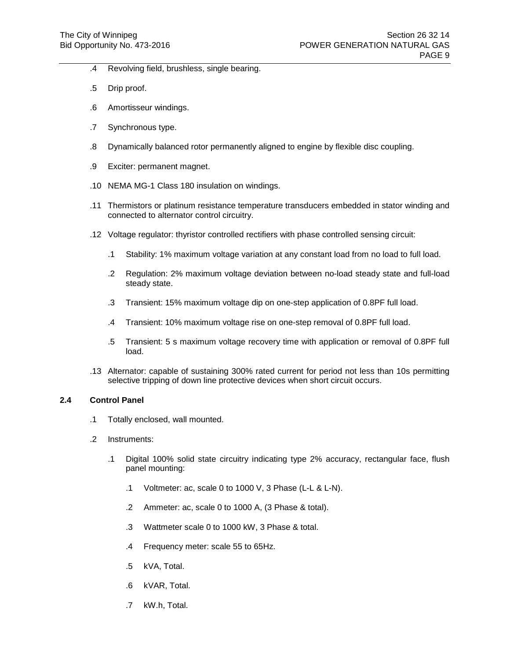- .4 Revolving field, brushless, single bearing.
- .5 Drip proof.
- .6 Amortisseur windings.
- .7 Synchronous type.
- .8 Dynamically balanced rotor permanently aligned to engine by flexible disc coupling.
- .9 Exciter: permanent magnet.
- .10 NEMA MG-1 Class 180 insulation on windings.
- .11 Thermistors or platinum resistance temperature transducers embedded in stator winding and connected to alternator control circuitry.
- .12 Voltage regulator: thyristor controlled rectifiers with phase controlled sensing circuit:
	- .1 Stability: 1% maximum voltage variation at any constant load from no load to full load.
	- .2 Regulation: 2% maximum voltage deviation between no-load steady state and full-load steady state.
	- .3 Transient: 15% maximum voltage dip on one-step application of 0.8PF full load.
	- .4 Transient: 10% maximum voltage rise on one-step removal of 0.8PF full load.
	- .5 Transient: 5 s maximum voltage recovery time with application or removal of 0.8PF full load.
- .13 Alternator: capable of sustaining 300% rated current for period not less than 10s permitting selective tripping of down line protective devices when short circuit occurs.

### **2.4 Control Panel**

- .1 Totally enclosed, wall mounted.
- .2 Instruments:
	- .1 Digital 100% solid state circuitry indicating type 2% accuracy, rectangular face, flush panel mounting:
		- .1 Voltmeter: ac, scale 0 to 1000 V, 3 Phase (L-L & L-N).
		- .2 Ammeter: ac, scale 0 to 1000 A, (3 Phase & total).
		- .3 Wattmeter scale 0 to 1000 kW, 3 Phase & total.
		- .4 Frequency meter: scale 55 to 65Hz.
		- .5 kVA, Total.
		- .6 kVAR, Total.
		- .7 kW.h, Total.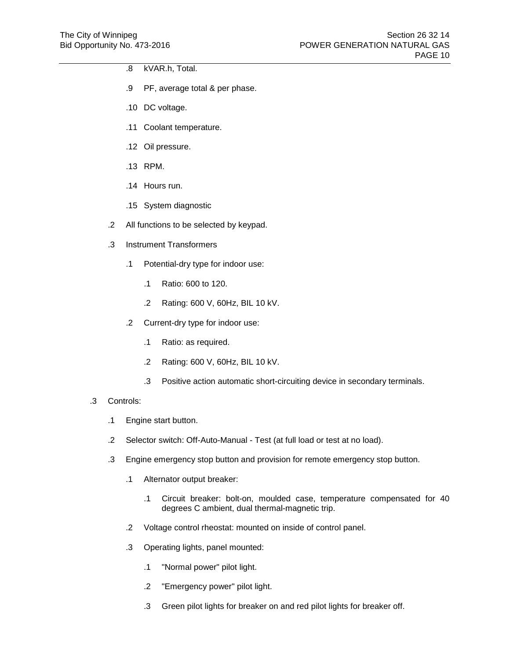- .8 kVAR.h, Total.
- .9 PF, average total & per phase.
- .10 DC voltage.
- .11 Coolant temperature.
- .12 Oil pressure.
- .13 RPM.
- .14 Hours run.
- .15 System diagnostic
- .2 All functions to be selected by keypad.
- .3 Instrument Transformers
	- .1 Potential-dry type for indoor use:
		- .1 Ratio: 600 to 120.
		- .2 Rating: 600 V, 60Hz, BIL 10 kV.
	- .2 Current-dry type for indoor use:
		- .1 Ratio: as required.
		- .2 Rating: 600 V, 60Hz, BIL 10 kV.
		- .3 Positive action automatic short-circuiting device in secondary terminals.
- .3 Controls:
	- .1 Engine start button.
	- .2 Selector switch: Off-Auto-Manual Test (at full load or test at no load).
	- .3 Engine emergency stop button and provision for remote emergency stop button.
		- .1 Alternator output breaker:
			- .1 Circuit breaker: bolt-on, moulded case, temperature compensated for 40 degrees C ambient, dual thermal-magnetic trip.
		- .2 Voltage control rheostat: mounted on inside of control panel.
		- .3 Operating lights, panel mounted:
			- .1 "Normal power" pilot light.
			- .2 "Emergency power" pilot light.
			- .3 Green pilot lights for breaker on and red pilot lights for breaker off.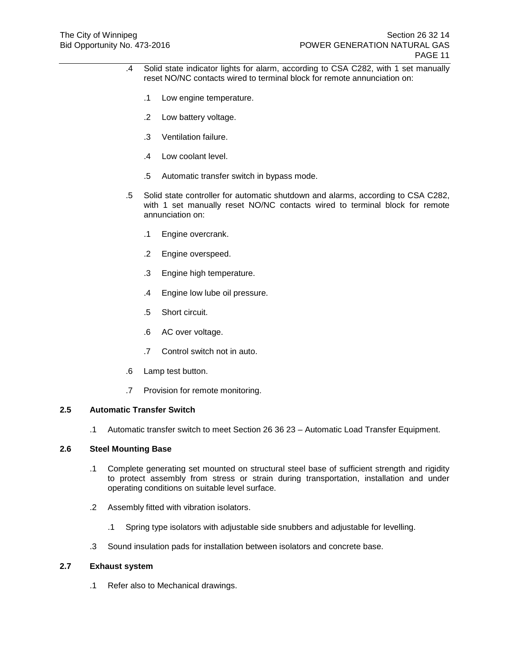- .4 Solid state indicator lights for alarm, according to CSA C282, with 1 set manually reset NO/NC contacts wired to terminal block for remote annunciation on:
	- .1 Low engine temperature.
	- .2 Low battery voltage.
	- .3 Ventilation failure.
	- .4 Low coolant level.
	- .5 Automatic transfer switch in bypass mode.
- .5 Solid state controller for automatic shutdown and alarms, according to CSA C282, with 1 set manually reset NO/NC contacts wired to terminal block for remote annunciation on:
	- .1 Engine overcrank.
	- .2 Engine overspeed.
	- .3 Engine high temperature.
	- .4 Engine low lube oil pressure.
	- .5 Short circuit.
	- .6 AC over voltage.
	- .7 Control switch not in auto.
- .6 Lamp test button.
- .7 Provision for remote monitoring.

## **2.5 Automatic Transfer Switch**

.1 Automatic transfer switch to meet Section 26 36 23 – Automatic Load Transfer Equipment.

# **2.6 Steel Mounting Base**

- .1 Complete generating set mounted on structural steel base of sufficient strength and rigidity to protect assembly from stress or strain during transportation, installation and under operating conditions on suitable level surface.
- .2 Assembly fitted with vibration isolators.
	- .1 Spring type isolators with adjustable side snubbers and adjustable for levelling.
- .3 Sound insulation pads for installation between isolators and concrete base.

# **2.7 Exhaust system**

.1 Refer also to Mechanical drawings.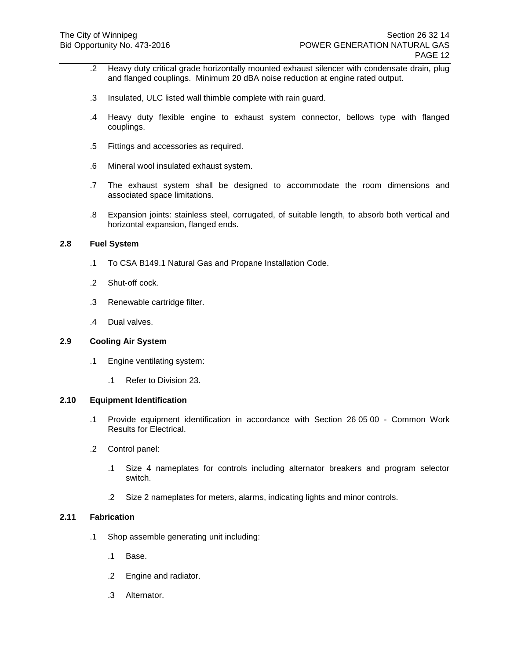- .2 Heavy duty critical grade horizontally mounted exhaust silencer with condensate drain, plug and flanged couplings. Minimum 20 dBA noise reduction at engine rated output.
- .3 Insulated, ULC listed wall thimble complete with rain guard.
- .4 Heavy duty flexible engine to exhaust system connector, bellows type with flanged couplings.
- .5 Fittings and accessories as required.
- .6 Mineral wool insulated exhaust system.
- .7 The exhaust system shall be designed to accommodate the room dimensions and associated space limitations.
- .8 Expansion joints: stainless steel, corrugated, of suitable length, to absorb both vertical and horizontal expansion, flanged ends.

# **2.8 Fuel System**

- .1 To CSA B149.1 Natural Gas and Propane Installation Code.
- .2 Shut-off cock.
- .3 Renewable cartridge filter.
- .4 Dual valves.

#### **2.9 Cooling Air System**

- .1 Engine ventilating system:
	- .1 Refer to Division 23.

#### **2.10 Equipment Identification**

- .1 Provide equipment identification in accordance with Section 26 05 00 Common Work Results for Electrical.
- .2 Control panel:
	- .1 Size 4 nameplates for controls including alternator breakers and program selector switch.
	- .2 Size 2 nameplates for meters, alarms, indicating lights and minor controls.

# **2.11 Fabrication**

- .1 Shop assemble generating unit including:
	- .1 Base.
	- .2 Engine and radiator.
	- .3 Alternator.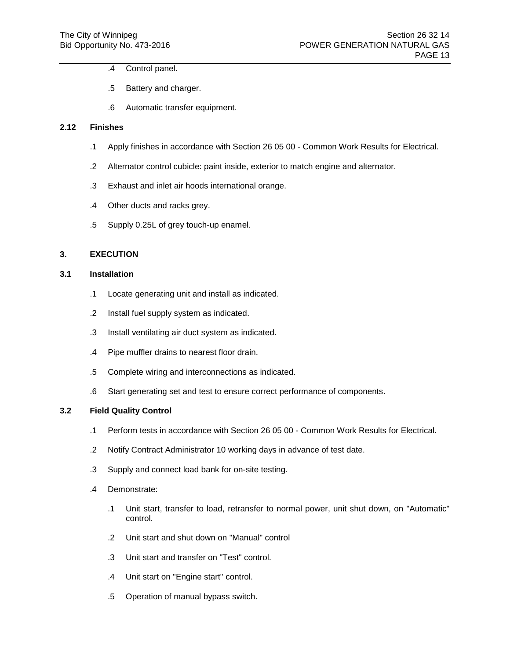- .4 Control panel.
- .5 Battery and charger.
- .6 Automatic transfer equipment.

#### **2.12 Finishes**

- .1 Apply finishes in accordance with Section 26 05 00 Common Work Results for Electrical.
- .2 Alternator control cubicle: paint inside, exterior to match engine and alternator.
- .3 Exhaust and inlet air hoods international orange.
- .4 Other ducts and racks grey.
- .5 Supply 0.25L of grey touch-up enamel.

### **3. EXECUTION**

# **3.1 Installation**

- .1 Locate generating unit and install as indicated.
- .2 Install fuel supply system as indicated.
- .3 Install ventilating air duct system as indicated.
- .4 Pipe muffler drains to nearest floor drain.
- .5 Complete wiring and interconnections as indicated.
- .6 Start generating set and test to ensure correct performance of components.

### **3.2 Field Quality Control**

- .1 Perform tests in accordance with Section 26 05 00 Common Work Results for Electrical.
- .2 Notify Contract Administrator 10 working days in advance of test date.
- .3 Supply and connect load bank for on-site testing.
- .4 Demonstrate:
	- .1 Unit start, transfer to load, retransfer to normal power, unit shut down, on "Automatic" control.
	- .2 Unit start and shut down on "Manual" control
	- .3 Unit start and transfer on "Test" control.
	- .4 Unit start on "Engine start" control.
	- .5 Operation of manual bypass switch.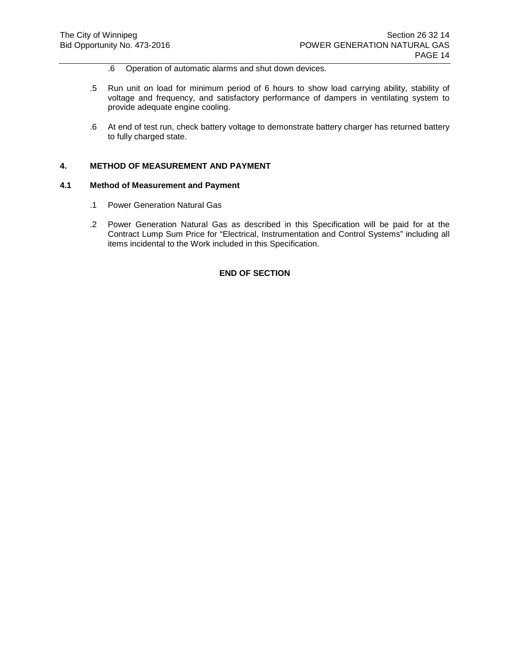- .6 Operation of automatic alarms and shut down devices.
- .5 Run unit on load for minimum period of 6 hours to show load carrying ability, stability of voltage and frequency, and satisfactory performance of dampers in ventilating system to provide adequate engine cooling.
- .6 At end of test run, check battery voltage to demonstrate battery charger has returned battery to fully charged state.

#### **4. METHOD OF MEASUREMENT AND PAYMENT**

#### **4.1 Method of Measurement and Payment**

- .1 Power Generation Natural Gas
- .2 Power Generation Natural Gas as described in this Specification will be paid for at the Contract Lump Sum Price for "Electrical, Instrumentation and Control Systems" including all items incidental to the Work included in this Specification.

# **END OF SECTION**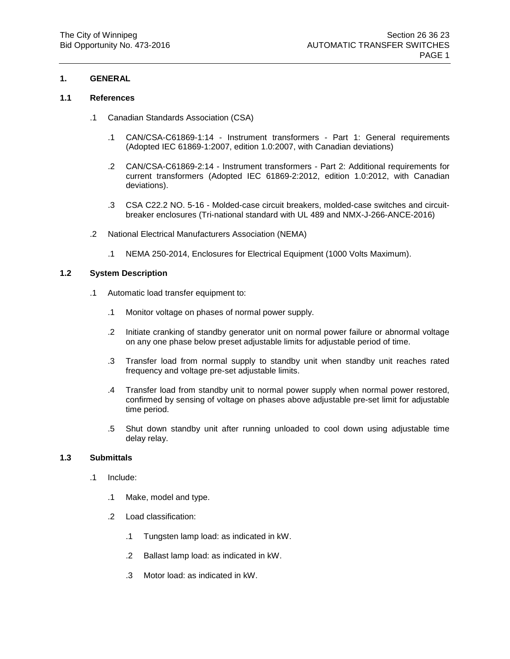# **1. GENERAL**

# **1.1 References**

- .1 Canadian Standards Association (CSA)
	- .1 CAN/CSA-C61869-1:14 Instrument transformers Part 1: General requirements (Adopted IEC 61869-1:2007, edition 1.0:2007, with Canadian deviations)
	- .2 CAN/CSA-C61869-2:14 Instrument transformers Part 2: Additional requirements for current transformers (Adopted IEC 61869-2:2012, edition 1.0:2012, with Canadian deviations).
	- .3 CSA C22.2 NO. 5-16 Molded-case circuit breakers, molded-case switches and circuitbreaker enclosures (Tri-national standard with UL 489 and NMX-J-266-ANCE-2016)
- .2 National Electrical Manufacturers Association (NEMA)
	- .1 NEMA 250-2014, Enclosures for Electrical Equipment (1000 Volts Maximum).

### **1.2 System Description**

- .1 Automatic load transfer equipment to:
	- .1 Monitor voltage on phases of normal power supply.
	- .2 Initiate cranking of standby generator unit on normal power failure or abnormal voltage on any one phase below preset adjustable limits for adjustable period of time.
	- .3 Transfer load from normal supply to standby unit when standby unit reaches rated frequency and voltage pre-set adjustable limits.
	- .4 Transfer load from standby unit to normal power supply when normal power restored, confirmed by sensing of voltage on phases above adjustable pre-set limit for adjustable time period.
	- .5 Shut down standby unit after running unloaded to cool down using adjustable time delay relay.

# **1.3 Submittals**

- .1 Include:
	- .1 Make, model and type.
	- .2 Load classification:
		- .1 Tungsten lamp load: as indicated in kW.
		- .2 Ballast lamp load: as indicated in kW.
		- .3 Motor load: as indicated in kW.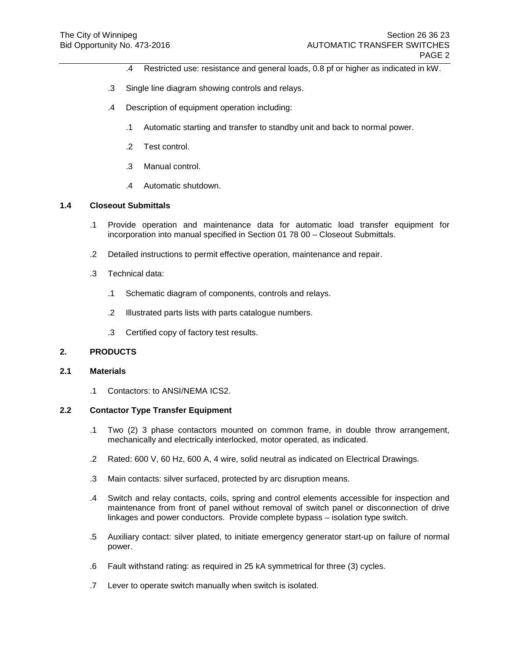- .4 Restricted use: resistance and general loads, 0.8 pf or higher as indicated in kW.
- .3 Single line diagram showing controls and relays.
- .4 Description of equipment operation including:
	- .1 Automatic starting and transfer to standby unit and back to normal power.
	- .2 Test control.
	- .3 Manual control.
	- .4 Automatic shutdown.

# **1.4 Closeout Submittals**

- .1 Provide operation and maintenance data for automatic load transfer equipment for incorporation into manual specified in Section 01 78 00 – Closeout Submittals.
- .2 Detailed instructions to permit effective operation, maintenance and repair.
- .3 Technical data:
	- .1 Schematic diagram of components, controls and relays.
	- .2 Illustrated parts lists with parts catalogue numbers.
	- .3 Certified copy of factory test results.

### **2. PRODUCTS**

#### **2.1 Materials**

.1 Contactors: to ANSI/NEMA ICS2.

# **2.2 Contactor Type Transfer Equipment**

- .1 Two (2) 3 phase contactors mounted on common frame, in double throw arrangement, mechanically and electrically interlocked, motor operated, as indicated.
- .2 Rated: 600 V, 60 Hz, 600 A, 4 wire, solid neutral as indicated on Electrical Drawings.
- .3 Main contacts: silver surfaced, protected by arc disruption means.
- .4 Switch and relay contacts, coils, spring and control elements accessible for inspection and maintenance from front of panel without removal of switch panel or disconnection of drive linkages and power conductors. Provide complete bypass – isolation type switch.
- .5 Auxiliary contact: silver plated, to initiate emergency generator start-up on failure of normal power.
- .6 Fault withstand rating: as required in 25 kA symmetrical for three (3) cycles.
- .7 Lever to operate switch manually when switch is isolated.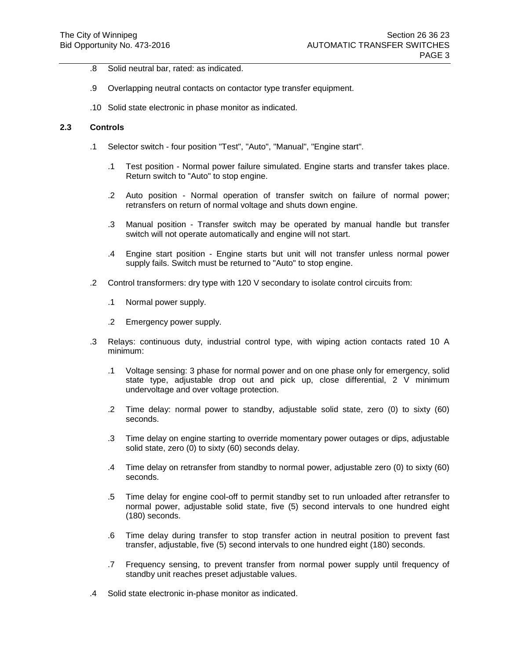- .8 Solid neutral bar, rated: as indicated.
- .9 Overlapping neutral contacts on contactor type transfer equipment.
- .10 Solid state electronic in phase monitor as indicated.

### **2.3 Controls**

- .1 Selector switch four position "Test", "Auto", "Manual", "Engine start".
	- .1 Test position Normal power failure simulated. Engine starts and transfer takes place. Return switch to "Auto" to stop engine.
	- .2 Auto position Normal operation of transfer switch on failure of normal power; retransfers on return of normal voltage and shuts down engine.
	- .3 Manual position Transfer switch may be operated by manual handle but transfer switch will not operate automatically and engine will not start.
	- .4 Engine start position Engine starts but unit will not transfer unless normal power supply fails. Switch must be returned to "Auto" to stop engine.
- .2 Control transformers: dry type with 120 V secondary to isolate control circuits from:
	- .1 Normal power supply.
	- .2 Emergency power supply.
- .3 Relays: continuous duty, industrial control type, with wiping action contacts rated 10 A minimum:
	- .1 Voltage sensing: 3 phase for normal power and on one phase only for emergency, solid state type, adjustable drop out and pick up, close differential, 2 V minimum undervoltage and over voltage protection.
	- .2 Time delay: normal power to standby, adjustable solid state, zero (0) to sixty (60) seconds.
	- .3 Time delay on engine starting to override momentary power outages or dips, adjustable solid state, zero (0) to sixty (60) seconds delay.
	- .4 Time delay on retransfer from standby to normal power, adjustable zero (0) to sixty (60) seconds.
	- .5 Time delay for engine cool-off to permit standby set to run unloaded after retransfer to normal power, adjustable solid state, five (5) second intervals to one hundred eight (180) seconds.
	- .6 Time delay during transfer to stop transfer action in neutral position to prevent fast transfer, adjustable, five (5) second intervals to one hundred eight (180) seconds.
	- .7 Frequency sensing, to prevent transfer from normal power supply until frequency of standby unit reaches preset adjustable values.
- .4 Solid state electronic in-phase monitor as indicated.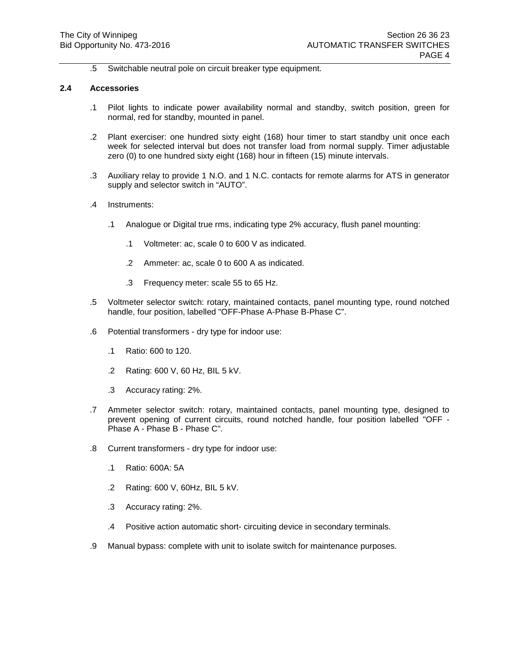.5 Switchable neutral pole on circuit breaker type equipment.

#### **2.4 Accessories**

- .1 Pilot lights to indicate power availability normal and standby, switch position, green for normal, red for standby, mounted in panel.
- .2 Plant exerciser: one hundred sixty eight (168) hour timer to start standby unit once each week for selected interval but does not transfer load from normal supply. Timer adjustable zero (0) to one hundred sixty eight (168) hour in fifteen (15) minute intervals.
- .3 Auxiliary relay to provide 1 N.O. and 1 N.C. contacts for remote alarms for ATS in generator supply and selector switch in "AUTO".
- .4 Instruments:
	- .1 Analogue or Digital true rms, indicating type 2% accuracy, flush panel mounting:
		- .1 Voltmeter: ac, scale 0 to 600 V as indicated.
		- .2 Ammeter: ac, scale 0 to 600 A as indicated.
		- .3 Frequency meter: scale 55 to 65 Hz.
- .5 Voltmeter selector switch: rotary, maintained contacts, panel mounting type, round notched handle, four position, labelled "OFF-Phase A-Phase B-Phase C".
- .6 Potential transformers dry type for indoor use:
	- .1 Ratio: 600 to 120.
	- .2 Rating: 600 V, 60 Hz, BIL 5 kV.
	- .3 Accuracy rating: 2%.
- .7 Ammeter selector switch: rotary, maintained contacts, panel mounting type, designed to prevent opening of current circuits, round notched handle, four position labelled "OFF - Phase A - Phase B - Phase C".
- .8 Current transformers dry type for indoor use:
	- .1 Ratio: 600A: 5A
	- .2 Rating: 600 V, 60Hz, BIL 5 kV.
	- .3 Accuracy rating: 2%.
	- .4 Positive action automatic short- circuiting device in secondary terminals.
- .9 Manual bypass: complete with unit to isolate switch for maintenance purposes.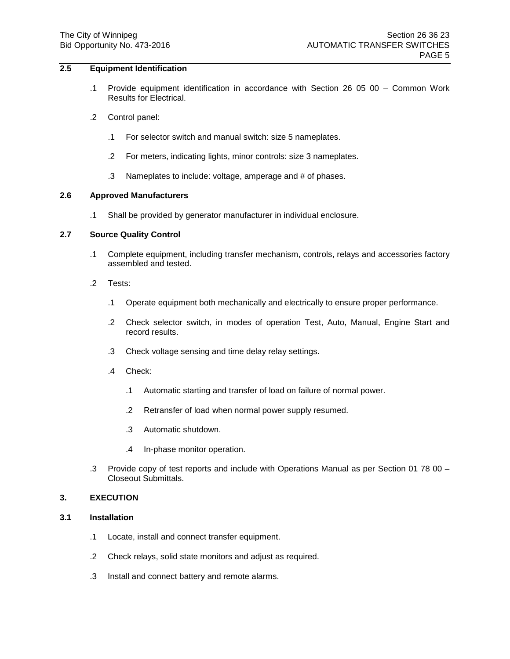# **2.5 Equipment Identification**

- .1 Provide equipment identification in accordance with Section 26 05 00 Common Work Results for Electrical.
- .2 Control panel:
	- .1 For selector switch and manual switch: size 5 nameplates.
	- .2 For meters, indicating lights, minor controls: size 3 nameplates.
	- .3 Nameplates to include: voltage, amperage and # of phases.

### **2.6 Approved Manufacturers**

.1 Shall be provided by generator manufacturer in individual enclosure.

# **2.7 Source Quality Control**

- .1 Complete equipment, including transfer mechanism, controls, relays and accessories factory assembled and tested.
- .2 Tests:
	- .1 Operate equipment both mechanically and electrically to ensure proper performance.
	- .2 Check selector switch, in modes of operation Test, Auto, Manual, Engine Start and record results.
	- .3 Check voltage sensing and time delay relay settings.
	- .4 Check:
		- .1 Automatic starting and transfer of load on failure of normal power.
		- .2 Retransfer of load when normal power supply resumed.
		- .3 Automatic shutdown.
		- .4 In-phase monitor operation.
- .3 Provide copy of test reports and include with Operations Manual as per Section 01 78 00 Closeout Submittals.

#### **3. EXECUTION**

- **3.1 Installation**
	- .1 Locate, install and connect transfer equipment.
	- .2 Check relays, solid state monitors and adjust as required.
	- .3 Install and connect battery and remote alarms.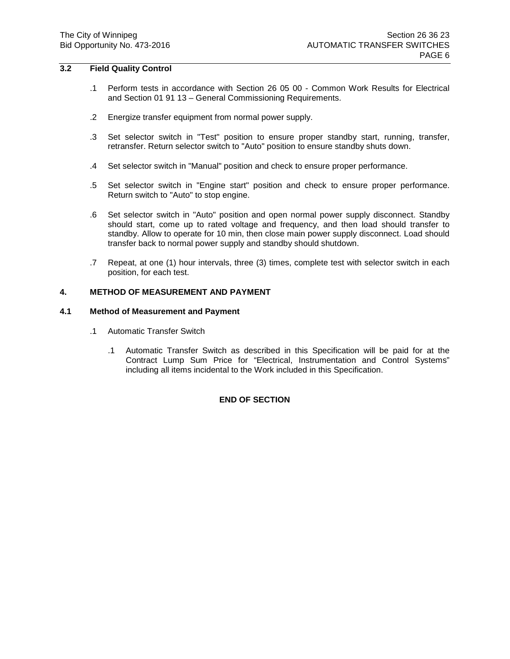# **3.2 Field Quality Control**

- .1 Perform tests in accordance with Section 26 05 00 Common Work Results for Electrical and Section 01 91 13 – General Commissioning Requirements.
- .2 Energize transfer equipment from normal power supply.
- .3 Set selector switch in "Test" position to ensure proper standby start, running, transfer, retransfer. Return selector switch to "Auto" position to ensure standby shuts down.
- .4 Set selector switch in "Manual" position and check to ensure proper performance.
- .5 Set selector switch in "Engine start" position and check to ensure proper performance. Return switch to "Auto" to stop engine.
- .6 Set selector switch in "Auto" position and open normal power supply disconnect. Standby should start, come up to rated voltage and frequency, and then load should transfer to standby. Allow to operate for 10 min, then close main power supply disconnect. Load should transfer back to normal power supply and standby should shutdown.
- .7 Repeat, at one (1) hour intervals, three (3) times, complete test with selector switch in each position, for each test.

#### **4. METHOD OF MEASUREMENT AND PAYMENT**

### **4.1 Method of Measurement and Payment**

- .1 Automatic Transfer Switch
	- .1 Automatic Transfer Switch as described in this Specification will be paid for at the Contract Lump Sum Price for "Electrical, Instrumentation and Control Systems" including all items incidental to the Work included in this Specification.

## **END OF SECTION**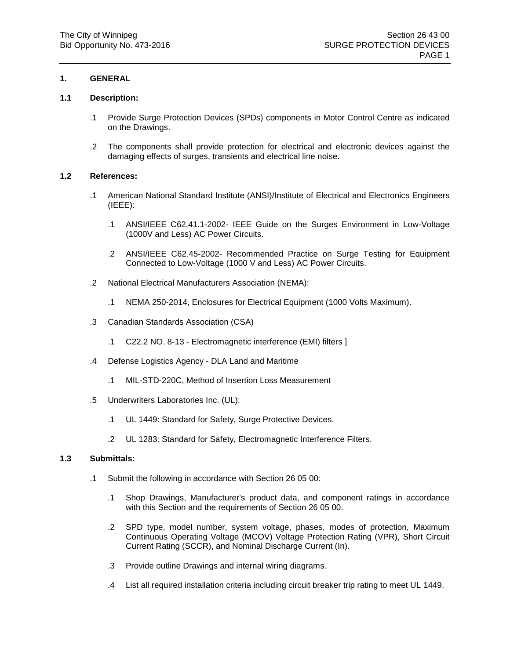## **1. GENERAL**

## **1.1 Description:**

- .1 Provide Surge Protection Devices (SPDs) components in Motor Control Centre as indicated on the Drawings.
- .2 The components shall provide protection for electrical and electronic devices against the damaging effects of surges, transients and electrical line noise.

## **1.2 References:**

- .1 American National Standard Institute (ANSI)/Institute of Electrical and Electronics Engineers (IEEE):
	- .1 ANSI/IEEE [C62.41.1-](http://linkmanager.ihs.com/LinkManagerService/LKMLink.aspx?LinkRefName=IEEE+C62.41.1&RefGroupId=31)2002- IEEE Guide on the Surges Environment in Low-Voltage (1000V and Less) AC Power Circuits.
	- .2 ANSI/IEEE [C62.45-](http://linkmanager.ihs.com/LinkManagerService/LKMLink.aspx?LinkRefName=IEEE+C62.45&RefGroupId=31)2002- Recommended Practice on Surge Testing for Equipment Connected to Low-Voltage (1000 V and Less) AC Power Circuits.
- .2 National Electrical Manufacturers Association (NEMA):
	- .1 NEMA 250-2014, Enclosures for Electrical Equipment (1000 Volts Maximum).
- .3 Canadian Standards Association (CSA)
	- .1 C22.2 NO. 8-13 Electromagnetic interference (EMI) filters ]
- .4 Defense Logistics Agency DLA Land and Maritime
	- .1 MIL-STD-220C, Method of Insertion Loss Measurement
- .5 Underwriters Laboratories Inc. (UL):
	- .1 UL [1449:](http://linkmanager.ihs.com/LinkManagerService/LKMLink.aspx?LinkRefName=UL+1449&RefGroupId=31) Standard for Safety, Surge Protective Devices.
	- .2 UL [1283:](http://linkmanager.ihs.com/LinkManagerService/LKMLink.aspx?LinkRefName=UL+1283&RefGroupId=31) Standard for Safety, Electromagnetic Interference Filters.

### **1.3 Submittals:**

- .1 Submit the following in accordance with Section 26 05 00:
	- .1 Shop Drawings, Manufacturer's product data, and component ratings in accordance with this Section and the requirements of Section 26 05 00.
	- .2 SPD type, model number, system voltage, phases, modes of protection, Maximum Continuous Operating Voltage (MCOV) Voltage Protection Rating (VPR), Short Circuit Current Rating (SCCR), and Nominal Discharge Current (In).
	- .3 Provide outline Drawings and internal wiring diagrams.
	- .4 List all required installation criteria including circuit breaker trip rating to meet UL 1449.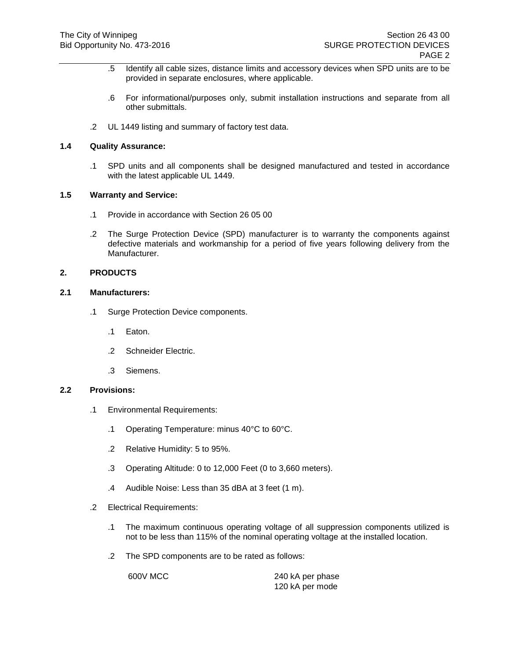- .5 Identify all cable sizes, distance limits and accessory devices when SPD units are to be provided in separate enclosures, where applicable.
- .6 For informational/purposes only, submit installation instructions and separate from all other submittals.
- .2 UL 1449 listing and summary of factory test data.

### **1.4 Quality Assurance:**

.1 SPD units and all components shall be designed manufactured and tested in accordance with the latest applicable UL 1449.

#### **1.5 Warranty and Service:**

- .1 Provide in accordance with Section 26 05 00
- .2 The Surge Protection Device (SPD) manufacturer is to warranty the components against defective materials and workmanship for a period of five years following delivery from the Manufacturer.

#### **2. PRODUCTS**

#### **2.1 Manufacturers:**

- .1 Surge Protection Device components.
	- .1 Eaton.
	- .2 Schneider Electric.
	- .3 Siemens.

## **2.2 Provisions:**

- .1 Environmental Requirements:
	- .1 Operating Temperature: minus 40°C to 60°C.
	- .2 Relative Humidity: 5 to 95%.
	- .3 Operating Altitude: 0 to 12,000 Feet (0 to 3,660 meters).
	- .4 Audible Noise: Less than 35 dBA at 3 feet (1 m).
- .2 Electrical Requirements:
	- .1 The maximum continuous operating voltage of all suppression components utilized is not to be less than 115% of the nominal operating voltage at the installed location.
	- .2 The SPD components are to be rated as follows:

600V MCC 240 kA per phase 120 kA per mode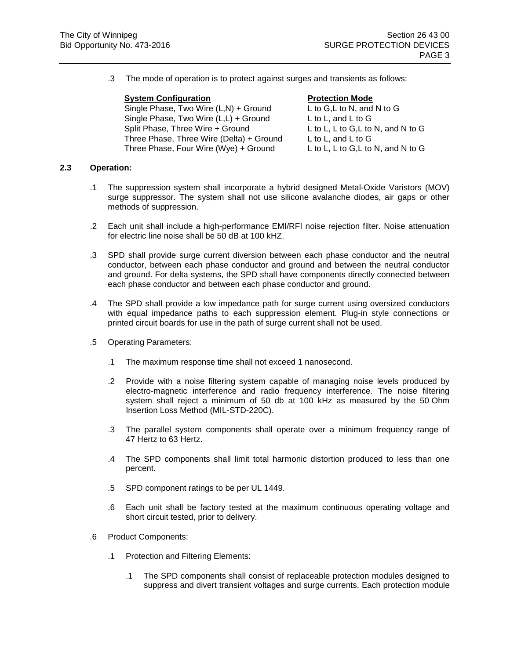.3 The mode of operation is to protect against surges and transients as follows:

#### **System Configuration Protection Mode**

Single Phase, Two Wire (L,N) + Ground L to G,L to N, and N to G Single Phase, Two Wire  $(L,L)$  + Ground L to L, and L to G Split Phase, Three Wire + Ground L to L, L to G,L to N, and N to G Three Phase, Three Wire (Delta) + Ground L to L, and L to G Three Phase, Four Wire (Wye) + Ground L to L, L to G,L to N, and N to G

### **2.3 Operation:**

- .1 The suppression system shall incorporate a hybrid designed Metal-Oxide Varistors (MOV) surge suppressor. The system shall not use silicone avalanche diodes, air gaps or other methods of suppression.
- .2 Each unit shall include a high-performance EMI/RFI noise rejection filter. Noise attenuation for electric line noise shall be 50 dB at 100 kHZ.
- .3 SPD shall provide surge current diversion between each phase conductor and the neutral conductor, between each phase conductor and ground and between the neutral conductor and ground. For delta systems, the SPD shall have components directly connected between each phase conductor and between each phase conductor and ground.
- .4 The SPD shall provide a low impedance path for surge current using oversized conductors with equal impedance paths to each suppression element. Plug-in style connections or printed circuit boards for use in the path of surge current shall not be used.
- .5 Operating Parameters:
	- .1 The maximum response time shall not exceed 1 nanosecond.
	- .2 Provide with a noise filtering system capable of managing noise levels produced by electro-magnetic interference and radio frequency interference. The noise filtering system shall reject a minimum of 50 db at 100 kHz as measured by the 50 Ohm Insertion Loss Method (MIL-STD-220C).
	- .3 The parallel system components shall operate over a minimum frequency range of 47 Hertz to 63 Hertz.
	- .4 The SPD components shall limit total harmonic distortion produced to less than one percent.
	- .5 SPD component ratings to be per UL 1449.
	- .6 Each unit shall be factory tested at the maximum continuous operating voltage and short circuit tested, prior to delivery.
- .6 Product Components:
	- .1 Protection and Filtering Elements:
		- .1 The SPD components shall consist of replaceable protection modules designed to suppress and divert transient voltages and surge currents. Each protection module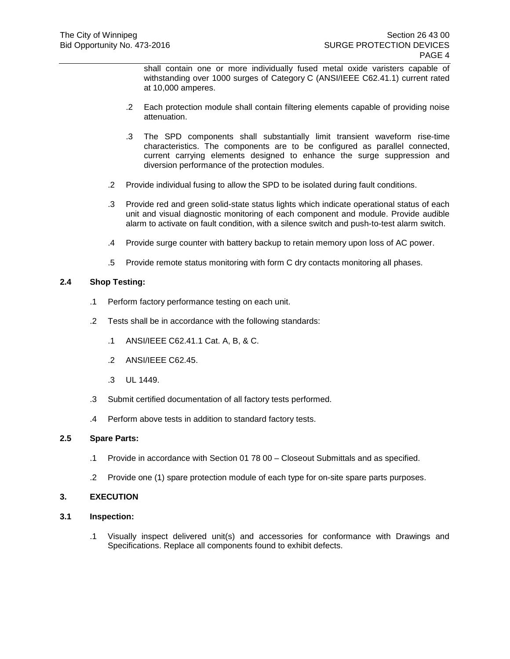shall contain one or more individually fused metal oxide varisters capable of withstanding over 1000 surges of Category C (ANSI/IEEE C62.41.1) current rated at 10,000 amperes.

- .2 Each protection module shall contain filtering elements capable of providing noise attenuation.
- .3 The SPD components shall substantially limit transient waveform rise-time characteristics. The components are to be configured as parallel connected, current carrying elements designed to enhance the surge suppression and diversion performance of the protection modules.
- .2 Provide individual fusing to allow the SPD to be isolated during fault conditions.
- .3 Provide red and green solid-state status lights which indicate operational status of each unit and visual diagnostic monitoring of each component and module. Provide audible alarm to activate on fault condition, with a silence switch and push-to-test alarm switch.
- .4 Provide surge counter with battery backup to retain memory upon loss of AC power.
- .5 Provide remote status monitoring with form C dry contacts monitoring all phases.

## **2.4 Shop Testing:**

- .1 Perform factory performance testing on each unit.
- .2 Tests shall be in accordance with the following standards:
	- .1 ANSI/IEEE C62.41.1 Cat. A, B, & C.
	- .2 ANSI/IEEE C62.45.
	- .3 UL 1449.
- .3 Submit certified documentation of all factory tests performed.
- .4 Perform above tests in addition to standard factory tests.

### **2.5 Spare Parts:**

- .1 Provide in accordance with Section 01 78 00 Closeout Submittals and as specified.
- .2 Provide one (1) spare protection module of each type for on-site spare parts purposes.

### **3. EXECUTION**

- **3.1 Inspection:**
	- .1 Visually inspect delivered unit(s) and accessories for conformance with Drawings and Specifications. Replace all components found to exhibit defects.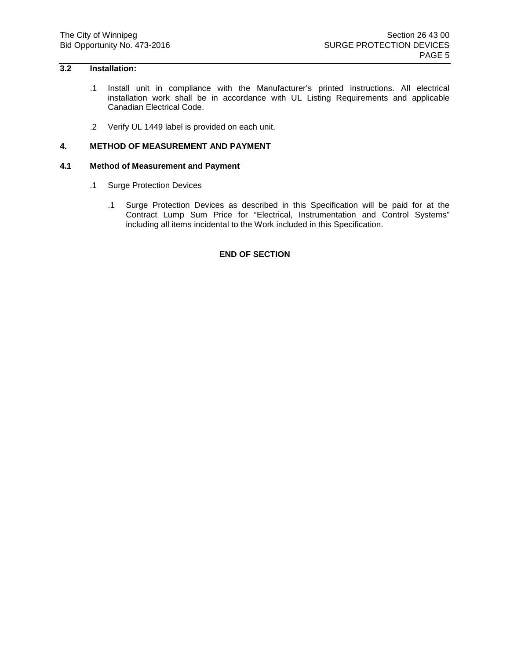# **3.2 Installation:**

- .1 Install unit in compliance with the Manufacturer's printed instructions. All electrical installation work shall be in accordance with UL Listing Requirements and applicable Canadian Electrical Code.
- .2 Verify UL 1449 label is provided on each unit.

## **4. METHOD OF MEASUREMENT AND PAYMENT**

## **4.1 Method of Measurement and Payment**

- .1 Surge Protection Devices
	- .1 Surge Protection Devices as described in this Specification will be paid for at the Contract Lump Sum Price for "Electrical, Instrumentation and Control Systems" including all items incidental to the Work included in this Specification.

#### **END OF SECTION**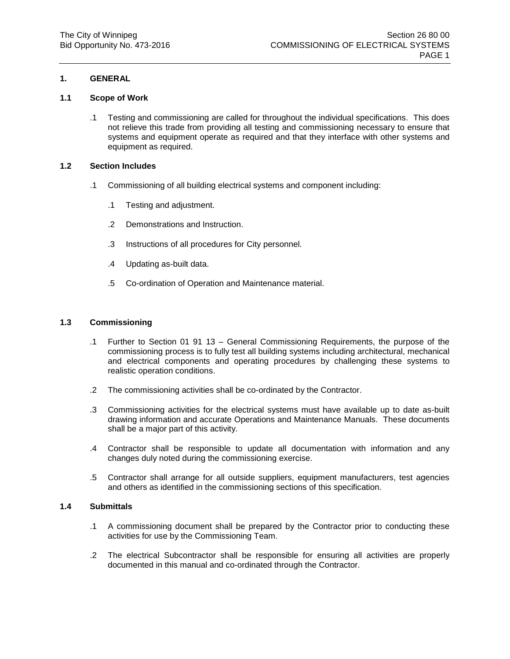# **1. GENERAL**

## **1.1 Scope of Work**

.1 Testing and commissioning are called for throughout the individual specifications. This does not relieve this trade from providing all testing and commissioning necessary to ensure that systems and equipment operate as required and that they interface with other systems and equipment as required.

### **1.2 Section Includes**

- .1 Commissioning of all building electrical systems and component including:
	- .1 Testing and adjustment.
	- .2 Demonstrations and Instruction.
	- .3 Instructions of all procedures for City personnel.
	- .4 Updating as-built data.
	- .5 Co-ordination of Operation and Maintenance material.

## **1.3 Commissioning**

- .1 Further to Section 01 91 13 General Commissioning Requirements, the purpose of the commissioning process is to fully test all building systems including architectural, mechanical and electrical components and operating procedures by challenging these systems to realistic operation conditions.
- .2 The commissioning activities shall be co-ordinated by the Contractor.
- .3 Commissioning activities for the electrical systems must have available up to date as-built drawing information and accurate Operations and Maintenance Manuals. These documents shall be a major part of this activity.
- .4 Contractor shall be responsible to update all documentation with information and any changes duly noted during the commissioning exercise.
- .5 Contractor shall arrange for all outside suppliers, equipment manufacturers, test agencies and others as identified in the commissioning sections of this specification.

### **1.4 Submittals**

- .1 A commissioning document shall be prepared by the Contractor prior to conducting these activities for use by the Commissioning Team.
- .2 The electrical Subcontractor shall be responsible for ensuring all activities are properly documented in this manual and co-ordinated through the Contractor.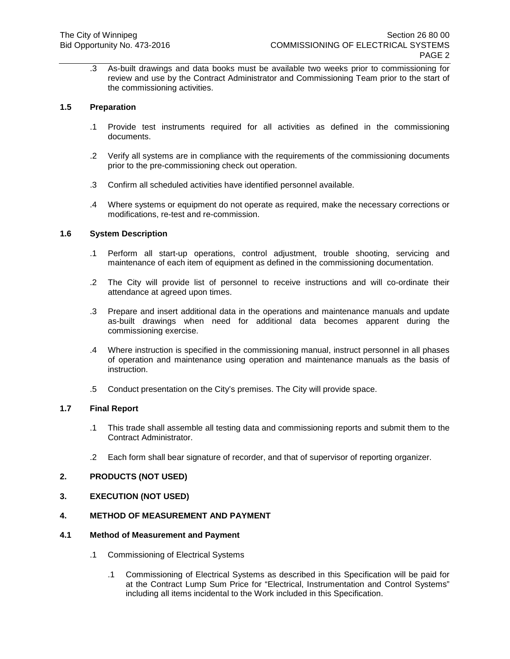.3 As-built drawings and data books must be available two weeks prior to commissioning for review and use by the Contract Administrator and Commissioning Team prior to the start of the commissioning activities.

## **1.5 Preparation**

- .1 Provide test instruments required for all activities as defined in the commissioning documents.
- .2 Verify all systems are in compliance with the requirements of the commissioning documents prior to the pre-commissioning check out operation.
- .3 Confirm all scheduled activities have identified personnel available.
- .4 Where systems or equipment do not operate as required, make the necessary corrections or modifications, re-test and re-commission.

### **1.6 System Description**

- .1 Perform all start-up operations, control adjustment, trouble shooting, servicing and maintenance of each item of equipment as defined in the commissioning documentation.
- .2 The City will provide list of personnel to receive instructions and will co-ordinate their attendance at agreed upon times.
- .3 Prepare and insert additional data in the operations and maintenance manuals and update as-built drawings when need for additional data becomes apparent during the commissioning exercise.
- .4 Where instruction is specified in the commissioning manual, instruct personnel in all phases of operation and maintenance using operation and maintenance manuals as the basis of instruction.
- .5 Conduct presentation on the City's premises. The City will provide space.

#### **1.7 Final Report**

- .1 This trade shall assemble all testing data and commissioning reports and submit them to the Contract Administrator.
- .2 Each form shall bear signature of recorder, and that of supervisor of reporting organizer.

### **2. PRODUCTS (NOT USED)**

### **3. EXECUTION (NOT USED)**

### **4. METHOD OF MEASUREMENT AND PAYMENT**

### **4.1 Method of Measurement and Payment**

- .1 Commissioning of Electrical Systems
	- .1 Commissioning of Electrical Systems as described in this Specification will be paid for at the Contract Lump Sum Price for "Electrical, Instrumentation and Control Systems" including all items incidental to the Work included in this Specification.